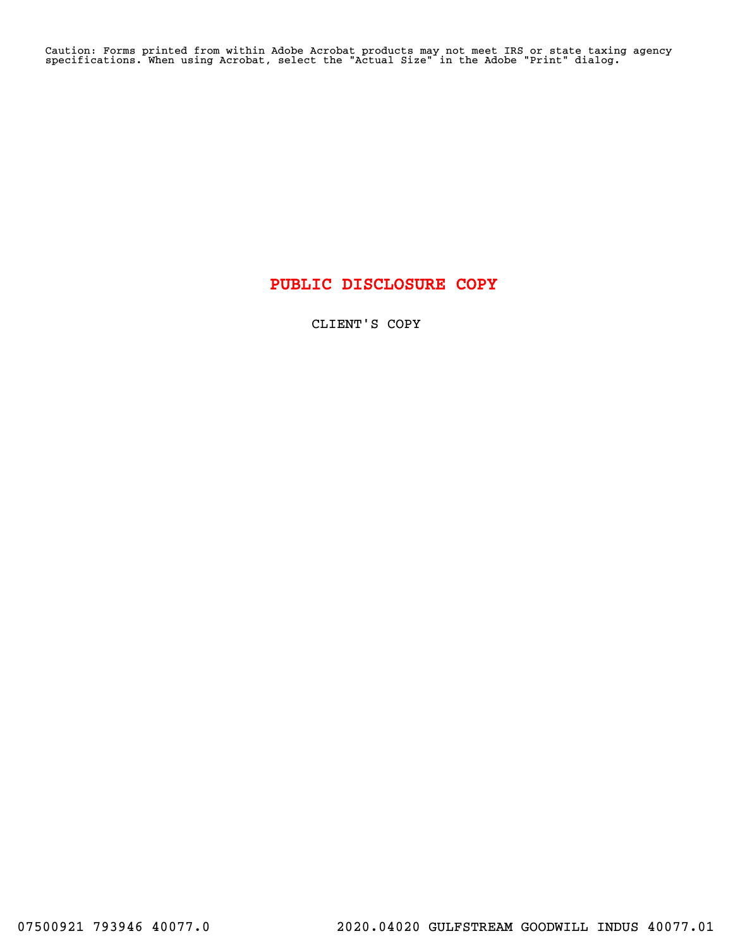Caution: Forms printed from within Adobe Acrobat products may not meet IRS or state taxing agency specifications. When using Acrobat, select the "Actual Size" in the Adobe "Print" dialog.

# PUBLIC DISCLOSURE COPY

CLIENT'S COPY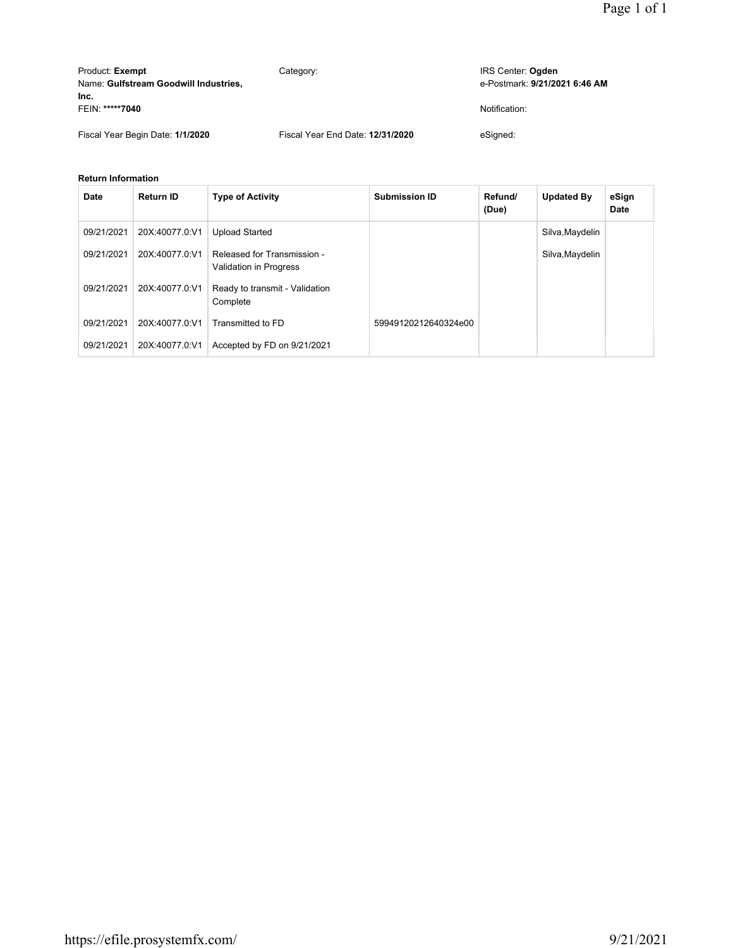| Product: Exempt<br>Name: Gulfstream Goodwill Industries, | Category:                        | IRS Center: Ogden<br>e-Postmark: 9/21/2021 6:46 AM |
|----------------------------------------------------------|----------------------------------|----------------------------------------------------|
| Inc.<br>FEIN: *****7040                                  |                                  | Notification:                                      |
| Fiscal Year Begin Date: 1/1/2020                         | Fiscal Year End Date: 12/31/2020 | eSianed:                                           |

#### **Return Information**

| Date       | <b>Return ID</b> | <b>Type of Activity</b>                               | <b>Submission ID</b> | Refund/<br>(Due) | <b>Updated By</b> | eSign<br>Date |
|------------|------------------|-------------------------------------------------------|----------------------|------------------|-------------------|---------------|
| 09/21/2021 | 20X:40077.0:V1   | <b>Upload Started</b>                                 |                      |                  | Silva, Maydelin   |               |
| 09/21/2021 | 20X:40077.0:V1   | Released for Transmission -<br>Validation in Progress |                      |                  | Silva, Maydelin   |               |
| 09/21/2021 | 20X:40077.0:V1   | Ready to transmit - Validation<br>Complete            |                      |                  |                   |               |
| 09/21/2021 | 20X:40077.0:V1   | Transmitted to FD                                     | 59949120212640324e00 |                  |                   |               |
| 09/21/2021 | 20X:40077.0:V1   | Accepted by FD on 9/21/2021                           |                      |                  |                   |               |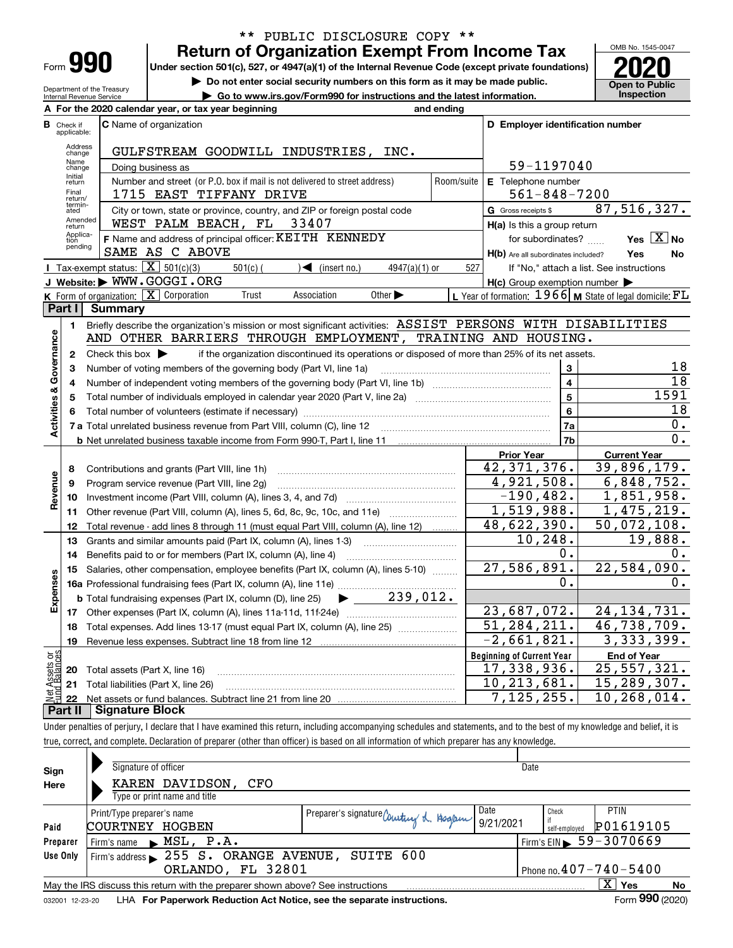| -orm |  |
|------|--|

## **Return of Organization Exempt From Income Tax** \*\* PUBLIC DISCLOSURE COPY \*\*

**Under section 501(c), 527, or 4947(a)(1) of the Internal Revenue Code (except private foundations) 2020**

**| Go to www.irs.gov/Form990 for instructions and the latest information. Inspection**

**| Do not enter social security numbers on this form as it may be made public.**

OMB No. 1545-0047 **Open to Public<br>Inspection** 

Department of the Treasury Internal Revenue Service

| internal Revenue Service         | <u>OU to www.irs.quv/Furnissu for instructions and the latest information.</u> |  |                                                     |                                |            | 11 I J M                         |  |
|----------------------------------|--------------------------------------------------------------------------------|--|-----------------------------------------------------|--------------------------------|------------|----------------------------------|--|
|                                  |                                                                                |  | A For the 2020 calendar year, or tax year beginning |                                | and ending |                                  |  |
| <b>B</b> Check if<br>applicable: | <b>IC</b> Name of organization                                                 |  |                                                     |                                |            | D Emplover identification number |  |
| Address<br>change                |                                                                                |  |                                                     | GULFSTREAM GOODWILL INDUSTRIES | TNC.       |                                  |  |
| Name                             | Products because a service                                                     |  |                                                     |                                |            | $50 - 1107010$                   |  |

|                         | Address<br>change | GULFSTREAM GOODWILL INDUSTRIES, INC.                                                                                                                   |                         |                                                     |                                                             |  |  |
|-------------------------|-------------------|--------------------------------------------------------------------------------------------------------------------------------------------------------|-------------------------|-----------------------------------------------------|-------------------------------------------------------------|--|--|
|                         | Name<br>change    | Doing business as                                                                                                                                      |                         | 59-1197040                                          |                                                             |  |  |
|                         | Initial<br>return | Number and street (or P.O. box if mail is not delivered to street address)                                                                             | Room/suite              | E Telephone number<br>$561 - 848 - 7200$            |                                                             |  |  |
|                         | Final<br>return/  | 1715 EAST TIFFANY DRIVE                                                                                                                                |                         |                                                     |                                                             |  |  |
|                         | termin-<br>ated   | City or town, state or province, country, and ZIP or foreign postal code                                                                               |                         | G Gross receipts \$                                 | 87,516,327.                                                 |  |  |
|                         | Amended<br>return | WEST PALM BEACH, FL<br>33407                                                                                                                           |                         | H(a) Is this a group return                         |                                                             |  |  |
|                         | Applica-<br>tion  | F Name and address of principal officer: KEITH KENNEDY                                                                                                 |                         | for subordinates?                                   | Yes $\boxed{X}$ No                                          |  |  |
|                         | pending           | SAME AS C ABOVE                                                                                                                                        |                         | H(b) Are all subordinates included?                 | Yes<br>No                                                   |  |  |
|                         |                   | Tax-exempt status: $\boxed{\mathbf{X}}$ 501(c)(3)<br>$501(c)$ (<br>$\sqrt{\bullet}$ (insert no.)<br>$4947(a)(1)$ or                                    | 527                     |                                                     | If "No," attach a list. See instructions                    |  |  |
|                         |                   | J Website: WWW.GOGGI.ORG                                                                                                                               |                         | $H(c)$ Group exemption number $\blacktriangleright$ |                                                             |  |  |
|                         |                   | <b>K</b> Form of organization: $\boxed{\mathbf{X}}$ Corporation<br>Other $\blacktriangleright$<br>Trust<br>Association                                 |                         |                                                     | L Year of formation: $1966$ M State of legal domicile: $FL$ |  |  |
|                         | Part I            | <b>Summary</b>                                                                                                                                         |                         |                                                     |                                                             |  |  |
|                         | 1                 | Briefly describe the organization's mission or most significant activities: ASSIST PERSONS WITH DISABILITIES                                           |                         |                                                     |                                                             |  |  |
|                         |                   | AND OTHER BARRIERS THROUGH EMPLOYMENT, TRAINING AND HOUSING.                                                                                           |                         |                                                     |                                                             |  |  |
| Activities & Governance | $\mathbf{2}$      | Check this box $\blacktriangleright$<br>if the organization discontinued its operations or disposed of more than 25% of its net assets.                |                         |                                                     |                                                             |  |  |
|                         | 3                 | Number of voting members of the governing body (Part VI, line 1a)                                                                                      |                         | 3                                                   | 18                                                          |  |  |
|                         | 4                 |                                                                                                                                                        | $\overline{\mathbf{4}}$ | $\overline{18}$                                     |                                                             |  |  |
|                         | 5                 |                                                                                                                                                        |                         | 5                                                   | 1591                                                        |  |  |
|                         | 6                 |                                                                                                                                                        | 6                       | 18                                                  |                                                             |  |  |
|                         |                   |                                                                                                                                                        | 7a                      | 0.                                                  |                                                             |  |  |
|                         |                   |                                                                                                                                                        |                         | 7b                                                  | 0.                                                          |  |  |
|                         |                   |                                                                                                                                                        |                         | <b>Prior Year</b><br>42, 371, 376.                  | <b>Current Year</b>                                         |  |  |
|                         | 8                 | Contributions and grants (Part VIII, line 1h)                                                                                                          |                         | $\overline{4,921}, 508.$                            | 39,896,179.<br>6,848,752.                                   |  |  |
|                         | 9                 | Program service revenue (Part VIII, line 2g)                                                                                                           |                         | $-190, 482.$                                        | $\overline{1,851,958}$ .                                    |  |  |
| Revenue                 | 10                |                                                                                                                                                        |                         | 1,519,988.                                          | 1,475,219.                                                  |  |  |
|                         | 11                | Other revenue (Part VIII, column (A), lines 5, 6d, 8c, 9c, 10c, and 11e)                                                                               |                         | 48,622,390.                                         | $\overline{50}$ , 072, 108.                                 |  |  |
|                         | 12<br>13          | Total revenue - add lines 8 through 11 (must equal Part VIII, column (A), line 12)<br>Grants and similar amounts paid (Part IX, column (A), lines 1-3) |                         | 10, 248.                                            | 19,888.                                                     |  |  |
|                         | 14                | Benefits paid to or for members (Part IX, column (A), line 4)                                                                                          |                         | 0.                                                  | 0.                                                          |  |  |
|                         | 15                | Salaries, other compensation, employee benefits (Part IX, column (A), lines 5-10)                                                                      |                         | 27,586,891.                                         | 22,584,090.                                                 |  |  |
| Expenses                |                   | 16a Professional fundraising fees (Part IX, column (A), line 11e)                                                                                      |                         | 0.                                                  | $0$ .                                                       |  |  |
|                         |                   | $\blacktriangleright$ 239,012.<br><b>b</b> Total fundraising expenses (Part IX, column (D), line 25)                                                   |                         |                                                     |                                                             |  |  |
|                         | 17                |                                                                                                                                                        |                         | 23,687,072.                                         | 24, 134, 731.                                               |  |  |
|                         | 18                | Total expenses. Add lines 13-17 (must equal Part IX, column (A), line 25)                                                                              |                         | $\overline{51,284,211}$ .                           | 46,738,709.                                                 |  |  |
|                         | 19                |                                                                                                                                                        |                         | $-2,661,821.$                                       | 3,333,399.                                                  |  |  |
| ងខ្លី                   |                   |                                                                                                                                                        |                         | <b>Beginning of Current Year</b>                    | <b>End of Year</b>                                          |  |  |
| Assets<br>1Balanc       | 20                | Total assets (Part X, line 16)                                                                                                                         |                         | 17,338,936.                                         | 25, 557, 321.                                               |  |  |
|                         | 21                | Total liabilities (Part X, line 26)                                                                                                                    |                         | 10,213,681.                                         | 15,289,307.                                                 |  |  |
|                         | 22                |                                                                                                                                                        |                         | 7,125,255.                                          | 10, 268, 014.                                               |  |  |
|                         | Part II           | Signature Block                                                                                                                                        |                         |                                                     |                                                             |  |  |

Under penalties of perjury, I declare that I have examined this return, including accompanying schedules and statements, and to the best of my knowledge and belief, it is true, correct, and complete. Declaration of preparer (other than officer) is based on all information of which preparer has any knowledge.

|                                                                                                        | Signature of officer                                                                                         |                                          | Date                         |               |                                              |  |  |  |  |
|--------------------------------------------------------------------------------------------------------|--------------------------------------------------------------------------------------------------------------|------------------------------------------|------------------------------|---------------|----------------------------------------------|--|--|--|--|
| Sign<br>Here                                                                                           | KAREN DAVIDSON,<br>CFO                                                                                       |                                          |                              |               |                                              |  |  |  |  |
|                                                                                                        | Type or print name and title                                                                                 |                                          |                              |               |                                              |  |  |  |  |
|                                                                                                        | Print/Type preparer's name                                                                                   | Preparer's signature Countiny & Hoglew 1 | Date                         | Check         | <b>PTIN</b>                                  |  |  |  |  |
| Paid                                                                                                   | COURTNEY<br>HOGBEN                                                                                           |                                          | 9/21/2021                    | self-employed | P01619105                                    |  |  |  |  |
| Preparer                                                                                               | Firm's name $MSL$ , $P.A.$                                                                                   |                                          |                              |               | $1$ Firm's EIN $\triangleright$ 59 - 3070669 |  |  |  |  |
| Use Only                                                                                               | Firm's address > 255 S. ORANGE AVENUE, SUITE 600                                                             |                                          |                              |               |                                              |  |  |  |  |
|                                                                                                        | ORLANDO, FL 32801                                                                                            |                                          | Phone no. $407 - 740 - 5400$ |               |                                              |  |  |  |  |
| $X \mid Y$ es<br>No<br>May the IRS discuss this return with the preparer shown above? See instructions |                                                                                                              |                                          |                              |               |                                              |  |  |  |  |
|                                                                                                        | Form 990 (2020)<br>LHA For Paperwork Reduction Act Notice, see the separate instructions.<br>032001 12-23-20 |                                          |                              |               |                                              |  |  |  |  |
|                                                                                                        |                                                                                                              |                                          |                              |               |                                              |  |  |  |  |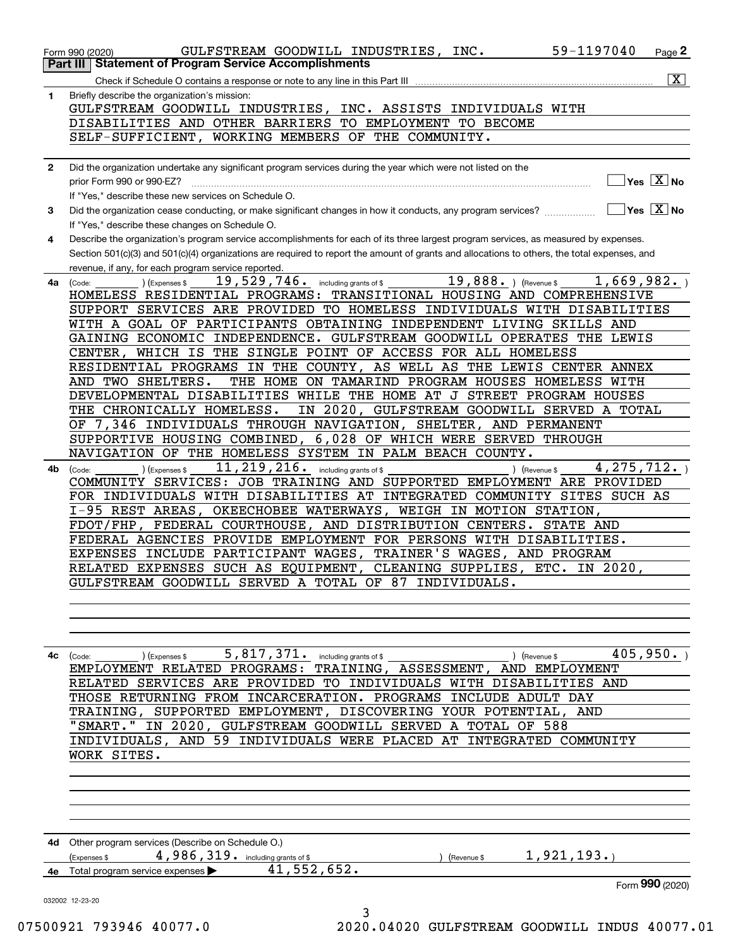| 1            | $\overline{\mathbf{x}}$<br>Briefly describe the organization's mission:                                                                                                                                                                                                              |
|--------------|--------------------------------------------------------------------------------------------------------------------------------------------------------------------------------------------------------------------------------------------------------------------------------------|
|              | GULFSTREAM GOODWILL INDUSTRIES, INC. ASSISTS INDIVIDUALS WITH                                                                                                                                                                                                                        |
|              | DISABILITIES AND OTHER BARRIERS TO EMPLOYMENT TO BECOME                                                                                                                                                                                                                              |
|              | SELF-SUFFICIENT, WORKING MEMBERS OF THE COMMUNITY.                                                                                                                                                                                                                                   |
|              |                                                                                                                                                                                                                                                                                      |
| $\mathbf{2}$ | Did the organization undertake any significant program services during the year which were not listed on the                                                                                                                                                                         |
|              | $\overline{\ }$ Yes $\overline{\phantom{X}}$ No<br>prior Form 990 or 990-EZ?                                                                                                                                                                                                         |
|              | If "Yes," describe these new services on Schedule O.                                                                                                                                                                                                                                 |
| 3            | $\overline{\ }$ Yes $\overline{\ \ X}$ No<br>Did the organization cease conducting, or make significant changes in how it conducts, any program services?                                                                                                                            |
|              | If "Yes," describe these changes on Schedule O.                                                                                                                                                                                                                                      |
| 4            | Describe the organization's program service accomplishments for each of its three largest program services, as measured by expenses.<br>Section 501(c)(3) and 501(c)(4) organizations are required to report the amount of grants and allocations to others, the total expenses, and |
|              | revenue, if any, for each program service reported.                                                                                                                                                                                                                                  |
| 4a           | $19,888.$ ) (Revenue \$<br>1,669,982.<br>19,529,746. including grants of \$<br>) (Expenses \$<br>(Code:                                                                                                                                                                              |
|              | TRANSITIONAL HOUSING AND COMPREHENSIVE<br>HOMELESS RESIDENTIAL PROGRAMS:                                                                                                                                                                                                             |
|              | SUPPORT SERVICES ARE PROVIDED TO HOMELESS INDIVIDUALS WITH DISABILITIES                                                                                                                                                                                                              |
|              | WITH A GOAL OF PARTICIPANTS OBTAINING INDEPENDENT LIVING SKILLS AND                                                                                                                                                                                                                  |
|              | GAINING ECONOMIC INDEPENDENCE. GULFSTREAM GOODWILL OPERATES THE LEWIS                                                                                                                                                                                                                |
|              | CENTER, WHICH IS THE SINGLE POINT OF ACCESS FOR ALL HOMELESS                                                                                                                                                                                                                         |
|              | RESIDENTIAL PROGRAMS IN THE COUNTY, AS WELL AS THE LEWIS CENTER ANNEX                                                                                                                                                                                                                |
|              | AND TWO SHELTERS.<br>THE HOME ON TAMARIND PROGRAM HOUSES HOMELESS WITH                                                                                                                                                                                                               |
|              | DEVELOPMENTAL DISABILITIES WHILE THE HOME AT J STREET PROGRAM HOUSES                                                                                                                                                                                                                 |
|              | IN 2020, GULFSTREAM GOODWILL SERVED A TOTAL<br>THE CHRONICALLY HOMELESS.                                                                                                                                                                                                             |
|              | OF 7,346 INDIVIDUALS THROUGH NAVIGATION, SHELTER, AND PERMANENT                                                                                                                                                                                                                      |
|              | SUPPORTIVE HOUSING COMBINED, 6,028 OF WHICH WERE SERVED THROUGH<br>NAVIGATION OF THE HOMELESS SYSTEM IN PALM BEACH COUNTY.                                                                                                                                                           |
|              | 11, 219, 216. including grants of \$<br>4, 275, 712.                                                                                                                                                                                                                                 |
| 4b           | ) (Expenses \$<br>) (Revenue \$<br>(Code:<br>COMMUNITY SERVICES: JOB TRAINING AND SUPPORTED EMPLOYMENT ARE PROVIDED                                                                                                                                                                  |
|              | FOR INDIVIDUALS WITH DISABILITIES AT INTEGRATED COMMUNITY SITES SUCH AS                                                                                                                                                                                                              |
|              | I-95 REST AREAS, OKEECHOBEE WATERWAYS, WEIGH IN MOTION STATION,                                                                                                                                                                                                                      |
|              | FDOT/FHP, FEDERAL COURTHOUSE, AND DISTRIBUTION CENTERS.<br>STATE AND                                                                                                                                                                                                                 |
|              | FEDERAL AGENCIES PROVIDE EMPLOYMENT FOR PERSONS WITH DISABILITIES.                                                                                                                                                                                                                   |
|              | EXPENSES INCLUDE PARTICIPANT WAGES, TRAINER'S WAGES, AND PROGRAM                                                                                                                                                                                                                     |
|              | RELATED EXPENSES SUCH AS EQUIPMENT, CLEANING SUPPLIES, ETC. IN 2020,                                                                                                                                                                                                                 |
|              | GULFSTREAM GOODWILL SERVED A TOTAL OF 87 INDIVIDUALS.                                                                                                                                                                                                                                |
|              |                                                                                                                                                                                                                                                                                      |
|              |                                                                                                                                                                                                                                                                                      |
|              |                                                                                                                                                                                                                                                                                      |
| 4с           | 405,950.<br>5, 817, 371. including grants of \$<br>(Revenue \$<br>(Expenses \$<br>(Code:                                                                                                                                                                                             |
|              | EMPLOYMENT RELATED PROGRAMS: TRAINING, ASSESSMENT, AND EMPLOYMENT                                                                                                                                                                                                                    |
|              | RELATED SERVICES ARE PROVIDED TO INDIVIDUALS WITH DISABILITIES AND                                                                                                                                                                                                                   |
|              | THOSE RETURNING FROM INCARCERATION. PROGRAMS INCLUDE ADULT DAY                                                                                                                                                                                                                       |
|              | TRAINING, SUPPORTED EMPLOYMENT, DISCOVERING YOUR POTENTIAL, AND                                                                                                                                                                                                                      |
|              | IN 2020, GULFSTREAM GOODWILL SERVED A TOTAL OF 588<br>"SMART."                                                                                                                                                                                                                       |
|              | INDIVIDUALS, AND 59 INDIVIDUALS WERE PLACED AT INTEGRATED COMMUNITY                                                                                                                                                                                                                  |
|              | WORK SITES.                                                                                                                                                                                                                                                                          |
|              |                                                                                                                                                                                                                                                                                      |
|              |                                                                                                                                                                                                                                                                                      |
|              |                                                                                                                                                                                                                                                                                      |
|              |                                                                                                                                                                                                                                                                                      |
|              | 4d Other program services (Describe on Schedule O.)                                                                                                                                                                                                                                  |
|              | 1,921,193.<br>4,986,319. including grants of \$<br>(Expenses \$<br>(Revenue \$                                                                                                                                                                                                       |
|              | 41,552,652.<br>Total program service expenses                                                                                                                                                                                                                                        |
|              | Form 990 (2020)                                                                                                                                                                                                                                                                      |
|              |                                                                                                                                                                                                                                                                                      |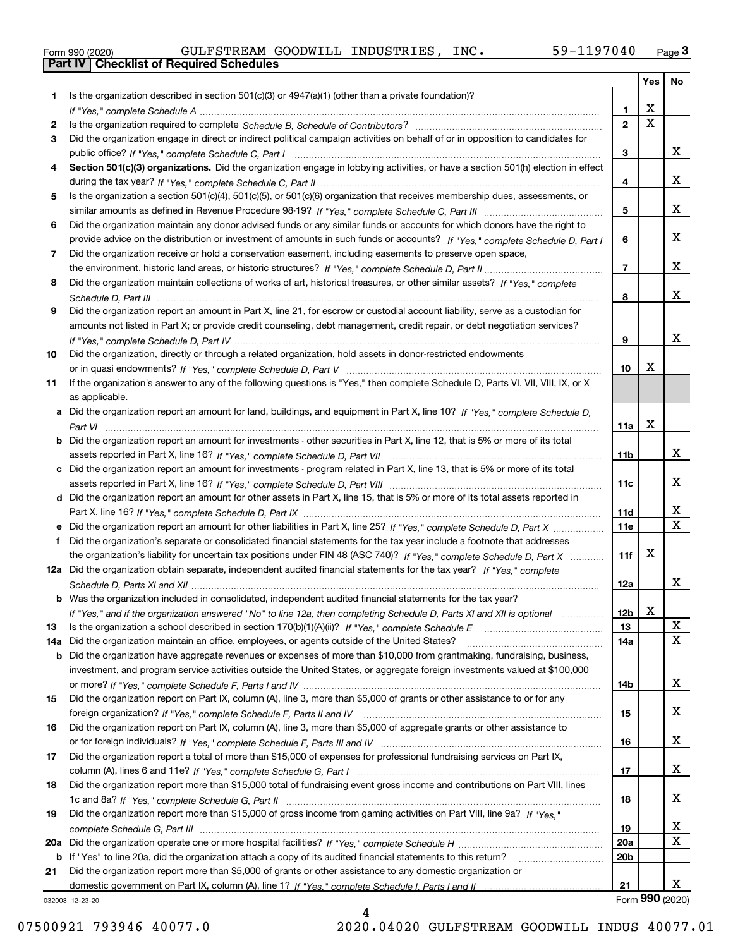|  | Form 990 (2020) |
|--|-----------------|

| Is the organization described in section $501(c)(3)$ or $4947(a)(1)$ (other than a private foundation)?<br>1.<br>X<br>1.<br>$\overline{\mathbf{x}}$<br>$\overline{2}$<br>2<br>Did the organization engage in direct or indirect political campaign activities on behalf of or in opposition to candidates for<br>3<br>x<br>3<br>Section 501(c)(3) organizations. Did the organization engage in lobbying activities, or have a section 501(h) election in effect<br>4<br>x<br>4<br>Is the organization a section 501(c)(4), 501(c)(5), or 501(c)(6) organization that receives membership dues, assessments, or<br>5.<br>x<br>5<br>Did the organization maintain any donor advised funds or any similar funds or accounts for which donors have the right to<br>6<br>x<br>provide advice on the distribution or investment of amounts in such funds or accounts? If "Yes," complete Schedule D, Part I<br>6<br>Did the organization receive or hold a conservation easement, including easements to preserve open space,<br>7<br>x<br>$\overline{7}$<br>Did the organization maintain collections of works of art, historical treasures, or other similar assets? If "Yes," complete<br>8<br>x<br>8<br>Did the organization report an amount in Part X, line 21, for escrow or custodial account liability, serve as a custodian for<br>9<br>amounts not listed in Part X; or provide credit counseling, debt management, credit repair, or debt negotiation services?<br>X<br>9<br>Did the organization, directly or through a related organization, hold assets in donor-restricted endowments<br>10<br>Х<br>10<br>If the organization's answer to any of the following questions is "Yes," then complete Schedule D, Parts VI, VII, VIII, IX, or X<br>11<br>as applicable.<br>Did the organization report an amount for land, buildings, and equipment in Part X, line 10? If "Yes," complete Schedule D,<br>a<br>X<br>11a<br>Did the organization report an amount for investments - other securities in Part X, line 12, that is 5% or more of its total<br>b<br>x<br>11 <sub>b</sub><br>Did the organization report an amount for investments - program related in Part X, line 13, that is 5% or more of its total<br>c<br>x<br>11c<br>d Did the organization report an amount for other assets in Part X, line 15, that is 5% or more of its total assets reported in<br>х<br>11d<br>$\mathbf X$<br>11e<br>Did the organization report an amount for other liabilities in Part X, line 25? If "Yes," complete Schedule D, Part X<br>Did the organization's separate or consolidated financial statements for the tax year include a footnote that addresses<br>X<br>the organization's liability for uncertain tax positions under FIN 48 (ASC 740)? If "Yes," complete Schedule D, Part X<br>11f<br>12a Did the organization obtain separate, independent audited financial statements for the tax year? If "Yes," complete<br>x<br>12a<br><b>b</b> Was the organization included in consolidated, independent audited financial statements for the tax year?<br>X<br>If "Yes," and if the organization answered "No" to line 12a, then completing Schedule D, Parts XI and XII is optional <i>maniman</i> .<br>12b<br>X<br>13<br>X<br>Did the organization maintain an office, employees, or agents outside of the United States?<br>14a<br>Did the organization have aggregate revenues or expenses of more than \$10,000 from grantmaking, fundraising, business,<br>b<br>investment, and program service activities outside the United States, or aggregate foreign investments valued at \$100,000<br>x<br>14b<br>Did the organization report on Part IX, column (A), line 3, more than \$5,000 of grants or other assistance to or for any<br>X<br>15<br>Did the organization report on Part IX, column (A), line 3, more than \$5,000 of aggregate grants or other assistance to<br>X<br>16<br>Did the organization report a total of more than \$15,000 of expenses for professional fundraising services on Part IX,<br>X<br>17<br>Did the organization report more than \$15,000 total of fundraising event gross income and contributions on Part VIII, lines<br>X<br>18<br>Did the organization report more than \$15,000 of gross income from gaming activities on Part VIII, line 9a? If "Yes."<br>19<br>x<br>19<br>X<br>20a<br>20 <sub>b</sub><br>b If "Yes" to line 20a, did the organization attach a copy of its audited financial statements to this return?<br>Did the organization report more than \$5,000 of grants or other assistance to any domestic organization or<br>21<br>x<br>21<br>Form 990 (2020)<br>032003 12-23-20 |     |  | Yes | No |
|----------------------------------------------------------------------------------------------------------------------------------------------------------------------------------------------------------------------------------------------------------------------------------------------------------------------------------------------------------------------------------------------------------------------------------------------------------------------------------------------------------------------------------------------------------------------------------------------------------------------------------------------------------------------------------------------------------------------------------------------------------------------------------------------------------------------------------------------------------------------------------------------------------------------------------------------------------------------------------------------------------------------------------------------------------------------------------------------------------------------------------------------------------------------------------------------------------------------------------------------------------------------------------------------------------------------------------------------------------------------------------------------------------------------------------------------------------------------------------------------------------------------------------------------------------------------------------------------------------------------------------------------------------------------------------------------------------------------------------------------------------------------------------------------------------------------------------------------------------------------------------------------------------------------------------------------------------------------------------------------------------------------------------------------------------------------------------------------------------------------------------------------------------------------------------------------------------------------------------------------------------------------------------------------------------------------------------------------------------------------------------------------------------------------------------------------------------------------------------------------------------------------------------------------------------------------------------------------------------------------------------------------------------------------------------------------------------------------------------------------------------------------------------------------------------------------------------------------------------------------------------------------------------------------------------------------------------------------------------------------------------------------------------------------------------------------------------------------------------------------------------------------------------------------------------------------------------------------------------------------------------------------------------------------------------------------------------------------------------------------------------------------------------------------------------------------------------------------------------------------------------------------------------------------------------------------------------------------------------------------------------------------------------------------------------------------------------------------------------------------------------------------------------------------------------------------------------------------------------------------------------------------------------------------------------------------------------------------------------------------------------------------------------------------------------------------------------------------------------------------------------------------------------------------------------------------------------------------------------------------------------------------------------------------------------------------------------------------------------------------------------------------------------------------------------------------------------------------------------------------------------------------------------------------------------------------------------------------------------------------------------------------------------------|-----|--|-----|----|
|                                                                                                                                                                                                                                                                                                                                                                                                                                                                                                                                                                                                                                                                                                                                                                                                                                                                                                                                                                                                                                                                                                                                                                                                                                                                                                                                                                                                                                                                                                                                                                                                                                                                                                                                                                                                                                                                                                                                                                                                                                                                                                                                                                                                                                                                                                                                                                                                                                                                                                                                                                                                                                                                                                                                                                                                                                                                                                                                                                                                                                                                                                                                                                                                                                                                                                                                                                                                                                                                                                                                                                                                                                                                                                                                                                                                                                                                                                                                                                                                                                                                                                                                                                                                                                                                                                                                                                                                                                                                                                                                                                                                                                                                |     |  |     |    |
|                                                                                                                                                                                                                                                                                                                                                                                                                                                                                                                                                                                                                                                                                                                                                                                                                                                                                                                                                                                                                                                                                                                                                                                                                                                                                                                                                                                                                                                                                                                                                                                                                                                                                                                                                                                                                                                                                                                                                                                                                                                                                                                                                                                                                                                                                                                                                                                                                                                                                                                                                                                                                                                                                                                                                                                                                                                                                                                                                                                                                                                                                                                                                                                                                                                                                                                                                                                                                                                                                                                                                                                                                                                                                                                                                                                                                                                                                                                                                                                                                                                                                                                                                                                                                                                                                                                                                                                                                                                                                                                                                                                                                                                                |     |  |     |    |
|                                                                                                                                                                                                                                                                                                                                                                                                                                                                                                                                                                                                                                                                                                                                                                                                                                                                                                                                                                                                                                                                                                                                                                                                                                                                                                                                                                                                                                                                                                                                                                                                                                                                                                                                                                                                                                                                                                                                                                                                                                                                                                                                                                                                                                                                                                                                                                                                                                                                                                                                                                                                                                                                                                                                                                                                                                                                                                                                                                                                                                                                                                                                                                                                                                                                                                                                                                                                                                                                                                                                                                                                                                                                                                                                                                                                                                                                                                                                                                                                                                                                                                                                                                                                                                                                                                                                                                                                                                                                                                                                                                                                                                                                |     |  |     |    |
|                                                                                                                                                                                                                                                                                                                                                                                                                                                                                                                                                                                                                                                                                                                                                                                                                                                                                                                                                                                                                                                                                                                                                                                                                                                                                                                                                                                                                                                                                                                                                                                                                                                                                                                                                                                                                                                                                                                                                                                                                                                                                                                                                                                                                                                                                                                                                                                                                                                                                                                                                                                                                                                                                                                                                                                                                                                                                                                                                                                                                                                                                                                                                                                                                                                                                                                                                                                                                                                                                                                                                                                                                                                                                                                                                                                                                                                                                                                                                                                                                                                                                                                                                                                                                                                                                                                                                                                                                                                                                                                                                                                                                                                                |     |  |     |    |
|                                                                                                                                                                                                                                                                                                                                                                                                                                                                                                                                                                                                                                                                                                                                                                                                                                                                                                                                                                                                                                                                                                                                                                                                                                                                                                                                                                                                                                                                                                                                                                                                                                                                                                                                                                                                                                                                                                                                                                                                                                                                                                                                                                                                                                                                                                                                                                                                                                                                                                                                                                                                                                                                                                                                                                                                                                                                                                                                                                                                                                                                                                                                                                                                                                                                                                                                                                                                                                                                                                                                                                                                                                                                                                                                                                                                                                                                                                                                                                                                                                                                                                                                                                                                                                                                                                                                                                                                                                                                                                                                                                                                                                                                |     |  |     |    |
|                                                                                                                                                                                                                                                                                                                                                                                                                                                                                                                                                                                                                                                                                                                                                                                                                                                                                                                                                                                                                                                                                                                                                                                                                                                                                                                                                                                                                                                                                                                                                                                                                                                                                                                                                                                                                                                                                                                                                                                                                                                                                                                                                                                                                                                                                                                                                                                                                                                                                                                                                                                                                                                                                                                                                                                                                                                                                                                                                                                                                                                                                                                                                                                                                                                                                                                                                                                                                                                                                                                                                                                                                                                                                                                                                                                                                                                                                                                                                                                                                                                                                                                                                                                                                                                                                                                                                                                                                                                                                                                                                                                                                                                                |     |  |     |    |
|                                                                                                                                                                                                                                                                                                                                                                                                                                                                                                                                                                                                                                                                                                                                                                                                                                                                                                                                                                                                                                                                                                                                                                                                                                                                                                                                                                                                                                                                                                                                                                                                                                                                                                                                                                                                                                                                                                                                                                                                                                                                                                                                                                                                                                                                                                                                                                                                                                                                                                                                                                                                                                                                                                                                                                                                                                                                                                                                                                                                                                                                                                                                                                                                                                                                                                                                                                                                                                                                                                                                                                                                                                                                                                                                                                                                                                                                                                                                                                                                                                                                                                                                                                                                                                                                                                                                                                                                                                                                                                                                                                                                                                                                |     |  |     |    |
|                                                                                                                                                                                                                                                                                                                                                                                                                                                                                                                                                                                                                                                                                                                                                                                                                                                                                                                                                                                                                                                                                                                                                                                                                                                                                                                                                                                                                                                                                                                                                                                                                                                                                                                                                                                                                                                                                                                                                                                                                                                                                                                                                                                                                                                                                                                                                                                                                                                                                                                                                                                                                                                                                                                                                                                                                                                                                                                                                                                                                                                                                                                                                                                                                                                                                                                                                                                                                                                                                                                                                                                                                                                                                                                                                                                                                                                                                                                                                                                                                                                                                                                                                                                                                                                                                                                                                                                                                                                                                                                                                                                                                                                                |     |  |     |    |
|                                                                                                                                                                                                                                                                                                                                                                                                                                                                                                                                                                                                                                                                                                                                                                                                                                                                                                                                                                                                                                                                                                                                                                                                                                                                                                                                                                                                                                                                                                                                                                                                                                                                                                                                                                                                                                                                                                                                                                                                                                                                                                                                                                                                                                                                                                                                                                                                                                                                                                                                                                                                                                                                                                                                                                                                                                                                                                                                                                                                                                                                                                                                                                                                                                                                                                                                                                                                                                                                                                                                                                                                                                                                                                                                                                                                                                                                                                                                                                                                                                                                                                                                                                                                                                                                                                                                                                                                                                                                                                                                                                                                                                                                |     |  |     |    |
|                                                                                                                                                                                                                                                                                                                                                                                                                                                                                                                                                                                                                                                                                                                                                                                                                                                                                                                                                                                                                                                                                                                                                                                                                                                                                                                                                                                                                                                                                                                                                                                                                                                                                                                                                                                                                                                                                                                                                                                                                                                                                                                                                                                                                                                                                                                                                                                                                                                                                                                                                                                                                                                                                                                                                                                                                                                                                                                                                                                                                                                                                                                                                                                                                                                                                                                                                                                                                                                                                                                                                                                                                                                                                                                                                                                                                                                                                                                                                                                                                                                                                                                                                                                                                                                                                                                                                                                                                                                                                                                                                                                                                                                                |     |  |     |    |
|                                                                                                                                                                                                                                                                                                                                                                                                                                                                                                                                                                                                                                                                                                                                                                                                                                                                                                                                                                                                                                                                                                                                                                                                                                                                                                                                                                                                                                                                                                                                                                                                                                                                                                                                                                                                                                                                                                                                                                                                                                                                                                                                                                                                                                                                                                                                                                                                                                                                                                                                                                                                                                                                                                                                                                                                                                                                                                                                                                                                                                                                                                                                                                                                                                                                                                                                                                                                                                                                                                                                                                                                                                                                                                                                                                                                                                                                                                                                                                                                                                                                                                                                                                                                                                                                                                                                                                                                                                                                                                                                                                                                                                                                |     |  |     |    |
|                                                                                                                                                                                                                                                                                                                                                                                                                                                                                                                                                                                                                                                                                                                                                                                                                                                                                                                                                                                                                                                                                                                                                                                                                                                                                                                                                                                                                                                                                                                                                                                                                                                                                                                                                                                                                                                                                                                                                                                                                                                                                                                                                                                                                                                                                                                                                                                                                                                                                                                                                                                                                                                                                                                                                                                                                                                                                                                                                                                                                                                                                                                                                                                                                                                                                                                                                                                                                                                                                                                                                                                                                                                                                                                                                                                                                                                                                                                                                                                                                                                                                                                                                                                                                                                                                                                                                                                                                                                                                                                                                                                                                                                                |     |  |     |    |
|                                                                                                                                                                                                                                                                                                                                                                                                                                                                                                                                                                                                                                                                                                                                                                                                                                                                                                                                                                                                                                                                                                                                                                                                                                                                                                                                                                                                                                                                                                                                                                                                                                                                                                                                                                                                                                                                                                                                                                                                                                                                                                                                                                                                                                                                                                                                                                                                                                                                                                                                                                                                                                                                                                                                                                                                                                                                                                                                                                                                                                                                                                                                                                                                                                                                                                                                                                                                                                                                                                                                                                                                                                                                                                                                                                                                                                                                                                                                                                                                                                                                                                                                                                                                                                                                                                                                                                                                                                                                                                                                                                                                                                                                |     |  |     |    |
|                                                                                                                                                                                                                                                                                                                                                                                                                                                                                                                                                                                                                                                                                                                                                                                                                                                                                                                                                                                                                                                                                                                                                                                                                                                                                                                                                                                                                                                                                                                                                                                                                                                                                                                                                                                                                                                                                                                                                                                                                                                                                                                                                                                                                                                                                                                                                                                                                                                                                                                                                                                                                                                                                                                                                                                                                                                                                                                                                                                                                                                                                                                                                                                                                                                                                                                                                                                                                                                                                                                                                                                                                                                                                                                                                                                                                                                                                                                                                                                                                                                                                                                                                                                                                                                                                                                                                                                                                                                                                                                                                                                                                                                                |     |  |     |    |
|                                                                                                                                                                                                                                                                                                                                                                                                                                                                                                                                                                                                                                                                                                                                                                                                                                                                                                                                                                                                                                                                                                                                                                                                                                                                                                                                                                                                                                                                                                                                                                                                                                                                                                                                                                                                                                                                                                                                                                                                                                                                                                                                                                                                                                                                                                                                                                                                                                                                                                                                                                                                                                                                                                                                                                                                                                                                                                                                                                                                                                                                                                                                                                                                                                                                                                                                                                                                                                                                                                                                                                                                                                                                                                                                                                                                                                                                                                                                                                                                                                                                                                                                                                                                                                                                                                                                                                                                                                                                                                                                                                                                                                                                |     |  |     |    |
|                                                                                                                                                                                                                                                                                                                                                                                                                                                                                                                                                                                                                                                                                                                                                                                                                                                                                                                                                                                                                                                                                                                                                                                                                                                                                                                                                                                                                                                                                                                                                                                                                                                                                                                                                                                                                                                                                                                                                                                                                                                                                                                                                                                                                                                                                                                                                                                                                                                                                                                                                                                                                                                                                                                                                                                                                                                                                                                                                                                                                                                                                                                                                                                                                                                                                                                                                                                                                                                                                                                                                                                                                                                                                                                                                                                                                                                                                                                                                                                                                                                                                                                                                                                                                                                                                                                                                                                                                                                                                                                                                                                                                                                                |     |  |     |    |
|                                                                                                                                                                                                                                                                                                                                                                                                                                                                                                                                                                                                                                                                                                                                                                                                                                                                                                                                                                                                                                                                                                                                                                                                                                                                                                                                                                                                                                                                                                                                                                                                                                                                                                                                                                                                                                                                                                                                                                                                                                                                                                                                                                                                                                                                                                                                                                                                                                                                                                                                                                                                                                                                                                                                                                                                                                                                                                                                                                                                                                                                                                                                                                                                                                                                                                                                                                                                                                                                                                                                                                                                                                                                                                                                                                                                                                                                                                                                                                                                                                                                                                                                                                                                                                                                                                                                                                                                                                                                                                                                                                                                                                                                |     |  |     |    |
|                                                                                                                                                                                                                                                                                                                                                                                                                                                                                                                                                                                                                                                                                                                                                                                                                                                                                                                                                                                                                                                                                                                                                                                                                                                                                                                                                                                                                                                                                                                                                                                                                                                                                                                                                                                                                                                                                                                                                                                                                                                                                                                                                                                                                                                                                                                                                                                                                                                                                                                                                                                                                                                                                                                                                                                                                                                                                                                                                                                                                                                                                                                                                                                                                                                                                                                                                                                                                                                                                                                                                                                                                                                                                                                                                                                                                                                                                                                                                                                                                                                                                                                                                                                                                                                                                                                                                                                                                                                                                                                                                                                                                                                                |     |  |     |    |
|                                                                                                                                                                                                                                                                                                                                                                                                                                                                                                                                                                                                                                                                                                                                                                                                                                                                                                                                                                                                                                                                                                                                                                                                                                                                                                                                                                                                                                                                                                                                                                                                                                                                                                                                                                                                                                                                                                                                                                                                                                                                                                                                                                                                                                                                                                                                                                                                                                                                                                                                                                                                                                                                                                                                                                                                                                                                                                                                                                                                                                                                                                                                                                                                                                                                                                                                                                                                                                                                                                                                                                                                                                                                                                                                                                                                                                                                                                                                                                                                                                                                                                                                                                                                                                                                                                                                                                                                                                                                                                                                                                                                                                                                |     |  |     |    |
|                                                                                                                                                                                                                                                                                                                                                                                                                                                                                                                                                                                                                                                                                                                                                                                                                                                                                                                                                                                                                                                                                                                                                                                                                                                                                                                                                                                                                                                                                                                                                                                                                                                                                                                                                                                                                                                                                                                                                                                                                                                                                                                                                                                                                                                                                                                                                                                                                                                                                                                                                                                                                                                                                                                                                                                                                                                                                                                                                                                                                                                                                                                                                                                                                                                                                                                                                                                                                                                                                                                                                                                                                                                                                                                                                                                                                                                                                                                                                                                                                                                                                                                                                                                                                                                                                                                                                                                                                                                                                                                                                                                                                                                                |     |  |     |    |
|                                                                                                                                                                                                                                                                                                                                                                                                                                                                                                                                                                                                                                                                                                                                                                                                                                                                                                                                                                                                                                                                                                                                                                                                                                                                                                                                                                                                                                                                                                                                                                                                                                                                                                                                                                                                                                                                                                                                                                                                                                                                                                                                                                                                                                                                                                                                                                                                                                                                                                                                                                                                                                                                                                                                                                                                                                                                                                                                                                                                                                                                                                                                                                                                                                                                                                                                                                                                                                                                                                                                                                                                                                                                                                                                                                                                                                                                                                                                                                                                                                                                                                                                                                                                                                                                                                                                                                                                                                                                                                                                                                                                                                                                |     |  |     |    |
|                                                                                                                                                                                                                                                                                                                                                                                                                                                                                                                                                                                                                                                                                                                                                                                                                                                                                                                                                                                                                                                                                                                                                                                                                                                                                                                                                                                                                                                                                                                                                                                                                                                                                                                                                                                                                                                                                                                                                                                                                                                                                                                                                                                                                                                                                                                                                                                                                                                                                                                                                                                                                                                                                                                                                                                                                                                                                                                                                                                                                                                                                                                                                                                                                                                                                                                                                                                                                                                                                                                                                                                                                                                                                                                                                                                                                                                                                                                                                                                                                                                                                                                                                                                                                                                                                                                                                                                                                                                                                                                                                                                                                                                                |     |  |     |    |
|                                                                                                                                                                                                                                                                                                                                                                                                                                                                                                                                                                                                                                                                                                                                                                                                                                                                                                                                                                                                                                                                                                                                                                                                                                                                                                                                                                                                                                                                                                                                                                                                                                                                                                                                                                                                                                                                                                                                                                                                                                                                                                                                                                                                                                                                                                                                                                                                                                                                                                                                                                                                                                                                                                                                                                                                                                                                                                                                                                                                                                                                                                                                                                                                                                                                                                                                                                                                                                                                                                                                                                                                                                                                                                                                                                                                                                                                                                                                                                                                                                                                                                                                                                                                                                                                                                                                                                                                                                                                                                                                                                                                                                                                |     |  |     |    |
|                                                                                                                                                                                                                                                                                                                                                                                                                                                                                                                                                                                                                                                                                                                                                                                                                                                                                                                                                                                                                                                                                                                                                                                                                                                                                                                                                                                                                                                                                                                                                                                                                                                                                                                                                                                                                                                                                                                                                                                                                                                                                                                                                                                                                                                                                                                                                                                                                                                                                                                                                                                                                                                                                                                                                                                                                                                                                                                                                                                                                                                                                                                                                                                                                                                                                                                                                                                                                                                                                                                                                                                                                                                                                                                                                                                                                                                                                                                                                                                                                                                                                                                                                                                                                                                                                                                                                                                                                                                                                                                                                                                                                                                                |     |  |     |    |
|                                                                                                                                                                                                                                                                                                                                                                                                                                                                                                                                                                                                                                                                                                                                                                                                                                                                                                                                                                                                                                                                                                                                                                                                                                                                                                                                                                                                                                                                                                                                                                                                                                                                                                                                                                                                                                                                                                                                                                                                                                                                                                                                                                                                                                                                                                                                                                                                                                                                                                                                                                                                                                                                                                                                                                                                                                                                                                                                                                                                                                                                                                                                                                                                                                                                                                                                                                                                                                                                                                                                                                                                                                                                                                                                                                                                                                                                                                                                                                                                                                                                                                                                                                                                                                                                                                                                                                                                                                                                                                                                                                                                                                                                |     |  |     |    |
|                                                                                                                                                                                                                                                                                                                                                                                                                                                                                                                                                                                                                                                                                                                                                                                                                                                                                                                                                                                                                                                                                                                                                                                                                                                                                                                                                                                                                                                                                                                                                                                                                                                                                                                                                                                                                                                                                                                                                                                                                                                                                                                                                                                                                                                                                                                                                                                                                                                                                                                                                                                                                                                                                                                                                                                                                                                                                                                                                                                                                                                                                                                                                                                                                                                                                                                                                                                                                                                                                                                                                                                                                                                                                                                                                                                                                                                                                                                                                                                                                                                                                                                                                                                                                                                                                                                                                                                                                                                                                                                                                                                                                                                                |     |  |     |    |
|                                                                                                                                                                                                                                                                                                                                                                                                                                                                                                                                                                                                                                                                                                                                                                                                                                                                                                                                                                                                                                                                                                                                                                                                                                                                                                                                                                                                                                                                                                                                                                                                                                                                                                                                                                                                                                                                                                                                                                                                                                                                                                                                                                                                                                                                                                                                                                                                                                                                                                                                                                                                                                                                                                                                                                                                                                                                                                                                                                                                                                                                                                                                                                                                                                                                                                                                                                                                                                                                                                                                                                                                                                                                                                                                                                                                                                                                                                                                                                                                                                                                                                                                                                                                                                                                                                                                                                                                                                                                                                                                                                                                                                                                |     |  |     |    |
|                                                                                                                                                                                                                                                                                                                                                                                                                                                                                                                                                                                                                                                                                                                                                                                                                                                                                                                                                                                                                                                                                                                                                                                                                                                                                                                                                                                                                                                                                                                                                                                                                                                                                                                                                                                                                                                                                                                                                                                                                                                                                                                                                                                                                                                                                                                                                                                                                                                                                                                                                                                                                                                                                                                                                                                                                                                                                                                                                                                                                                                                                                                                                                                                                                                                                                                                                                                                                                                                                                                                                                                                                                                                                                                                                                                                                                                                                                                                                                                                                                                                                                                                                                                                                                                                                                                                                                                                                                                                                                                                                                                                                                                                |     |  |     |    |
|                                                                                                                                                                                                                                                                                                                                                                                                                                                                                                                                                                                                                                                                                                                                                                                                                                                                                                                                                                                                                                                                                                                                                                                                                                                                                                                                                                                                                                                                                                                                                                                                                                                                                                                                                                                                                                                                                                                                                                                                                                                                                                                                                                                                                                                                                                                                                                                                                                                                                                                                                                                                                                                                                                                                                                                                                                                                                                                                                                                                                                                                                                                                                                                                                                                                                                                                                                                                                                                                                                                                                                                                                                                                                                                                                                                                                                                                                                                                                                                                                                                                                                                                                                                                                                                                                                                                                                                                                                                                                                                                                                                                                                                                |     |  |     |    |
|                                                                                                                                                                                                                                                                                                                                                                                                                                                                                                                                                                                                                                                                                                                                                                                                                                                                                                                                                                                                                                                                                                                                                                                                                                                                                                                                                                                                                                                                                                                                                                                                                                                                                                                                                                                                                                                                                                                                                                                                                                                                                                                                                                                                                                                                                                                                                                                                                                                                                                                                                                                                                                                                                                                                                                                                                                                                                                                                                                                                                                                                                                                                                                                                                                                                                                                                                                                                                                                                                                                                                                                                                                                                                                                                                                                                                                                                                                                                                                                                                                                                                                                                                                                                                                                                                                                                                                                                                                                                                                                                                                                                                                                                |     |  |     |    |
|                                                                                                                                                                                                                                                                                                                                                                                                                                                                                                                                                                                                                                                                                                                                                                                                                                                                                                                                                                                                                                                                                                                                                                                                                                                                                                                                                                                                                                                                                                                                                                                                                                                                                                                                                                                                                                                                                                                                                                                                                                                                                                                                                                                                                                                                                                                                                                                                                                                                                                                                                                                                                                                                                                                                                                                                                                                                                                                                                                                                                                                                                                                                                                                                                                                                                                                                                                                                                                                                                                                                                                                                                                                                                                                                                                                                                                                                                                                                                                                                                                                                                                                                                                                                                                                                                                                                                                                                                                                                                                                                                                                                                                                                |     |  |     |    |
|                                                                                                                                                                                                                                                                                                                                                                                                                                                                                                                                                                                                                                                                                                                                                                                                                                                                                                                                                                                                                                                                                                                                                                                                                                                                                                                                                                                                                                                                                                                                                                                                                                                                                                                                                                                                                                                                                                                                                                                                                                                                                                                                                                                                                                                                                                                                                                                                                                                                                                                                                                                                                                                                                                                                                                                                                                                                                                                                                                                                                                                                                                                                                                                                                                                                                                                                                                                                                                                                                                                                                                                                                                                                                                                                                                                                                                                                                                                                                                                                                                                                                                                                                                                                                                                                                                                                                                                                                                                                                                                                                                                                                                                                |     |  |     |    |
|                                                                                                                                                                                                                                                                                                                                                                                                                                                                                                                                                                                                                                                                                                                                                                                                                                                                                                                                                                                                                                                                                                                                                                                                                                                                                                                                                                                                                                                                                                                                                                                                                                                                                                                                                                                                                                                                                                                                                                                                                                                                                                                                                                                                                                                                                                                                                                                                                                                                                                                                                                                                                                                                                                                                                                                                                                                                                                                                                                                                                                                                                                                                                                                                                                                                                                                                                                                                                                                                                                                                                                                                                                                                                                                                                                                                                                                                                                                                                                                                                                                                                                                                                                                                                                                                                                                                                                                                                                                                                                                                                                                                                                                                |     |  |     |    |
|                                                                                                                                                                                                                                                                                                                                                                                                                                                                                                                                                                                                                                                                                                                                                                                                                                                                                                                                                                                                                                                                                                                                                                                                                                                                                                                                                                                                                                                                                                                                                                                                                                                                                                                                                                                                                                                                                                                                                                                                                                                                                                                                                                                                                                                                                                                                                                                                                                                                                                                                                                                                                                                                                                                                                                                                                                                                                                                                                                                                                                                                                                                                                                                                                                                                                                                                                                                                                                                                                                                                                                                                                                                                                                                                                                                                                                                                                                                                                                                                                                                                                                                                                                                                                                                                                                                                                                                                                                                                                                                                                                                                                                                                |     |  |     |    |
|                                                                                                                                                                                                                                                                                                                                                                                                                                                                                                                                                                                                                                                                                                                                                                                                                                                                                                                                                                                                                                                                                                                                                                                                                                                                                                                                                                                                                                                                                                                                                                                                                                                                                                                                                                                                                                                                                                                                                                                                                                                                                                                                                                                                                                                                                                                                                                                                                                                                                                                                                                                                                                                                                                                                                                                                                                                                                                                                                                                                                                                                                                                                                                                                                                                                                                                                                                                                                                                                                                                                                                                                                                                                                                                                                                                                                                                                                                                                                                                                                                                                                                                                                                                                                                                                                                                                                                                                                                                                                                                                                                                                                                                                |     |  |     |    |
|                                                                                                                                                                                                                                                                                                                                                                                                                                                                                                                                                                                                                                                                                                                                                                                                                                                                                                                                                                                                                                                                                                                                                                                                                                                                                                                                                                                                                                                                                                                                                                                                                                                                                                                                                                                                                                                                                                                                                                                                                                                                                                                                                                                                                                                                                                                                                                                                                                                                                                                                                                                                                                                                                                                                                                                                                                                                                                                                                                                                                                                                                                                                                                                                                                                                                                                                                                                                                                                                                                                                                                                                                                                                                                                                                                                                                                                                                                                                                                                                                                                                                                                                                                                                                                                                                                                                                                                                                                                                                                                                                                                                                                                                |     |  |     |    |
|                                                                                                                                                                                                                                                                                                                                                                                                                                                                                                                                                                                                                                                                                                                                                                                                                                                                                                                                                                                                                                                                                                                                                                                                                                                                                                                                                                                                                                                                                                                                                                                                                                                                                                                                                                                                                                                                                                                                                                                                                                                                                                                                                                                                                                                                                                                                                                                                                                                                                                                                                                                                                                                                                                                                                                                                                                                                                                                                                                                                                                                                                                                                                                                                                                                                                                                                                                                                                                                                                                                                                                                                                                                                                                                                                                                                                                                                                                                                                                                                                                                                                                                                                                                                                                                                                                                                                                                                                                                                                                                                                                                                                                                                | 13  |  |     |    |
|                                                                                                                                                                                                                                                                                                                                                                                                                                                                                                                                                                                                                                                                                                                                                                                                                                                                                                                                                                                                                                                                                                                                                                                                                                                                                                                                                                                                                                                                                                                                                                                                                                                                                                                                                                                                                                                                                                                                                                                                                                                                                                                                                                                                                                                                                                                                                                                                                                                                                                                                                                                                                                                                                                                                                                                                                                                                                                                                                                                                                                                                                                                                                                                                                                                                                                                                                                                                                                                                                                                                                                                                                                                                                                                                                                                                                                                                                                                                                                                                                                                                                                                                                                                                                                                                                                                                                                                                                                                                                                                                                                                                                                                                | 14a |  |     |    |
|                                                                                                                                                                                                                                                                                                                                                                                                                                                                                                                                                                                                                                                                                                                                                                                                                                                                                                                                                                                                                                                                                                                                                                                                                                                                                                                                                                                                                                                                                                                                                                                                                                                                                                                                                                                                                                                                                                                                                                                                                                                                                                                                                                                                                                                                                                                                                                                                                                                                                                                                                                                                                                                                                                                                                                                                                                                                                                                                                                                                                                                                                                                                                                                                                                                                                                                                                                                                                                                                                                                                                                                                                                                                                                                                                                                                                                                                                                                                                                                                                                                                                                                                                                                                                                                                                                                                                                                                                                                                                                                                                                                                                                                                |     |  |     |    |
|                                                                                                                                                                                                                                                                                                                                                                                                                                                                                                                                                                                                                                                                                                                                                                                                                                                                                                                                                                                                                                                                                                                                                                                                                                                                                                                                                                                                                                                                                                                                                                                                                                                                                                                                                                                                                                                                                                                                                                                                                                                                                                                                                                                                                                                                                                                                                                                                                                                                                                                                                                                                                                                                                                                                                                                                                                                                                                                                                                                                                                                                                                                                                                                                                                                                                                                                                                                                                                                                                                                                                                                                                                                                                                                                                                                                                                                                                                                                                                                                                                                                                                                                                                                                                                                                                                                                                                                                                                                                                                                                                                                                                                                                |     |  |     |    |
|                                                                                                                                                                                                                                                                                                                                                                                                                                                                                                                                                                                                                                                                                                                                                                                                                                                                                                                                                                                                                                                                                                                                                                                                                                                                                                                                                                                                                                                                                                                                                                                                                                                                                                                                                                                                                                                                                                                                                                                                                                                                                                                                                                                                                                                                                                                                                                                                                                                                                                                                                                                                                                                                                                                                                                                                                                                                                                                                                                                                                                                                                                                                                                                                                                                                                                                                                                                                                                                                                                                                                                                                                                                                                                                                                                                                                                                                                                                                                                                                                                                                                                                                                                                                                                                                                                                                                                                                                                                                                                                                                                                                                                                                |     |  |     |    |
|                                                                                                                                                                                                                                                                                                                                                                                                                                                                                                                                                                                                                                                                                                                                                                                                                                                                                                                                                                                                                                                                                                                                                                                                                                                                                                                                                                                                                                                                                                                                                                                                                                                                                                                                                                                                                                                                                                                                                                                                                                                                                                                                                                                                                                                                                                                                                                                                                                                                                                                                                                                                                                                                                                                                                                                                                                                                                                                                                                                                                                                                                                                                                                                                                                                                                                                                                                                                                                                                                                                                                                                                                                                                                                                                                                                                                                                                                                                                                                                                                                                                                                                                                                                                                                                                                                                                                                                                                                                                                                                                                                                                                                                                | 15  |  |     |    |
|                                                                                                                                                                                                                                                                                                                                                                                                                                                                                                                                                                                                                                                                                                                                                                                                                                                                                                                                                                                                                                                                                                                                                                                                                                                                                                                                                                                                                                                                                                                                                                                                                                                                                                                                                                                                                                                                                                                                                                                                                                                                                                                                                                                                                                                                                                                                                                                                                                                                                                                                                                                                                                                                                                                                                                                                                                                                                                                                                                                                                                                                                                                                                                                                                                                                                                                                                                                                                                                                                                                                                                                                                                                                                                                                                                                                                                                                                                                                                                                                                                                                                                                                                                                                                                                                                                                                                                                                                                                                                                                                                                                                                                                                |     |  |     |    |
|                                                                                                                                                                                                                                                                                                                                                                                                                                                                                                                                                                                                                                                                                                                                                                                                                                                                                                                                                                                                                                                                                                                                                                                                                                                                                                                                                                                                                                                                                                                                                                                                                                                                                                                                                                                                                                                                                                                                                                                                                                                                                                                                                                                                                                                                                                                                                                                                                                                                                                                                                                                                                                                                                                                                                                                                                                                                                                                                                                                                                                                                                                                                                                                                                                                                                                                                                                                                                                                                                                                                                                                                                                                                                                                                                                                                                                                                                                                                                                                                                                                                                                                                                                                                                                                                                                                                                                                                                                                                                                                                                                                                                                                                | 16  |  |     |    |
|                                                                                                                                                                                                                                                                                                                                                                                                                                                                                                                                                                                                                                                                                                                                                                                                                                                                                                                                                                                                                                                                                                                                                                                                                                                                                                                                                                                                                                                                                                                                                                                                                                                                                                                                                                                                                                                                                                                                                                                                                                                                                                                                                                                                                                                                                                                                                                                                                                                                                                                                                                                                                                                                                                                                                                                                                                                                                                                                                                                                                                                                                                                                                                                                                                                                                                                                                                                                                                                                                                                                                                                                                                                                                                                                                                                                                                                                                                                                                                                                                                                                                                                                                                                                                                                                                                                                                                                                                                                                                                                                                                                                                                                                |     |  |     |    |
|                                                                                                                                                                                                                                                                                                                                                                                                                                                                                                                                                                                                                                                                                                                                                                                                                                                                                                                                                                                                                                                                                                                                                                                                                                                                                                                                                                                                                                                                                                                                                                                                                                                                                                                                                                                                                                                                                                                                                                                                                                                                                                                                                                                                                                                                                                                                                                                                                                                                                                                                                                                                                                                                                                                                                                                                                                                                                                                                                                                                                                                                                                                                                                                                                                                                                                                                                                                                                                                                                                                                                                                                                                                                                                                                                                                                                                                                                                                                                                                                                                                                                                                                                                                                                                                                                                                                                                                                                                                                                                                                                                                                                                                                | 17  |  |     |    |
|                                                                                                                                                                                                                                                                                                                                                                                                                                                                                                                                                                                                                                                                                                                                                                                                                                                                                                                                                                                                                                                                                                                                                                                                                                                                                                                                                                                                                                                                                                                                                                                                                                                                                                                                                                                                                                                                                                                                                                                                                                                                                                                                                                                                                                                                                                                                                                                                                                                                                                                                                                                                                                                                                                                                                                                                                                                                                                                                                                                                                                                                                                                                                                                                                                                                                                                                                                                                                                                                                                                                                                                                                                                                                                                                                                                                                                                                                                                                                                                                                                                                                                                                                                                                                                                                                                                                                                                                                                                                                                                                                                                                                                                                |     |  |     |    |
|                                                                                                                                                                                                                                                                                                                                                                                                                                                                                                                                                                                                                                                                                                                                                                                                                                                                                                                                                                                                                                                                                                                                                                                                                                                                                                                                                                                                                                                                                                                                                                                                                                                                                                                                                                                                                                                                                                                                                                                                                                                                                                                                                                                                                                                                                                                                                                                                                                                                                                                                                                                                                                                                                                                                                                                                                                                                                                                                                                                                                                                                                                                                                                                                                                                                                                                                                                                                                                                                                                                                                                                                                                                                                                                                                                                                                                                                                                                                                                                                                                                                                                                                                                                                                                                                                                                                                                                                                                                                                                                                                                                                                                                                | 18  |  |     |    |
|                                                                                                                                                                                                                                                                                                                                                                                                                                                                                                                                                                                                                                                                                                                                                                                                                                                                                                                                                                                                                                                                                                                                                                                                                                                                                                                                                                                                                                                                                                                                                                                                                                                                                                                                                                                                                                                                                                                                                                                                                                                                                                                                                                                                                                                                                                                                                                                                                                                                                                                                                                                                                                                                                                                                                                                                                                                                                                                                                                                                                                                                                                                                                                                                                                                                                                                                                                                                                                                                                                                                                                                                                                                                                                                                                                                                                                                                                                                                                                                                                                                                                                                                                                                                                                                                                                                                                                                                                                                                                                                                                                                                                                                                |     |  |     |    |
|                                                                                                                                                                                                                                                                                                                                                                                                                                                                                                                                                                                                                                                                                                                                                                                                                                                                                                                                                                                                                                                                                                                                                                                                                                                                                                                                                                                                                                                                                                                                                                                                                                                                                                                                                                                                                                                                                                                                                                                                                                                                                                                                                                                                                                                                                                                                                                                                                                                                                                                                                                                                                                                                                                                                                                                                                                                                                                                                                                                                                                                                                                                                                                                                                                                                                                                                                                                                                                                                                                                                                                                                                                                                                                                                                                                                                                                                                                                                                                                                                                                                                                                                                                                                                                                                                                                                                                                                                                                                                                                                                                                                                                                                |     |  |     |    |
|                                                                                                                                                                                                                                                                                                                                                                                                                                                                                                                                                                                                                                                                                                                                                                                                                                                                                                                                                                                                                                                                                                                                                                                                                                                                                                                                                                                                                                                                                                                                                                                                                                                                                                                                                                                                                                                                                                                                                                                                                                                                                                                                                                                                                                                                                                                                                                                                                                                                                                                                                                                                                                                                                                                                                                                                                                                                                                                                                                                                                                                                                                                                                                                                                                                                                                                                                                                                                                                                                                                                                                                                                                                                                                                                                                                                                                                                                                                                                                                                                                                                                                                                                                                                                                                                                                                                                                                                                                                                                                                                                                                                                                                                |     |  |     |    |
|                                                                                                                                                                                                                                                                                                                                                                                                                                                                                                                                                                                                                                                                                                                                                                                                                                                                                                                                                                                                                                                                                                                                                                                                                                                                                                                                                                                                                                                                                                                                                                                                                                                                                                                                                                                                                                                                                                                                                                                                                                                                                                                                                                                                                                                                                                                                                                                                                                                                                                                                                                                                                                                                                                                                                                                                                                                                                                                                                                                                                                                                                                                                                                                                                                                                                                                                                                                                                                                                                                                                                                                                                                                                                                                                                                                                                                                                                                                                                                                                                                                                                                                                                                                                                                                                                                                                                                                                                                                                                                                                                                                                                                                                |     |  |     |    |
|                                                                                                                                                                                                                                                                                                                                                                                                                                                                                                                                                                                                                                                                                                                                                                                                                                                                                                                                                                                                                                                                                                                                                                                                                                                                                                                                                                                                                                                                                                                                                                                                                                                                                                                                                                                                                                                                                                                                                                                                                                                                                                                                                                                                                                                                                                                                                                                                                                                                                                                                                                                                                                                                                                                                                                                                                                                                                                                                                                                                                                                                                                                                                                                                                                                                                                                                                                                                                                                                                                                                                                                                                                                                                                                                                                                                                                                                                                                                                                                                                                                                                                                                                                                                                                                                                                                                                                                                                                                                                                                                                                                                                                                                |     |  |     |    |
|                                                                                                                                                                                                                                                                                                                                                                                                                                                                                                                                                                                                                                                                                                                                                                                                                                                                                                                                                                                                                                                                                                                                                                                                                                                                                                                                                                                                                                                                                                                                                                                                                                                                                                                                                                                                                                                                                                                                                                                                                                                                                                                                                                                                                                                                                                                                                                                                                                                                                                                                                                                                                                                                                                                                                                                                                                                                                                                                                                                                                                                                                                                                                                                                                                                                                                                                                                                                                                                                                                                                                                                                                                                                                                                                                                                                                                                                                                                                                                                                                                                                                                                                                                                                                                                                                                                                                                                                                                                                                                                                                                                                                                                                |     |  |     |    |
|                                                                                                                                                                                                                                                                                                                                                                                                                                                                                                                                                                                                                                                                                                                                                                                                                                                                                                                                                                                                                                                                                                                                                                                                                                                                                                                                                                                                                                                                                                                                                                                                                                                                                                                                                                                                                                                                                                                                                                                                                                                                                                                                                                                                                                                                                                                                                                                                                                                                                                                                                                                                                                                                                                                                                                                                                                                                                                                                                                                                                                                                                                                                                                                                                                                                                                                                                                                                                                                                                                                                                                                                                                                                                                                                                                                                                                                                                                                                                                                                                                                                                                                                                                                                                                                                                                                                                                                                                                                                                                                                                                                                                                                                |     |  |     |    |

032003 12-23-20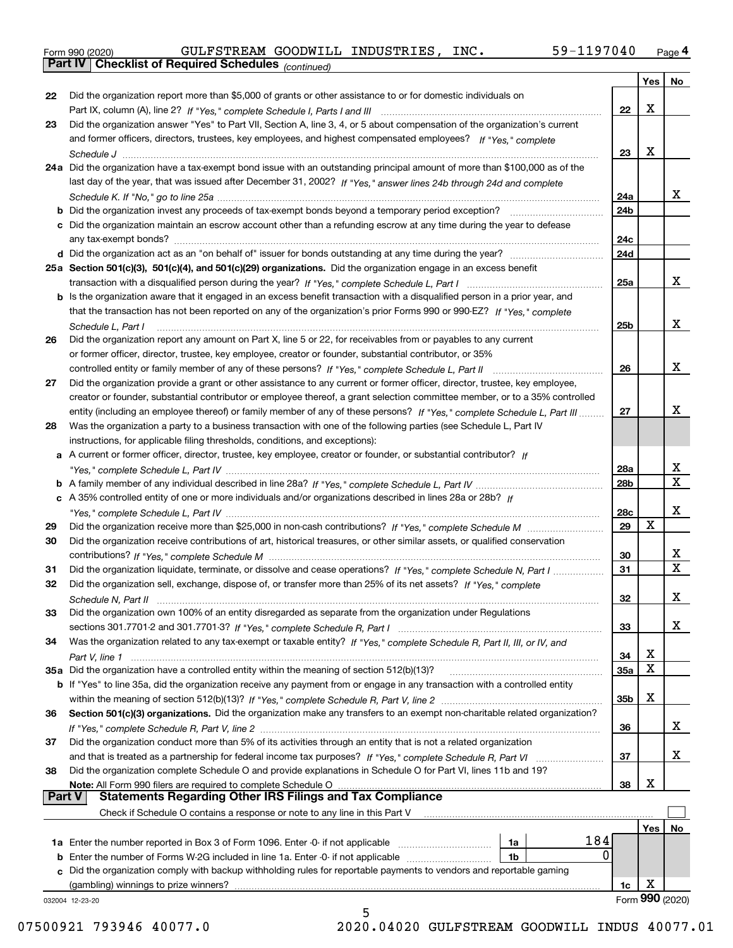|  | Form 990 (2020) |
|--|-----------------|
|  |                 |

*(continued)*

|               |                                                                                                                                                                                                                                |                 | Yes    | No               |
|---------------|--------------------------------------------------------------------------------------------------------------------------------------------------------------------------------------------------------------------------------|-----------------|--------|------------------|
| 22            | Did the organization report more than \$5,000 of grants or other assistance to or for domestic individuals on                                                                                                                  |                 |        |                  |
|               |                                                                                                                                                                                                                                | 22              | X      |                  |
| 23            | Did the organization answer "Yes" to Part VII, Section A, line 3, 4, or 5 about compensation of the organization's current                                                                                                     |                 |        |                  |
|               | and former officers, directors, trustees, key employees, and highest compensated employees? If "Yes," complete                                                                                                                 |                 |        |                  |
|               |                                                                                                                                                                                                                                | 23              | X      |                  |
|               | 24a Did the organization have a tax-exempt bond issue with an outstanding principal amount of more than \$100,000 as of the                                                                                                    |                 |        |                  |
|               | last day of the year, that was issued after December 31, 2002? If "Yes," answer lines 24b through 24d and complete                                                                                                             |                 |        |                  |
|               |                                                                                                                                                                                                                                | 24a             |        | X.               |
|               | <b>b</b> Did the organization invest any proceeds of tax-exempt bonds beyond a temporary period exception?                                                                                                                     | 24b             |        |                  |
|               | c Did the organization maintain an escrow account other than a refunding escrow at any time during the year to defease                                                                                                         |                 |        |                  |
|               |                                                                                                                                                                                                                                | 24с             |        |                  |
|               |                                                                                                                                                                                                                                | 24d             |        |                  |
|               | 25a Section 501(c)(3), 501(c)(4), and 501(c)(29) organizations. Did the organization engage in an excess benefit                                                                                                               |                 |        |                  |
|               |                                                                                                                                                                                                                                | 25a             |        | x                |
|               | b Is the organization aware that it engaged in an excess benefit transaction with a disqualified person in a prior year, and                                                                                                   |                 |        |                  |
|               | that the transaction has not been reported on any of the organization's prior Forms 990 or 990-EZ? If "Yes." complete                                                                                                          |                 |        |                  |
|               | Schedule L. Part I                                                                                                                                                                                                             | 25b             |        | x                |
| 26            | Did the organization report any amount on Part X, line 5 or 22, for receivables from or payables to any current                                                                                                                |                 |        |                  |
|               | or former officer, director, trustee, key employee, creator or founder, substantial contributor, or 35%                                                                                                                        |                 |        |                  |
|               | controlled entity or family member of any of these persons? If "Yes," complete Schedule L, Part II                                                                                                                             | 26              |        | x                |
| 27            | Did the organization provide a grant or other assistance to any current or former officer, director, trustee, key employee,                                                                                                    |                 |        |                  |
|               | creator or founder, substantial contributor or employee thereof, a grant selection committee member, or to a 35% controlled                                                                                                    |                 |        |                  |
|               | entity (including an employee thereof) or family member of any of these persons? If "Yes," complete Schedule L, Part III                                                                                                       | 27              |        | х                |
| 28            | Was the organization a party to a business transaction with one of the following parties (see Schedule L, Part IV                                                                                                              |                 |        |                  |
|               | instructions, for applicable filing thresholds, conditions, and exceptions):                                                                                                                                                   |                 |        |                  |
|               | a A current or former officer, director, trustee, key employee, creator or founder, or substantial contributor? If                                                                                                             |                 |        |                  |
|               |                                                                                                                                                                                                                                | 28a             |        | x<br>$\mathbf X$ |
|               |                                                                                                                                                                                                                                | 28 <sub>b</sub> |        |                  |
|               | c A 35% controlled entity of one or more individuals and/or organizations described in lines 28a or 28b? If                                                                                                                    |                 |        |                  |
|               |                                                                                                                                                                                                                                | 28c             |        | x                |
| 29            |                                                                                                                                                                                                                                | 29              | X      |                  |
| 30            | Did the organization receive contributions of art, historical treasures, or other similar assets, or qualified conservation                                                                                                    |                 |        |                  |
|               |                                                                                                                                                                                                                                | 30              |        | x<br>X           |
| 31            | Did the organization liquidate, terminate, or dissolve and cease operations? If "Yes," complete Schedule N, Part I                                                                                                             | 31              |        |                  |
| 32            | Did the organization sell, exchange, dispose of, or transfer more than 25% of its net assets? If "Yes," complete                                                                                                               |                 |        |                  |
|               |                                                                                                                                                                                                                                | 32              |        | x                |
| 33            | Did the organization own 100% of an entity disregarded as separate from the organization under Regulations                                                                                                                     |                 |        |                  |
|               |                                                                                                                                                                                                                                | 33              |        | X                |
| 34            | Was the organization related to any tax-exempt or taxable entity? If "Yes," complete Schedule R, Part II, III, or IV, and                                                                                                      |                 |        |                  |
|               | 35a Did the organization have a controlled entity within the meaning of section 512(b)(13)?                                                                                                                                    | 34              | х<br>x |                  |
|               |                                                                                                                                                                                                                                | 35a             |        |                  |
|               | b If "Yes" to line 35a, did the organization receive any payment from or engage in any transaction with a controlled entity                                                                                                    |                 | X      |                  |
|               |                                                                                                                                                                                                                                | 35b             |        |                  |
| 36            | Section 501(c)(3) organizations. Did the organization make any transfers to an exempt non-charitable related organization?                                                                                                     | 36              |        | x                |
|               | Did the organization conduct more than 5% of its activities through an entity that is not a related organization                                                                                                               |                 |        |                  |
| 37            |                                                                                                                                                                                                                                | 37              |        | x                |
| 38            | and that is treated as a partnership for federal income tax purposes? If "Yes," complete Schedule R, Part VI<br>Did the organization complete Schedule O and provide explanations in Schedule O for Part VI, lines 11b and 19? |                 |        |                  |
|               | Note: All Form 990 filers are required to complete Schedule O                                                                                                                                                                  | 38              | X      |                  |
| <b>Part V</b> | <b>Statements Regarding Other IRS Filings and Tax Compliance</b>                                                                                                                                                               |                 |        |                  |
|               | Check if Schedule O contains a response or note to any line in this Part V                                                                                                                                                     |                 |        |                  |
|               |                                                                                                                                                                                                                                |                 | Yes    | No               |
|               | 184<br>1a Enter the number reported in Box 3 of Form 1096. Enter -0- if not applicable<br>1a                                                                                                                                   |                 |        |                  |
|               | 0<br><b>b</b> Enter the number of Forms W-2G included in line 1a. Enter -0- if not applicable<br>1b                                                                                                                            |                 |        |                  |
|               | c Did the organization comply with backup withholding rules for reportable payments to vendors and reportable gaming                                                                                                           |                 |        |                  |
|               | (gambling) winnings to prize winners?                                                                                                                                                                                          | 1c              | х      |                  |
|               | 032004 12-23-20                                                                                                                                                                                                                |                 |        | Form 990 (2020)  |
|               | 5                                                                                                                                                                                                                              |                 |        |                  |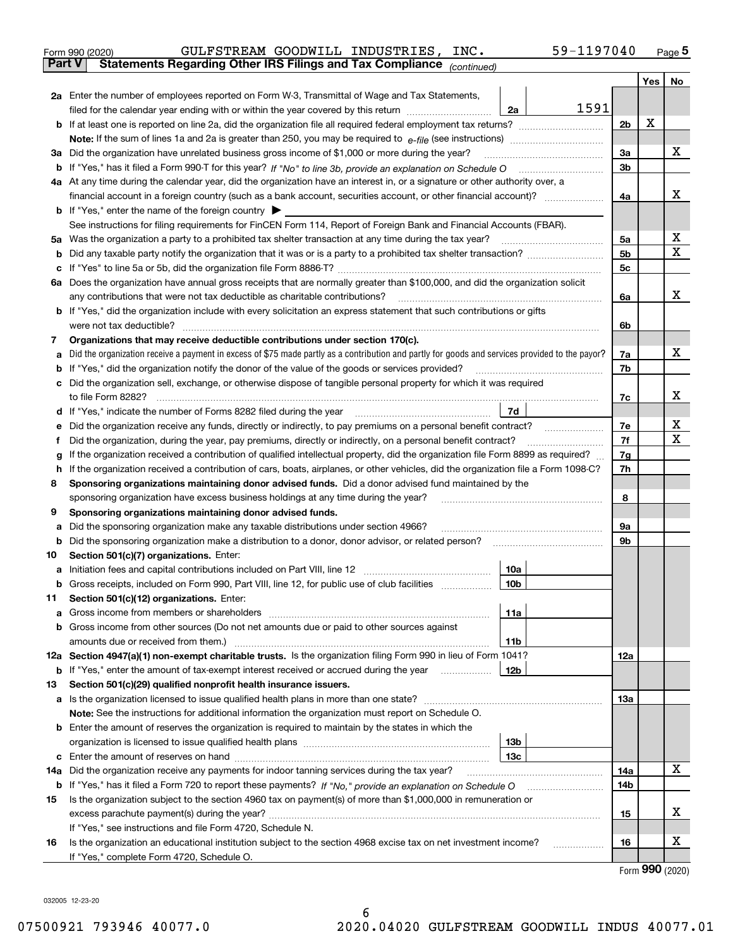| Form 990 (2020) |                                                                                                | GULFSTREAM GOODWILL INDUSTRIES, INC. | 59-1197040 | Page $5$ |
|-----------------|------------------------------------------------------------------------------------------------|--------------------------------------|------------|----------|
|                 | <b>Part V</b> Statements Regarding Other IRS Filings and Tax Compliance <sub>(continued)</sub> |                                      |            |          |

|     | Part V<br>Statements Regarding Other IRS Fillings and Tax Compilance $_{(continued)}$                                                           |      |                |     |     |  |  |
|-----|-------------------------------------------------------------------------------------------------------------------------------------------------|------|----------------|-----|-----|--|--|
|     |                                                                                                                                                 |      |                | Yes | No. |  |  |
|     | 2a Enter the number of employees reported on Form W-3, Transmittal of Wage and Tax Statements,                                                  |      |                |     |     |  |  |
|     | filed for the calendar year ending with or within the year covered by this return<br>2a                                                         | 1591 |                |     |     |  |  |
|     |                                                                                                                                                 |      | 2 <sub>b</sub> | X   |     |  |  |
|     |                                                                                                                                                 |      |                |     |     |  |  |
|     | 3a Did the organization have unrelated business gross income of \$1,000 or more during the year?                                                |      | 3a             |     | х   |  |  |
|     | b If "Yes," has it filed a Form 990-T for this year? If "No" to line 3b, provide an explanation on Schedule O                                   |      | 3b             |     |     |  |  |
|     | 4a At any time during the calendar year, did the organization have an interest in, or a signature or other authority over, a                    |      |                |     |     |  |  |
|     |                                                                                                                                                 |      | 4a             |     | х   |  |  |
|     | <b>b</b> If "Yes," enter the name of the foreign country                                                                                        |      |                |     |     |  |  |
|     | See instructions for filing requirements for FinCEN Form 114, Report of Foreign Bank and Financial Accounts (FBAR).                             |      |                |     |     |  |  |
|     | 5a Was the organization a party to a prohibited tax shelter transaction at any time during the tax year?                                        |      | 5a             |     | х   |  |  |
|     |                                                                                                                                                 |      | 5b             |     | x   |  |  |
|     |                                                                                                                                                 |      | 5c             |     |     |  |  |
|     | 6a Does the organization have annual gross receipts that are normally greater than \$100,000, and did the organization solicit                  |      |                |     |     |  |  |
|     | any contributions that were not tax deductible as charitable contributions?                                                                     |      | 6a             |     | х   |  |  |
|     | <b>b</b> If "Yes," did the organization include with every solicitation an express statement that such contributions or gifts                   |      |                |     |     |  |  |
|     | were not tax deductible?                                                                                                                        |      | 6b             |     |     |  |  |
| 7   | Organizations that may receive deductible contributions under section 170(c).                                                                   |      |                |     |     |  |  |
| а   | Did the organization receive a payment in excess of \$75 made partly as a contribution and partly for goods and services provided to the payor? |      | 7a             |     | х   |  |  |
| b   | If "Yes," did the organization notify the donor of the value of the goods or services provided?                                                 |      | 7b             |     |     |  |  |
|     | c Did the organization sell, exchange, or otherwise dispose of tangible personal property for which it was required                             |      |                |     |     |  |  |
|     | to file Form 8282?                                                                                                                              |      | 7c             |     | х   |  |  |
|     | d If "Yes," indicate the number of Forms 8282 filed during the year<br>7d                                                                       |      |                |     |     |  |  |
| е   | Did the organization receive any funds, directly or indirectly, to pay premiums on a personal benefit contract?                                 |      | 7e             |     | х   |  |  |
| f   | Did the organization, during the year, pay premiums, directly or indirectly, on a personal benefit contract?                                    |      | 7f<br>7g       |     | x   |  |  |
| g   | If the organization received a contribution of qualified intellectual property, did the organization file Form 8899 as required?                |      |                |     |     |  |  |
| h   | If the organization received a contribution of cars, boats, airplanes, or other vehicles, did the organization file a Form 1098-C?              |      | 7h             |     |     |  |  |
| 8   | Sponsoring organizations maintaining donor advised funds. Did a donor advised fund maintained by the                                            |      |                |     |     |  |  |
|     | sponsoring organization have excess business holdings at any time during the year?                                                              |      | 8              |     |     |  |  |
| 9   | Sponsoring organizations maintaining donor advised funds.                                                                                       |      |                |     |     |  |  |
| а   | Did the sponsoring organization make any taxable distributions under section 4966?                                                              |      | 9а             |     |     |  |  |
|     | <b>b</b> Did the sponsoring organization make a distribution to a donor, donor advisor, or related person?                                      |      | 9b             |     |     |  |  |
| 10  | Section 501(c)(7) organizations. Enter:                                                                                                         |      |                |     |     |  |  |
| а   | Initiation fees and capital contributions included on Part VIII, line 12<br>10a                                                                 |      |                |     |     |  |  |
|     | b Gross receipts, included on Form 990, Part VIII, line 12, for public use of club facilities<br>10 <sub>b</sub>                                |      |                |     |     |  |  |
| 11. | Section 501(c)(12) organizations. Enter:<br>11a                                                                                                 |      |                |     |     |  |  |
|     | <b>b</b> Gross income from other sources (Do not net amounts due or paid to other sources against                                               |      |                |     |     |  |  |
|     | 11b                                                                                                                                             |      |                |     |     |  |  |
|     | 12a Section 4947(a)(1) non-exempt charitable trusts. Is the organization filing Form 990 in lieu of Form 1041?                                  |      | 12a            |     |     |  |  |
|     | <b>b</b> If "Yes," enter the amount of tax-exempt interest received or accrued during the year<br>12b                                           |      |                |     |     |  |  |
| 13  | Section 501(c)(29) qualified nonprofit health insurance issuers.                                                                                |      |                |     |     |  |  |
|     | a Is the organization licensed to issue qualified health plans in more than one state?                                                          |      | 13а            |     |     |  |  |
|     | Note: See the instructions for additional information the organization must report on Schedule O.                                               |      |                |     |     |  |  |
|     | <b>b</b> Enter the amount of reserves the organization is required to maintain by the states in which the                                       |      |                |     |     |  |  |
|     | 13b                                                                                                                                             |      |                |     |     |  |  |
|     | 13с                                                                                                                                             |      |                |     |     |  |  |
|     | 14a Did the organization receive any payments for indoor tanning services during the tax year?                                                  |      | 14a            |     | x   |  |  |
|     | <b>b</b> If "Yes," has it filed a Form 720 to report these payments? If "No," provide an explanation on Schedule O                              |      | 14b            |     |     |  |  |
| 15  | Is the organization subject to the section 4960 tax on payment(s) of more than \$1,000,000 in remuneration or                                   |      |                |     |     |  |  |
|     |                                                                                                                                                 |      | 15             |     | х   |  |  |
|     | If "Yes," see instructions and file Form 4720, Schedule N.                                                                                      |      |                |     |     |  |  |
| 16  | Is the organization an educational institution subject to the section 4968 excise tax on net investment income?                                 |      | 16             |     | х   |  |  |
|     | If "Yes," complete Form 4720, Schedule O.                                                                                                       |      |                |     |     |  |  |

Form (2020) **990**

032005 12-23-20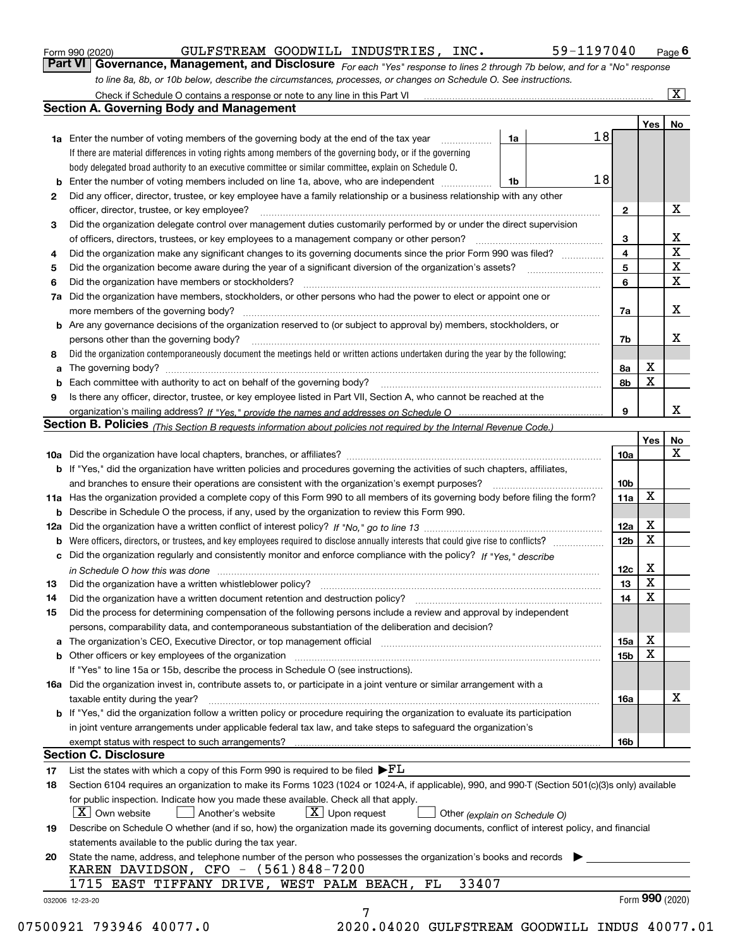|              |                                                                                                                                                                               |    |    |                         | Yes | No                      |
|--------------|-------------------------------------------------------------------------------------------------------------------------------------------------------------------------------|----|----|-------------------------|-----|-------------------------|
|              | <b>1a</b> Enter the number of voting members of the governing body at the end of the tax year                                                                                 | 1a | 18 |                         |     |                         |
|              | If there are material differences in voting rights among members of the governing body, or if the governing                                                                   |    |    |                         |     |                         |
|              | body delegated broad authority to an executive committee or similar committee, explain on Schedule O.                                                                         |    |    |                         |     |                         |
|              |                                                                                                                                                                               | 1b | 18 |                         |     |                         |
| $\mathbf{2}$ | Did any officer, director, trustee, or key employee have a family relationship or a business relationship with any other                                                      |    |    |                         |     |                         |
|              | officer, director, trustee, or key employee?                                                                                                                                  |    |    | $\mathbf{2}$            |     | X                       |
| 3            | Did the organization delegate control over management duties customarily performed by or under the direct supervision                                                         |    |    |                         |     |                         |
|              |                                                                                                                                                                               |    |    | 3                       |     | X                       |
| 4            | Did the organization make any significant changes to its governing documents since the prior Form 990 was filed?                                                              |    |    | $\overline{\mathbf{4}}$ |     | $\overline{\textbf{X}}$ |
| 5            |                                                                                                                                                                               |    |    | 5                       |     | $\mathbf X$             |
| 6            | Did the organization have members or stockholders?                                                                                                                            |    |    | 6                       |     | $\mathbf x$             |
|              | 7a Did the organization have members, stockholders, or other persons who had the power to elect or appoint one or                                                             |    |    |                         |     |                         |
|              |                                                                                                                                                                               |    |    | 7a                      |     | x                       |
|              | <b>b</b> Are any governance decisions of the organization reserved to (or subject to approval by) members, stockholders, or                                                   |    |    |                         |     |                         |
|              | persons other than the governing body?                                                                                                                                        |    |    | 7b                      |     | х                       |
| 8            | Did the organization contemporaneously document the meetings held or written actions undertaken during the year by the following:                                             |    |    |                         |     |                         |
| a            |                                                                                                                                                                               |    |    | 8a                      | X   |                         |
|              |                                                                                                                                                                               |    |    | 8b                      | X   |                         |
| 9            | Is there any officer, director, trustee, or key employee listed in Part VII, Section A, who cannot be reached at the                                                          |    |    |                         |     |                         |
|              |                                                                                                                                                                               |    |    | 9                       |     | х                       |
|              | Section B. Policies (This Section B requests information about policies not required by the Internal Revenue Code.)                                                           |    |    |                         |     |                         |
|              |                                                                                                                                                                               |    |    |                         | Yes | No                      |
|              |                                                                                                                                                                               |    |    | 10a                     |     | X                       |
|              | <b>b</b> If "Yes," did the organization have written policies and procedures governing the activities of such chapters, affiliates,                                           |    |    |                         |     |                         |
|              |                                                                                                                                                                               |    |    | 10 <sub>b</sub>         |     |                         |
|              | 11a Has the organization provided a complete copy of this Form 990 to all members of its governing body before filing the form?                                               |    |    | 11a                     | X   |                         |
|              |                                                                                                                                                                               |    |    |                         |     |                         |
|              | <b>b</b> Describe in Schedule O the process, if any, used by the organization to review this Form 990.                                                                        |    |    |                         | X   |                         |
|              |                                                                                                                                                                               |    |    | 12a                     | X   |                         |
| b            |                                                                                                                                                                               |    |    | 12b                     |     |                         |
|              | c Did the organization regularly and consistently monitor and enforce compliance with the policy? If "Yes," describe                                                          |    |    |                         |     |                         |
|              | in Schedule O how this was done manufactured and continuum control of the Schedule O how this was done manufactured and continuum control of the Schedule O how this was done |    |    | 12c                     | х   |                         |
| 13           |                                                                                                                                                                               |    |    | 13                      | X   |                         |
| 14           | Did the organization have a written document retention and destruction policy? manufactured and the organization have a written document retention and destruction policy?    |    |    | 14                      | X   |                         |
| 15           | Did the process for determining compensation of the following persons include a review and approval by independent                                                            |    |    |                         |     |                         |
|              | persons, comparability data, and contemporaneous substantiation of the deliberation and decision?                                                                             |    |    |                         |     |                         |
|              |                                                                                                                                                                               |    |    | 15a                     | X   |                         |
|              |                                                                                                                                                                               |    |    | 15b                     | X   |                         |
|              | If "Yes" to line 15a or 15b, describe the process in Schedule O (see instructions).                                                                                           |    |    |                         |     |                         |
|              | 16a Did the organization invest in, contribute assets to, or participate in a joint venture or similar arrangement with a                                                     |    |    |                         |     |                         |
|              | taxable entity during the year?                                                                                                                                               |    |    | 16a                     |     | X                       |
|              | b If "Yes," did the organization follow a written policy or procedure requiring the organization to evaluate its participation                                                |    |    |                         |     |                         |
|              | in joint venture arrangements under applicable federal tax law, and take steps to safeguard the organization's                                                                |    |    |                         |     |                         |
|              | exempt status with respect to such arrangements?                                                                                                                              |    |    | 16b                     |     |                         |
|              | <b>Section C. Disclosure</b>                                                                                                                                                  |    |    |                         |     |                         |
| 17           | List the states with which a copy of this Form 990 is required to be filed $\blacktriangleright$ $FL$                                                                         |    |    |                         |     |                         |
| 18           | Section 6104 requires an organization to make its Forms 1023 (1024 or 1024-A, if applicable), 990, and 990-T (Section 501(c)(3)s only) available                              |    |    |                         |     |                         |
|              | for public inspection. Indicate how you made these available. Check all that apply.                                                                                           |    |    |                         |     |                         |
|              | $\lfloor X \rfloor$ Own website<br>$X$ Upon request<br>Another's website<br>Other (explain on Schedule O)                                                                     |    |    |                         |     |                         |
| 19           | Describe on Schedule O whether (and if so, how) the organization made its governing documents, conflict of interest policy, and financial                                     |    |    |                         |     |                         |
|              | statements available to the public during the tax year.                                                                                                                       |    |    |                         |     |                         |
| 20           | State the name, address, and telephone number of the person who possesses the organization's books and records                                                                |    |    |                         |     |                         |
|              | KAREN DAVIDSON, CFO - (561)848-7200                                                                                                                                           |    |    |                         |     |                         |
|              | 33407<br>1715 EAST TIFFANY DRIVE, WEST PALM BEACH, FL                                                                                                                         |    |    |                         |     |                         |
|              |                                                                                                                                                                               |    |    |                         |     | Form 990 (2020)         |

*to line 8a, 8b, or 10b below, describe the circumstances, processes, or changes on Schedule O. See instructions.*

Form 990 (2020) **CULFSTREAM GOODWILL INDUSTRIES, INC.** 59-1197040 Page 6<br>**Part VI Governance, Management, and Disclosure** *For each "Yes" response to lines 2 through 7b below, and for a "No" response* 

GULFSTREAM GOODWILL INDUSTRIES, INC. 59-1197040

*For each "Yes" response to lines 2 through 7b below, and for a "No" response*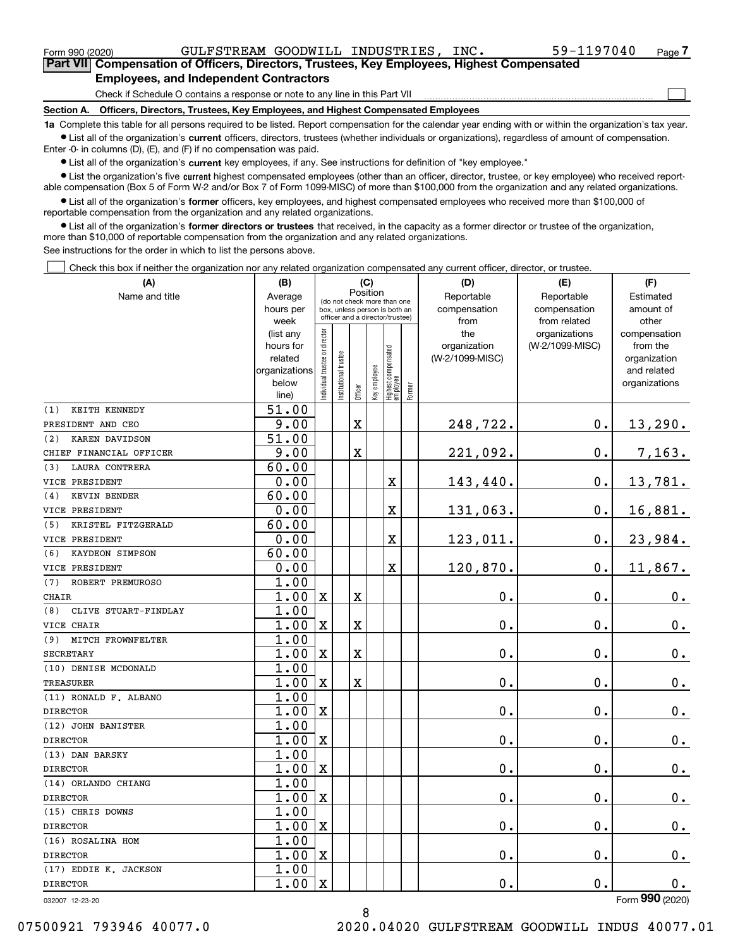| Form 990 (2020) |                                                                                                    | GULFSTREAM GOODWILL INDUSTRIES, | INC. | 59-1197040 | Page |
|-----------------|----------------------------------------------------------------------------------------------------|---------------------------------|------|------------|------|
|                 | <b>Part VIII Compensation of Officers, Directors, Trustees, Key Employees, Highest Compensated</b> |                                 |      |            |      |
|                 | <b>Employees, and Independent Contractors</b>                                                      |                                 |      |            |      |
|                 | Check if Schedule O contains a response or note to any line in this Part VII                       |                                 |      |            |      |
| Section A.      | Officers, Directors, Trustees, Key Employees, and Highest Compensated Employees                    |                                 |      |            |      |

**1a**  Complete this table for all persons required to be listed. Report compensation for the calendar year ending with or within the organization's tax year. **•** List all of the organization's current officers, directors, trustees (whether individuals or organizations), regardless of amount of compensation.

Enter -0- in columns (D), (E), and (F) if no compensation was paid.

 $\bullet$  List all of the organization's  $\,$ current key employees, if any. See instructions for definition of "key employee."

**•** List the organization's five current highest compensated employees (other than an officer, director, trustee, or key employee) who received reportable compensation (Box 5 of Form W-2 and/or Box 7 of Form 1099-MISC) of more than \$100,000 from the organization and any related organizations.

**•** List all of the organization's former officers, key employees, and highest compensated employees who received more than \$100,000 of reportable compensation from the organization and any related organizations.

**former directors or trustees**  ¥ List all of the organization's that received, in the capacity as a former director or trustee of the organization, more than \$10,000 of reportable compensation from the organization and any related organizations.

See instructions for the order in which to list the persons above.

Check this box if neither the organization nor any related organization compensated any current officer, director, or trustee.  $\mathcal{L}^{\text{max}}$ 

| Position<br>Reportable<br>Reportable<br>Name and title<br>Average<br>Estimated<br>(do not check more than one<br>compensation<br>hours per<br>compensation<br>amount of<br>box, unless person is both an<br>officer and a director/trustee)<br>week<br>from related<br>other<br>from<br>ndividual trustee or director<br>(list any<br>the<br>organizations<br>compensation<br>(W-2/1099-MISC)<br>hours for<br>organization<br>from the<br>  Highest compensated<br>  employee<br>nstitutional trustee<br>related<br>(W-2/1099-MISC)<br>organization<br>Key employee<br>organizations<br>and related<br>below<br>organizations<br>Former<br>Officer<br>line)<br>51.00<br>(1)<br>KEITH KENNEDY<br>9.00<br>$0$ .<br>X<br>248,722.<br>13,290.<br>PRESIDENT AND CEO |
|----------------------------------------------------------------------------------------------------------------------------------------------------------------------------------------------------------------------------------------------------------------------------------------------------------------------------------------------------------------------------------------------------------------------------------------------------------------------------------------------------------------------------------------------------------------------------------------------------------------------------------------------------------------------------------------------------------------------------------------------------------------|
|                                                                                                                                                                                                                                                                                                                                                                                                                                                                                                                                                                                                                                                                                                                                                                |
|                                                                                                                                                                                                                                                                                                                                                                                                                                                                                                                                                                                                                                                                                                                                                                |
|                                                                                                                                                                                                                                                                                                                                                                                                                                                                                                                                                                                                                                                                                                                                                                |
|                                                                                                                                                                                                                                                                                                                                                                                                                                                                                                                                                                                                                                                                                                                                                                |
|                                                                                                                                                                                                                                                                                                                                                                                                                                                                                                                                                                                                                                                                                                                                                                |
|                                                                                                                                                                                                                                                                                                                                                                                                                                                                                                                                                                                                                                                                                                                                                                |
|                                                                                                                                                                                                                                                                                                                                                                                                                                                                                                                                                                                                                                                                                                                                                                |
|                                                                                                                                                                                                                                                                                                                                                                                                                                                                                                                                                                                                                                                                                                                                                                |
|                                                                                                                                                                                                                                                                                                                                                                                                                                                                                                                                                                                                                                                                                                                                                                |
|                                                                                                                                                                                                                                                                                                                                                                                                                                                                                                                                                                                                                                                                                                                                                                |
| 51.00<br>(2)<br>KAREN DAVIDSON                                                                                                                                                                                                                                                                                                                                                                                                                                                                                                                                                                                                                                                                                                                                 |
| 9.00<br>221,092.<br>0.<br>7,163.<br>X<br>CHIEF FINANCIAL OFFICER                                                                                                                                                                                                                                                                                                                                                                                                                                                                                                                                                                                                                                                                                               |
| 60.00<br><b>LAURA CONTRERA</b><br>(3)                                                                                                                                                                                                                                                                                                                                                                                                                                                                                                                                                                                                                                                                                                                          |
| 0.00<br>X<br>0.<br>13,781.<br>143,440.<br>VICE PRESIDENT                                                                                                                                                                                                                                                                                                                                                                                                                                                                                                                                                                                                                                                                                                       |
| 60.00<br>KEVIN BENDER<br>(4)                                                                                                                                                                                                                                                                                                                                                                                                                                                                                                                                                                                                                                                                                                                                   |
| 0.<br>0.00<br>X<br>131,063.<br>16,881.<br>VICE PRESIDENT                                                                                                                                                                                                                                                                                                                                                                                                                                                                                                                                                                                                                                                                                                       |
| 60.00<br>KRISTEL FITZGERALD<br>(5)                                                                                                                                                                                                                                                                                                                                                                                                                                                                                                                                                                                                                                                                                                                             |
| 0.00<br>X<br>123,011.<br>$\mathbf 0$ .<br>23,984.<br>VICE PRESIDENT                                                                                                                                                                                                                                                                                                                                                                                                                                                                                                                                                                                                                                                                                            |
| 60.00<br>(6)<br>KAYDEON SIMPSON                                                                                                                                                                                                                                                                                                                                                                                                                                                                                                                                                                                                                                                                                                                                |
| 11,867.<br>0.00<br>X<br>120,870.<br>$\mathbf 0$ .<br>VICE PRESIDENT                                                                                                                                                                                                                                                                                                                                                                                                                                                                                                                                                                                                                                                                                            |
| 1.00<br>ROBERT PREMUROSO<br>(7)                                                                                                                                                                                                                                                                                                                                                                                                                                                                                                                                                                                                                                                                                                                                |
| 1.00<br>0.<br>$\mathbf X$<br>X<br>0.<br>CHAIR<br>$0_{.}$                                                                                                                                                                                                                                                                                                                                                                                                                                                                                                                                                                                                                                                                                                       |
| 1.00<br>CLIVE STUART-FINDLAY<br>(8)                                                                                                                                                                                                                                                                                                                                                                                                                                                                                                                                                                                                                                                                                                                            |
| 1.00<br>$\mathbf X$<br>X<br>0.<br>$\mathbf{0}$ .<br>$\mathbf 0$ .<br>VICE CHAIR                                                                                                                                                                                                                                                                                                                                                                                                                                                                                                                                                                                                                                                                                |
| 1.00<br>MITCH FROWNFELTER<br>(9)                                                                                                                                                                                                                                                                                                                                                                                                                                                                                                                                                                                                                                                                                                                               |
| 1.00<br>X<br>0.<br>$\mathbf 0$ .<br>X<br>0.<br><b>SECRETARY</b>                                                                                                                                                                                                                                                                                                                                                                                                                                                                                                                                                                                                                                                                                                |
| 1.00<br>(10) DENISE MCDONALD                                                                                                                                                                                                                                                                                                                                                                                                                                                                                                                                                                                                                                                                                                                                   |
| 1.00<br>$\mathbf x$<br>X<br>0.<br>0.<br>$0_{.}$<br><b>TREASURER</b>                                                                                                                                                                                                                                                                                                                                                                                                                                                                                                                                                                                                                                                                                            |
| 1.00<br>(11) RONALD F. ALBANO                                                                                                                                                                                                                                                                                                                                                                                                                                                                                                                                                                                                                                                                                                                                  |
| 0.<br>1.00<br>$\mathbf X$<br>0.<br>$0_{.}$<br><b>DIRECTOR</b>                                                                                                                                                                                                                                                                                                                                                                                                                                                                                                                                                                                                                                                                                                  |
| 1.00<br>(12) JOHN BANISTER                                                                                                                                                                                                                                                                                                                                                                                                                                                                                                                                                                                                                                                                                                                                     |
| 1.00<br>$\mathbf x$<br>0.<br>$\mathbf 0$ .<br>$\mathbf 0$ .<br><b>DIRECTOR</b>                                                                                                                                                                                                                                                                                                                                                                                                                                                                                                                                                                                                                                                                                 |
| 1.00<br>(13) DAN BARSKY                                                                                                                                                                                                                                                                                                                                                                                                                                                                                                                                                                                                                                                                                                                                        |
| 1.00<br>$\mathbf X$<br>0.<br>$\mathbf 0$ .<br>0.<br><b>DIRECTOR</b>                                                                                                                                                                                                                                                                                                                                                                                                                                                                                                                                                                                                                                                                                            |
| 1.00<br>(14) ORLANDO CHIANG                                                                                                                                                                                                                                                                                                                                                                                                                                                                                                                                                                                                                                                                                                                                    |
| 1.00<br>$\mathbf x$<br>0.<br>$\mathbf{0}$ .<br>0.<br><b>DIRECTOR</b>                                                                                                                                                                                                                                                                                                                                                                                                                                                                                                                                                                                                                                                                                           |
| 1.00<br>(15) CHRIS DOWNS                                                                                                                                                                                                                                                                                                                                                                                                                                                                                                                                                                                                                                                                                                                                       |
| 1.00<br>$\mathbf x$<br>0.<br>$0_{.}$<br>$\mathbf 0$ .<br><b>DIRECTOR</b>                                                                                                                                                                                                                                                                                                                                                                                                                                                                                                                                                                                                                                                                                       |
| 1.00<br>(16) ROSALINA HOM                                                                                                                                                                                                                                                                                                                                                                                                                                                                                                                                                                                                                                                                                                                                      |
| 1.00<br>$\mathbf x$<br>0.<br>$\mathbf{0}$ .<br>$\mathbf 0$ .<br><b>DIRECTOR</b>                                                                                                                                                                                                                                                                                                                                                                                                                                                                                                                                                                                                                                                                                |
| 1.00<br>(17) EDDIE K. JACKSON                                                                                                                                                                                                                                                                                                                                                                                                                                                                                                                                                                                                                                                                                                                                  |
| $\overline{\mathbf{X}}$<br>1.00<br>0.<br>0.<br>$\mathbf 0$ .<br><b>DIRECTOR</b>                                                                                                                                                                                                                                                                                                                                                                                                                                                                                                                                                                                                                                                                                |

8

032007 12-23-20

Form (2020) **990**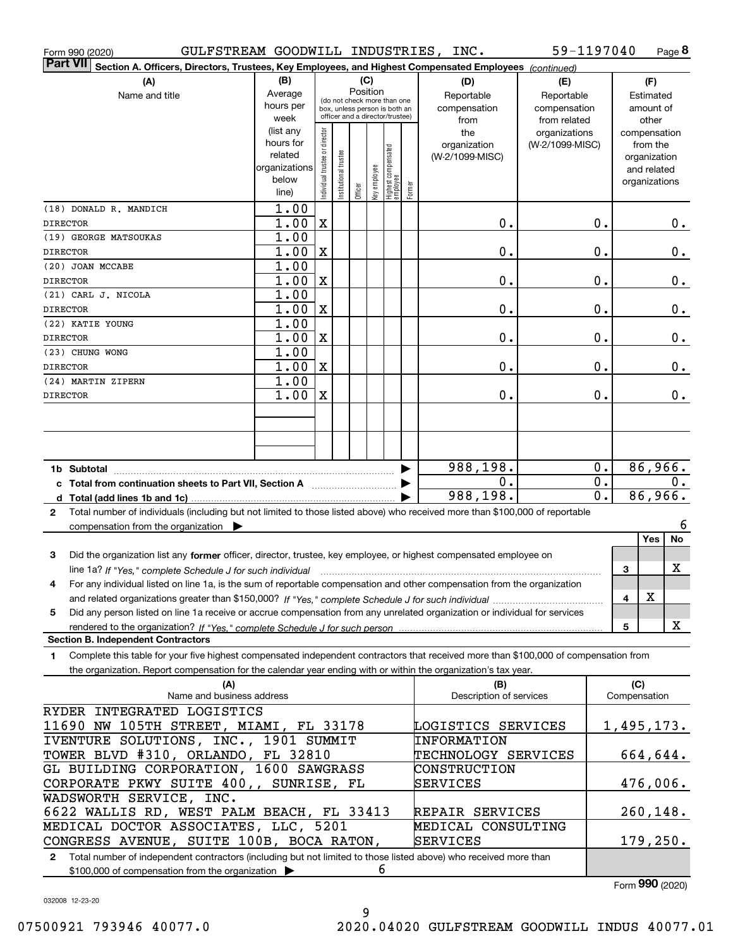| GULFSTREAM GOODWILL INDUSTRIES, INC.<br>Form 990 (2020)                                                                                      |                        |                                |                       |          |     |                                                 |        |                         | 59-1197040      |               |              | Page 8                      |
|----------------------------------------------------------------------------------------------------------------------------------------------|------------------------|--------------------------------|-----------------------|----------|-----|-------------------------------------------------|--------|-------------------------|-----------------|---------------|--------------|-----------------------------|
| <b>Part VII</b><br>Section A. Officers, Directors, Trustees, Key Employees, and Highest Compensated Employees (continued)                    |                        |                                |                       |          |     |                                                 |        |                         |                 |               |              |                             |
| (A)                                                                                                                                          | (B)                    |                                |                       |          | (C) |                                                 |        | (D)                     | (E)             |               |              | (F)                         |
| Name and title                                                                                                                               | Average                |                                |                       | Position |     | (do not check more than one                     |        | Reportable              | Reportable      |               |              | Estimated                   |
|                                                                                                                                              | hours per              |                                |                       |          |     | box, unless person is both an                   |        | compensation            | compensation    |               |              | amount of                   |
|                                                                                                                                              | week                   |                                |                       |          |     | officer and a director/trustee)                 |        | from                    | from related    |               |              | other                       |
|                                                                                                                                              | (list any<br>hours for |                                |                       |          |     |                                                 |        | the                     | organizations   |               |              | compensation                |
|                                                                                                                                              | related                |                                |                       |          |     |                                                 |        | organization            | (W-2/1099-MISC) |               |              | from the                    |
|                                                                                                                                              | organizations          |                                |                       |          |     |                                                 |        | (W-2/1099-MISC)         |                 |               |              | organization<br>and related |
|                                                                                                                                              | below                  |                                |                       |          |     |                                                 |        |                         |                 |               |              | organizations               |
|                                                                                                                                              | line)                  | Individual trustee or director | Institutional trustee | Officer  |     | key employee<br>Highest compensated<br>employee | Former |                         |                 |               |              |                             |
| (18) DONALD R. MANDICH                                                                                                                       | 1.00                   |                                |                       |          |     |                                                 |        |                         |                 |               |              |                             |
| <b>DIRECTOR</b>                                                                                                                              | 1.00                   | $\mathbf X$                    |                       |          |     |                                                 |        | 0.                      |                 | $\mathbf 0$ . |              | $0$ .                       |
| (19) GEORGE MATSOUKAS                                                                                                                        | 1.00                   |                                |                       |          |     |                                                 |        |                         |                 |               |              |                             |
| <b>DIRECTOR</b>                                                                                                                              | 1.00                   | X                              |                       |          |     |                                                 |        | 0.                      |                 | $\mathbf 0$ . |              | $0$ .                       |
| (20) JOAN MCCABE                                                                                                                             | 1.00                   |                                |                       |          |     |                                                 |        |                         |                 |               |              |                             |
| <b>DIRECTOR</b>                                                                                                                              | 1.00                   | X                              |                       |          |     |                                                 |        | 0.                      |                 | $\mathbf 0$ . |              | $0$ .                       |
| (21) CARL J. NICOLA                                                                                                                          | 1.00                   |                                |                       |          |     |                                                 |        |                         |                 |               |              |                             |
| <b>DIRECTOR</b>                                                                                                                              | 1.00                   | X                              |                       |          |     |                                                 |        | 0.                      |                 | $\mathbf 0$ . |              | $0$ .                       |
| (22) KATIE YOUNG                                                                                                                             | 1.00                   |                                |                       |          |     |                                                 |        |                         |                 |               |              |                             |
| <b>DIRECTOR</b>                                                                                                                              | 1.00                   | $\mathbf X$                    |                       |          |     |                                                 |        | 0.                      |                 | $\mathbf 0$ . |              | $0$ .                       |
| (23) CHUNG WONG                                                                                                                              | 1.00                   |                                |                       |          |     |                                                 |        |                         |                 |               |              |                             |
| <b>DIRECTOR</b>                                                                                                                              | 1.00                   | $\mathbf X$                    |                       |          |     |                                                 |        | 0.                      |                 | $\mathbf 0$ . |              | $0$ .                       |
| (24) MARTIN ZIPERN<br><b>DIRECTOR</b>                                                                                                        | 1.00<br>1.00           | $\mathbf X$                    |                       |          |     |                                                 |        | 0.                      |                 | $\mathbf 0$ . |              | $0$ .                       |
|                                                                                                                                              |                        |                                |                       |          |     |                                                 |        |                         |                 |               |              |                             |
|                                                                                                                                              |                        |                                |                       |          |     |                                                 |        |                         |                 |               |              |                             |
|                                                                                                                                              |                        |                                |                       |          |     |                                                 |        |                         |                 |               |              |                             |
|                                                                                                                                              |                        |                                |                       |          |     |                                                 |        |                         |                 |               |              |                             |
|                                                                                                                                              |                        |                                |                       |          |     |                                                 |        | 988,198.                |                 | 0.            |              | 86,966.                     |
| c Total from continuation sheets to Part VII, Section A                                                                                      |                        |                                |                       |          |     |                                                 |        | 0.                      |                 | 0.            |              | $0$ .                       |
|                                                                                                                                              |                        |                                |                       |          |     |                                                 |        | 988, 198.               |                 | 0.            |              | 86,966.                     |
| Total number of individuals (including but not limited to those listed above) who received more than \$100,000 of reportable<br>$\mathbf{2}$ |                        |                                |                       |          |     |                                                 |        |                         |                 |               |              |                             |
| compensation from the organization $\blacktriangleright$                                                                                     |                        |                                |                       |          |     |                                                 |        |                         |                 |               |              | 6                           |
|                                                                                                                                              |                        |                                |                       |          |     |                                                 |        |                         |                 |               |              | Yes<br>No                   |
| 3<br>Did the organization list any former officer, director, trustee, key employee, or highest compensated employee on                       |                        |                                |                       |          |     |                                                 |        |                         |                 |               |              |                             |
| line 1a? If "Yes," complete Schedule J for such individual manufactured contained and the Ves," complete Schedule J for such individual      |                        |                                |                       |          |     |                                                 |        |                         |                 |               | З            | х                           |
| For any individual listed on line 1a, is the sum of reportable compensation and other compensation from the organization                     |                        |                                |                       |          |     |                                                 |        |                         |                 |               |              | х                           |
|                                                                                                                                              |                        |                                |                       |          |     |                                                 |        |                         |                 |               | 4            |                             |
| Did any person listed on line 1a receive or accrue compensation from any unrelated organization or individual for services<br>5              |                        |                                |                       |          |     |                                                 |        |                         |                 |               | 5            | x                           |
| rendered to the organization? If "Yes," complete Schedule J for such person<br><b>Section B. Independent Contractors</b>                     |                        |                                |                       |          |     |                                                 |        |                         |                 |               |              |                             |
| Complete this table for your five highest compensated independent contractors that received more than \$100,000 of compensation from<br>1    |                        |                                |                       |          |     |                                                 |        |                         |                 |               |              |                             |
| the organization. Report compensation for the calendar year ending with or within the organization's tax year.                               |                        |                                |                       |          |     |                                                 |        |                         |                 |               |              |                             |
| (A)                                                                                                                                          |                        |                                |                       |          |     |                                                 |        | (B)                     |                 |               | (C)          |                             |
| Name and business address                                                                                                                    |                        |                                |                       |          |     |                                                 |        | Description of services |                 |               | Compensation |                             |
| RYDER INTEGRATED LOGISTICS                                                                                                                   |                        |                                |                       |          |     |                                                 |        |                         |                 |               |              |                             |
| 11690 NW 105TH STREET, MIAMI, FL 33178                                                                                                       |                        |                                |                       |          |     |                                                 |        | LOGISTICS SERVICES      |                 |               |              | <u>1,495,173.</u>           |
| IVENTURE SOLUTIONS, INC., 1901 SUMMIT                                                                                                        |                        |                                |                       |          |     |                                                 |        | <b>INFORMATION</b>      |                 |               |              |                             |
| TOWER BLVD #310, ORLANDO, FL 32810                                                                                                           |                        |                                |                       |          |     |                                                 |        | TECHNOLOGY SERVICES     |                 |               |              | 664,644.                    |
| GL BUILDING CORPORATION, 1600 SAWGRASS                                                                                                       |                        |                                |                       |          |     |                                                 |        | CONSTRUCTION            |                 |               |              |                             |
| CORPORATE PKWY SUITE 400,, SUNRISE, FL<br>WADSWORTH SERVICE, INC.                                                                            |                        |                                |                       |          |     |                                                 |        | SERVICES                |                 |               |              | 476,006.                    |
| 6622 WALLIS RD, WEST PALM BEACH, FL 33413                                                                                                    |                        |                                |                       |          |     |                                                 |        | REPAIR SERVICES         |                 |               |              | 260,148.                    |
| MEDICAL DOCTOR ASSOCIATES, LLC, 5201                                                                                                         |                        |                                |                       |          |     |                                                 |        | MEDICAL CONSULTING      |                 |               |              |                             |
| CONGRESS AVENUE, SUITE 100B, BOCA RATON,                                                                                                     |                        |                                |                       |          |     |                                                 |        | SERVICES                |                 |               |              | 179,250.                    |
|                                                                                                                                              |                        |                                |                       |          |     |                                                 |        |                         |                 |               |              |                             |

**2**Total number of independent contractors (including but not limited to those listed above) who received more than \$100,000 of compensation from the organization 6

Form (2020) **990**

032008 12-23-20

9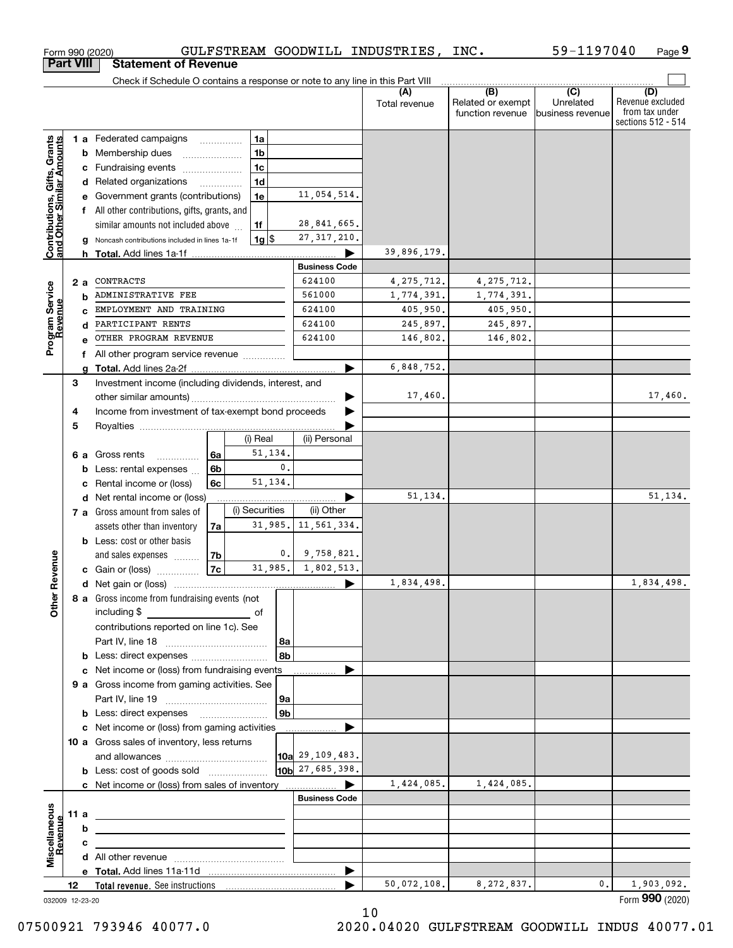|                                                           | <b>Part VIII</b> |   | <b>Statement of Revenue</b>                                                     |                           |                      |                            |                                              |                                      |                                                                 |
|-----------------------------------------------------------|------------------|---|---------------------------------------------------------------------------------|---------------------------|----------------------|----------------------------|----------------------------------------------|--------------------------------------|-----------------------------------------------------------------|
|                                                           |                  |   | Check if Schedule O contains a response or note to any line in this Part VIII   |                           |                      |                            |                                              |                                      |                                                                 |
|                                                           |                  |   |                                                                                 |                           |                      | (A)<br>Total revenue       | (B)<br>Related or exempt<br>function revenue | (C)<br>Unrelated<br>business revenue | (D)<br>Revenue excluded<br>from tax under<br>sections 512 - 514 |
|                                                           |                  |   | 1 a Federated campaigns                                                         | 1a                        |                      |                            |                                              |                                      |                                                                 |
| Contributions, Gifts, Grants<br>and Other Similar Amounts |                  | b | Membership dues                                                                 | 1 <sub>b</sub>            |                      |                            |                                              |                                      |                                                                 |
|                                                           |                  | с | Fundraising events                                                              | 1 <sub>c</sub>            |                      |                            |                                              |                                      |                                                                 |
|                                                           |                  |   | d Related organizations<br>.                                                    | 1 <sub>d</sub>            |                      |                            |                                              |                                      |                                                                 |
|                                                           |                  |   | Government grants (contributions)                                               | 1e                        | 11,054,514.          |                            |                                              |                                      |                                                                 |
|                                                           |                  | f | All other contributions, gifts, grants, and                                     |                           |                      |                            |                                              |                                      |                                                                 |
|                                                           |                  |   | similar amounts not included above                                              | 1f                        | 28,841,665.          |                            |                                              |                                      |                                                                 |
|                                                           |                  |   | Noncash contributions included in lines 1a-1f                                   | $1g$  \$                  | 27, 317, 210.        |                            |                                              |                                      |                                                                 |
|                                                           |                  |   |                                                                                 |                           | <b>Business Code</b> | 39,896,179.                |                                              |                                      |                                                                 |
|                                                           |                  |   | CONTRACTS                                                                       |                           | 624100               |                            |                                              |                                      |                                                                 |
|                                                           | 2 a              |   | ADMINISTRATIVE FEE                                                              |                           | 561000               | 4, 275, 712.<br>1,774,391. | 4, 275, 712.<br>1,774,391.                   |                                      |                                                                 |
|                                                           |                  | b | EMPLOYMENT AND TRAINING                                                         |                           | 624100               | 405,950.                   | 405,950.                                     |                                      |                                                                 |
|                                                           |                  | d | PARTICIPANT RENTS                                                               |                           | 624100               | 245,897.                   | 245,897.                                     |                                      |                                                                 |
| Program Service<br>Revenue                                |                  |   | OTHER PROGRAM REVENUE                                                           |                           | 624100               | 146,802.                   | 146,802.                                     |                                      |                                                                 |
|                                                           |                  | f | All other program service revenue                                               |                           |                      |                            |                                              |                                      |                                                                 |
|                                                           |                  | a |                                                                                 |                           |                      | 6,848,752.                 |                                              |                                      |                                                                 |
|                                                           | 3                |   | Investment income (including dividends, interest, and                           |                           |                      |                            |                                              |                                      |                                                                 |
|                                                           |                  |   |                                                                                 |                           |                      | 17,460.                    |                                              |                                      | 17,460.                                                         |
|                                                           | 4                |   | Income from investment of tax-exempt bond proceeds                              |                           |                      |                            |                                              |                                      |                                                                 |
|                                                           | 5                |   |                                                                                 |                           |                      |                            |                                              |                                      |                                                                 |
|                                                           |                  |   |                                                                                 | (i) Real                  | (ii) Personal        |                            |                                              |                                      |                                                                 |
|                                                           | 6а               |   | Gross rents<br>6a                                                               | 51,134.                   |                      |                            |                                              |                                      |                                                                 |
|                                                           |                  | b | 6 <sub>b</sub><br>Less: rental expenses                                         |                           | 0.                   |                            |                                              |                                      |                                                                 |
|                                                           |                  | c | 6c<br>Rental income or (loss)                                                   | 51,134.                   |                      |                            |                                              |                                      |                                                                 |
|                                                           |                  | d | Net rental income or (loss)                                                     |                           |                      | 51,134.                    |                                              |                                      | 51, 134.                                                        |
|                                                           |                  |   | 7 a Gross amount from sales of                                                  | (i) Securities<br>31,985. | (ii) Other           |                            |                                              |                                      |                                                                 |
|                                                           |                  |   | assets other than inventory<br>7a                                               |                           | 11,561,334.          |                            |                                              |                                      |                                                                 |
|                                                           |                  |   | <b>b</b> Less: cost or other basis<br>7b<br>and sales expenses                  |                           | 0.<br>9,758,821.     |                            |                                              |                                      |                                                                 |
| Revenue                                                   |                  |   | 7c<br><b>c</b> Gain or (loss) $\ldots$                                          | 31,985.                   | 1,802,513.           |                            |                                              |                                      |                                                                 |
|                                                           |                  |   |                                                                                 |                           |                      | 1,834,498.                 |                                              |                                      | 1,834,498.                                                      |
|                                                           |                  |   | 8 a Gross income from fundraising events (not                                   |                           |                      |                            |                                              |                                      |                                                                 |
| Othe                                                      |                  |   | including \$                                                                    |                           |                      |                            |                                              |                                      |                                                                 |
|                                                           |                  |   | contributions reported on line 1c). See                                         |                           |                      |                            |                                              |                                      |                                                                 |
|                                                           |                  |   |                                                                                 |                           | 8a                   |                            |                                              |                                      |                                                                 |
|                                                           |                  |   | <b>b</b> Less: direct expenses                                                  |                           | 8b                   |                            |                                              |                                      |                                                                 |
|                                                           |                  |   | c Net income or (loss) from fundraising events                                  |                           |                      |                            |                                              |                                      |                                                                 |
|                                                           |                  |   | 9 a Gross income from gaming activities. See                                    |                           |                      |                            |                                              |                                      |                                                                 |
|                                                           |                  |   |                                                                                 |                           | 9а                   |                            |                                              |                                      |                                                                 |
|                                                           |                  |   | <b>b</b> Less: direct expenses <b>manually</b>                                  |                           | 9 <sub>b</sub>       |                            |                                              |                                      |                                                                 |
|                                                           |                  |   | c Net income or (loss) from gaming activities                                   |                           |                      |                            |                                              |                                      |                                                                 |
|                                                           |                  |   | 10 a Gross sales of inventory, less returns                                     |                           |                      |                            |                                              |                                      |                                                                 |
|                                                           |                  |   |                                                                                 |                           | 10a 29, 109, 483.    |                            |                                              |                                      |                                                                 |
|                                                           |                  |   | <b>b</b> Less: cost of goods sold                                               |                           | $10b$ 27, 685, 398.  |                            |                                              |                                      |                                                                 |
|                                                           |                  |   |                                                                                 |                           | <b>Business Code</b> | 1,424,085.                 | 1,424,085.                                   |                                      |                                                                 |
|                                                           | 11 a             |   |                                                                                 |                           |                      |                            |                                              |                                      |                                                                 |
|                                                           |                  | b | <u> 1989 - Johann Stein, mars an deus Amerikaansk kommunister (</u>             |                           |                      |                            |                                              |                                      |                                                                 |
| Revenue                                                   |                  | с |                                                                                 |                           |                      |                            |                                              |                                      |                                                                 |
| Miscellaneous                                             |                  |   | the contract of the contract of the contract of the contract of the contract of |                           |                      |                            |                                              |                                      |                                                                 |
|                                                           |                  |   |                                                                                 |                           | ▶                    |                            |                                              |                                      |                                                                 |
|                                                           | 12               |   |                                                                                 |                           |                      | 50,072,108.                | 8,272,837.                                   | 0.                                   | 1,903,092.                                                      |
| 032009 12-23-20                                           |                  |   |                                                                                 |                           |                      |                            |                                              |                                      | Form 990 (2020)                                                 |

Form 990 (2020) GULFSTREAM GOODWILL INDUSTRIES,INC. 59-1197040 Page

**9**

59-1197040

032009 12-23-20

10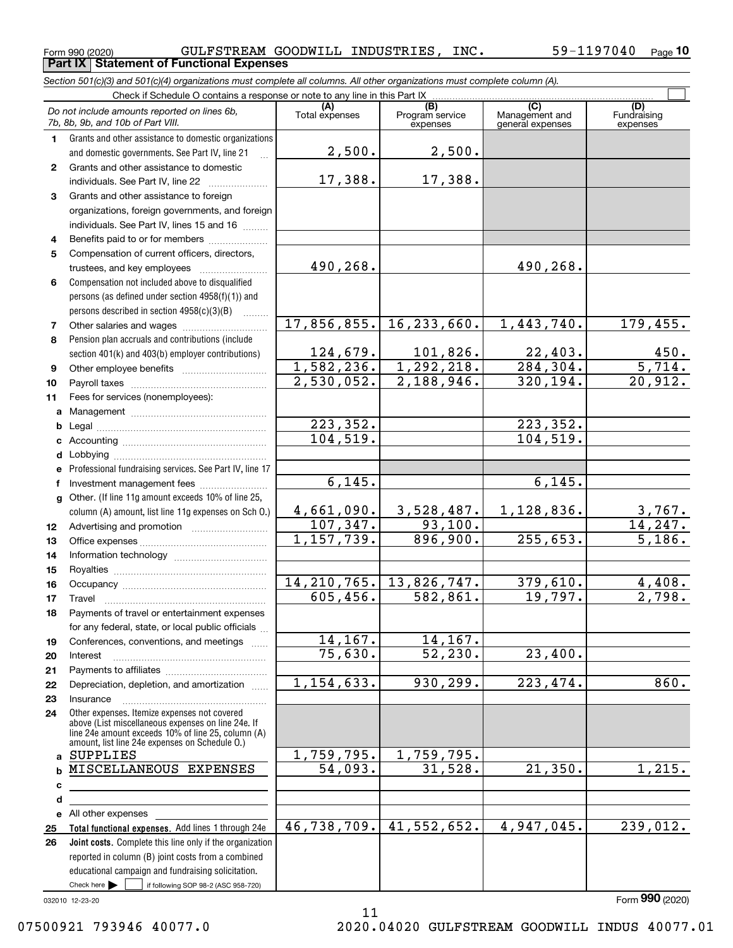**Part IX Statement of Functional Expenses**

|              | Section 501(c)(3) and 501(c)(4) organizations must complete all columns. All other organizations must complete column (A).                                                                                 |                        |                                    |                                           |                                |
|--------------|------------------------------------------------------------------------------------------------------------------------------------------------------------------------------------------------------------|------------------------|------------------------------------|-------------------------------------------|--------------------------------|
|              | Check if Schedule O contains a response or note to any line in this Part IX                                                                                                                                |                        |                                    |                                           |                                |
|              | Do not include amounts reported on lines 6b,<br>7b, 8b, 9b, and 10b of Part VIII.                                                                                                                          | (A)<br>Total expenses  | (B)<br>Program service<br>expenses | (C)<br>Management and<br>general expenses | (D)<br>Fundraising<br>expenses |
| 1.           | Grants and other assistance to domestic organizations                                                                                                                                                      |                        |                                    |                                           |                                |
|              | and domestic governments. See Part IV, line 21                                                                                                                                                             | 2,500.                 | 2,500.                             |                                           |                                |
| $\mathbf{2}$ | Grants and other assistance to domestic                                                                                                                                                                    |                        |                                    |                                           |                                |
|              | individuals. See Part IV, line 22                                                                                                                                                                          | 17,388.                | 17,388.                            |                                           |                                |
| 3            | Grants and other assistance to foreign                                                                                                                                                                     |                        |                                    |                                           |                                |
|              | organizations, foreign governments, and foreign                                                                                                                                                            |                        |                                    |                                           |                                |
|              | individuals. See Part IV, lines 15 and 16                                                                                                                                                                  |                        |                                    |                                           |                                |
| 4            | Benefits paid to or for members                                                                                                                                                                            |                        |                                    |                                           |                                |
| 5            | Compensation of current officers, directors,                                                                                                                                                               |                        |                                    |                                           |                                |
|              |                                                                                                                                                                                                            | 490,268.               |                                    | 490,268.                                  |                                |
| 6            | Compensation not included above to disqualified                                                                                                                                                            |                        |                                    |                                           |                                |
|              | persons (as defined under section 4958(f)(1)) and                                                                                                                                                          |                        |                                    |                                           |                                |
|              | persons described in section 4958(c)(3)(B)<br>.                                                                                                                                                            |                        |                                    |                                           |                                |
| 7            |                                                                                                                                                                                                            | 17,856,855.            | 16, 233, 660.                      | 1,443,740.                                | 179,455.                       |
| 8            | Pension plan accruals and contributions (include                                                                                                                                                           |                        |                                    |                                           |                                |
|              | section 401(k) and 403(b) employer contributions)                                                                                                                                                          | 124,679.               | 101,826.                           | 22,403.                                   | $\frac{450}{5,714}$ .          |
| 9            |                                                                                                                                                                                                            | 1,582,236.             | 1, 292, 218.                       | 284, 304.                                 |                                |
| 10           |                                                                                                                                                                                                            | 2,530,052.             | 2,188,946.                         | 320,194.                                  | 20,912.                        |
| 11           | Fees for services (nonemployees):                                                                                                                                                                          |                        |                                    |                                           |                                |
|              |                                                                                                                                                                                                            |                        |                                    |                                           |                                |
| b            |                                                                                                                                                                                                            | $\overline{223,352}$ . |                                    | 223,352.                                  |                                |
|              |                                                                                                                                                                                                            | 104,519.               |                                    | 104,519.                                  |                                |
|              |                                                                                                                                                                                                            |                        |                                    |                                           |                                |
|              | Professional fundraising services. See Part IV, line 17                                                                                                                                                    |                        |                                    |                                           |                                |
| f            | Investment management fees                                                                                                                                                                                 | 6,145.                 |                                    | 6, 145.                                   |                                |
|              | g Other. (If line 11g amount exceeds 10% of line 25,                                                                                                                                                       |                        |                                    |                                           |                                |
|              | column (A) amount, list line 11g expenses on Sch 0.)                                                                                                                                                       | 4,661,090.             | 3,528,487.                         | 1,128,836.                                | <u>3,767.</u>                  |
| 12           |                                                                                                                                                                                                            | 107, 347.              | 93,100.                            |                                           | 14, 247.                       |
| 13           |                                                                                                                                                                                                            | 1, 157, 739.           | 896,900.                           | 255,653.                                  | 5,186.                         |
| 14           |                                                                                                                                                                                                            |                        |                                    |                                           |                                |
| 15           |                                                                                                                                                                                                            |                        |                                    |                                           |                                |
| 16           |                                                                                                                                                                                                            | 14, 210, 765.          | 13,826,747.                        | 379,610.                                  | 4,408.                         |
| 17           |                                                                                                                                                                                                            | 605,456.               | 582,861.                           | 19,797.                                   | 2,798.                         |
| 18           | Payments of travel or entertainment expenses                                                                                                                                                               |                        |                                    |                                           |                                |
|              | for any federal, state, or local public officials                                                                                                                                                          |                        |                                    |                                           |                                |
| 19           | Conferences, conventions, and meetings                                                                                                                                                                     | 14, 167.               | 14,167.                            |                                           |                                |
| 20           | Interest                                                                                                                                                                                                   | 75,630.                | 52, 230.                           | 23,400.                                   |                                |
| 21           |                                                                                                                                                                                                            |                        |                                    |                                           |                                |
| 22           | Depreciation, depletion, and amortization                                                                                                                                                                  | 1,154,633.             | 930, 299.                          | 223,474.                                  | 860.                           |
| 23           | Insurance                                                                                                                                                                                                  |                        |                                    |                                           |                                |
| 24           | Other expenses. Itemize expenses not covered<br>above (List miscellaneous expenses on line 24e. If<br>line 24e amount exceeds 10% of line 25, column (A)<br>amount, list line 24e expenses on Schedule O.) |                        |                                    |                                           |                                |
|              | a SUPPLIES                                                                                                                                                                                                 | 1,759,795.             | 1,759,795.                         |                                           |                                |
|              | <b>b MISCELLANEOUS EXPENSES</b>                                                                                                                                                                            | 54,093.                | 31,528.                            | 21,350.                                   | 1,215.                         |
| с            |                                                                                                                                                                                                            |                        |                                    |                                           |                                |
| d            |                                                                                                                                                                                                            |                        |                                    |                                           |                                |
|              | e All other expenses                                                                                                                                                                                       |                        |                                    |                                           |                                |
| 25           | Total functional expenses. Add lines 1 through 24e                                                                                                                                                         | 46,738,709.            | 41,552,652.                        | 4,947,045.                                | 239,012.                       |
| 26           | Joint costs. Complete this line only if the organization                                                                                                                                                   |                        |                                    |                                           |                                |
|              | reported in column (B) joint costs from a combined                                                                                                                                                         |                        |                                    |                                           |                                |
|              | educational campaign and fundraising solicitation.                                                                                                                                                         |                        |                                    |                                           |                                |
|              | Check here $\blacktriangleright$<br>if following SOP 98-2 (ASC 958-720)                                                                                                                                    |                        |                                    |                                           |                                |

11

032010 12-23-20

Form (2020) **990**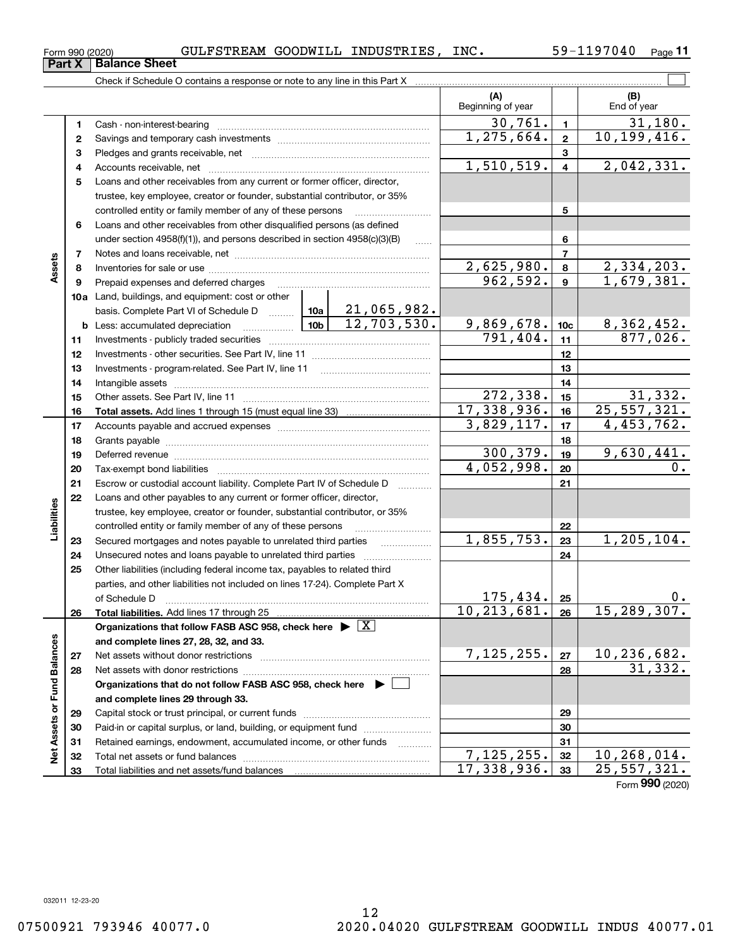# 12

|                             |    | Check if Schedule O contains a response or note to any line in this Part X            |              |                |                          |                 |                               |
|-----------------------------|----|---------------------------------------------------------------------------------------|--------------|----------------|--------------------------|-----------------|-------------------------------|
|                             |    |                                                                                       |              |                | (A)<br>Beginning of year |                 | (B)<br>End of year            |
|                             | 1  |                                                                                       |              |                | 30,761.                  | $\blacksquare$  | 31,180.                       |
|                             | 2  |                                                                                       | 1, 275, 664. | $\overline{2}$ | 10, 199, 416.            |                 |                               |
|                             | 3  |                                                                                       |              |                |                          | $\mathbf{3}$    |                               |
|                             | 4  |                                                                                       |              | 1,510,519.     | $\overline{\mathbf{4}}$  | 2,042,331.      |                               |
|                             | 5  | Loans and other receivables from any current or former officer, director,             |              |                |                          |                 |                               |
|                             |    | trustee, key employee, creator or founder, substantial contributor, or 35%            |              |                |                          |                 |                               |
|                             |    | controlled entity or family member of any of these persons                            |              | 5              |                          |                 |                               |
|                             | 6  | Loans and other receivables from other disqualified persons (as defined               |              |                |                          |                 |                               |
|                             |    | under section $4958(f)(1)$ , and persons described in section $4958(c)(3)(B)$         |              | 1.1.1.1        |                          | 6               |                               |
|                             | 7  |                                                                                       |              |                |                          | $\overline{7}$  |                               |
| Assets                      | 8  |                                                                                       |              |                | 2,625,980.               | 8               | 2,334,203.                    |
|                             | 9  | Prepaid expenses and deferred charges                                                 |              |                | 962,592.                 | 9               | 1,679,381.                    |
|                             |    | <b>10a</b> Land, buildings, and equipment: cost or other                              |              |                |                          |                 |                               |
|                             |    | basis. Complete Part VI of Schedule D $\frac{10a}{21,065,982.$                        |              |                |                          |                 |                               |
|                             |    |                                                                                       |              |                | 9,869,678.               | 10 <sub>c</sub> | $\frac{8,362,452.}{877,026.}$ |
|                             | 11 |                                                                                       | 791,404.     | 11             |                          |                 |                               |
|                             | 12 |                                                                                       |              | 12             |                          |                 |                               |
|                             | 13 |                                                                                       |              | 13             |                          |                 |                               |
|                             | 14 |                                                                                       |              | 14             |                          |                 |                               |
|                             | 15 |                                                                                       |              |                | 272,338.                 | 15              | 31,332.                       |
|                             | 16 |                                                                                       |              |                | 17,338,936.              | 16              | 25, 557, 321.                 |
|                             | 17 |                                                                                       | 3,829,117.   | 17             | 4,453,762.               |                 |                               |
|                             | 18 |                                                                                       |              | 18             |                          |                 |                               |
|                             | 19 |                                                                                       |              |                | 300, 379.                | 19              | 9,630,441.                    |
|                             | 20 |                                                                                       |              |                | 4,052,998.               | 20              | 0.                            |
|                             | 21 | Escrow or custodial account liability. Complete Part IV of Schedule D                 |              |                |                          | 21              |                               |
|                             | 22 | Loans and other payables to any current or former officer, director,                  |              |                |                          |                 |                               |
|                             |    | trustee, key employee, creator or founder, substantial contributor, or 35%            |              |                |                          |                 |                               |
| Liabilities                 |    | controlled entity or family member of any of these persons                            |              |                |                          | 22              |                               |
|                             | 23 | Secured mortgages and notes payable to unrelated third parties                        |              |                | 1,855,753.               | 23              | 1, 205, 104.                  |
|                             | 24 | Unsecured notes and loans payable to unrelated third parties                          |              |                |                          | 24              |                               |
|                             | 25 | Other liabilities (including federal income tax, payables to related third            |              |                |                          |                 |                               |
|                             |    | parties, and other liabilities not included on lines 17-24). Complete Part X          |              |                | $175, 434.$ 25           |                 | 0.                            |
|                             | 26 | of Schedule D<br>Total liabilities. Add lines 17 through 25                           |              |                | 10, 213, 681.            | 26              | 15, 289, 307.                 |
|                             |    | Organizations that follow FASB ASC 958, check here $\triangleright \lfloor X \rfloor$ |              |                |                          |                 |                               |
|                             |    | and complete lines 27, 28, 32, and 33.                                                |              |                |                          |                 |                               |
|                             | 27 |                                                                                       |              |                | 7,125,255.               | 27              | 10,236,682.                   |
|                             | 28 |                                                                                       |              |                |                          | 28              | 31,332.                       |
|                             |    | Organizations that do not follow FASB ASC 958, check here $\blacktriangleright$       |              |                |                          |                 |                               |
|                             |    | and complete lines 29 through 33.                                                     |              |                |                          |                 |                               |
|                             | 29 |                                                                                       |              |                |                          | 29              |                               |
| Net Assets or Fund Balances | 30 | Paid-in or capital surplus, or land, building, or equipment fund                      |              |                |                          | 30              |                               |
|                             | 31 | Retained earnings, endowment, accumulated income, or other funds                      |              |                |                          | 31              |                               |
|                             | 32 |                                                                                       |              |                | 7, 125, 255.             | 32              | 10, 268, 014.                 |
|                             | 33 |                                                                                       |              |                | 17,338,936.              | 33              | 25, 557, 321.                 |

Form (2020) **990**

**Part X Balance Sheet**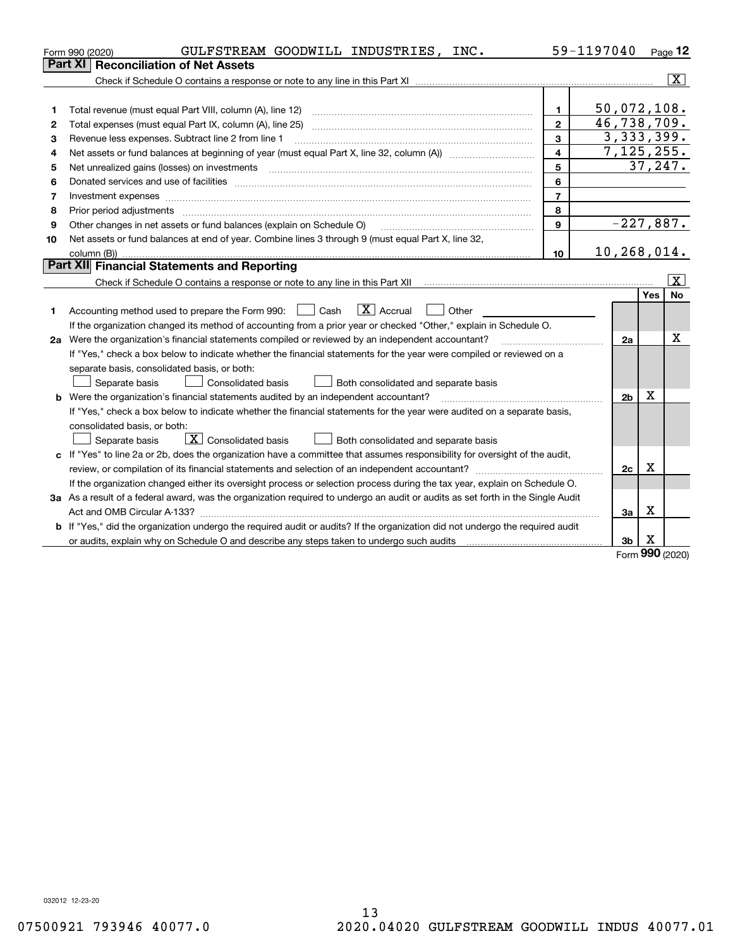|    | GULFSTREAM GOODWILL INDUSTRIES, INC.<br>Form 990 (2020)                                                                                                                                                                        |                | 59-1197040     |                 | Page $12$               |
|----|--------------------------------------------------------------------------------------------------------------------------------------------------------------------------------------------------------------------------------|----------------|----------------|-----------------|-------------------------|
|    | Part XI<br><b>Reconciliation of Net Assets</b>                                                                                                                                                                                 |                |                |                 |                         |
|    |                                                                                                                                                                                                                                |                |                |                 | $\overline{\mathbf{x}}$ |
|    |                                                                                                                                                                                                                                |                |                |                 |                         |
| 1  |                                                                                                                                                                                                                                | 1.             | 50,072,108.    |                 |                         |
| 2  |                                                                                                                                                                                                                                | $\mathbf{2}$   | 46,738,709.    |                 |                         |
| 3  | Revenue less expenses. Subtract line 2 from line 1                                                                                                                                                                             | 3              | 3,333,399.     |                 |                         |
| 4  |                                                                                                                                                                                                                                | $\overline{4}$ | 7, 125, 255.   |                 |                         |
| 5  | Net unrealized gains (losses) on investments                                                                                                                                                                                   | 5              |                |                 | 37, 247.                |
| 6  | Donated services and use of facilities [111] matter contracts and the facilities in the matter of facilities [11] matter contracts and use of facilities [11] matter contracts and the service of the service of the service o | 6              |                |                 |                         |
| 7  | Investment expenses www.communication.com/www.communication.com/www.communication.com/www.com                                                                                                                                  | $\overline{7}$ |                |                 |                         |
| 8  |                                                                                                                                                                                                                                | 8              |                |                 |                         |
| 9  | Other changes in net assets or fund balances (explain on Schedule O)                                                                                                                                                           | $\mathbf{9}$   | $-227,887.$    |                 |                         |
| 10 | Net assets or fund balances at end of year. Combine lines 3 through 9 (must equal Part X, line 32,                                                                                                                             |                |                |                 |                         |
|    |                                                                                                                                                                                                                                | 10             | 10,268,014.    |                 |                         |
|    | Part XII Financial Statements and Reporting                                                                                                                                                                                    |                |                |                 |                         |
|    |                                                                                                                                                                                                                                |                |                |                 | X                       |
|    |                                                                                                                                                                                                                                |                |                | Yes             | No                      |
| 1  | $\boxed{\mathbf{X}}$ Accrual<br>Accounting method used to prepare the Form 990: <u>[</u> Cash<br>Other<br>$\mathcal{L}$                                                                                                        |                |                |                 |                         |
|    | If the organization changed its method of accounting from a prior year or checked "Other," explain in Schedule O.                                                                                                              |                |                |                 |                         |
|    | 2a Were the organization's financial statements compiled or reviewed by an independent accountant?                                                                                                                             |                | 2a             |                 | X                       |
|    | If "Yes," check a box below to indicate whether the financial statements for the year were compiled or reviewed on a                                                                                                           |                |                |                 |                         |
|    | separate basis, consolidated basis, or both:                                                                                                                                                                                   |                |                |                 |                         |
|    | Separate basis<br>Both consolidated and separate basis<br><b>Consolidated basis</b>                                                                                                                                            |                |                |                 |                         |
|    | <b>b</b> Were the organization's financial statements audited by an independent accountant?                                                                                                                                    |                | 2 <sub>b</sub> | X               |                         |
|    | If "Yes," check a box below to indicate whether the financial statements for the year were audited on a separate basis,                                                                                                        |                |                |                 |                         |
|    | consolidated basis, or both:                                                                                                                                                                                                   |                |                |                 |                         |
|    | $\boxed{\textbf{X}}$ Consolidated basis<br>Separate basis<br>Both consolidated and separate basis                                                                                                                              |                |                |                 |                         |
|    | c If "Yes" to line 2a or 2b, does the organization have a committee that assumes responsibility for oversight of the audit,                                                                                                    |                |                |                 |                         |
|    |                                                                                                                                                                                                                                |                | 2c             | X               |                         |
|    | If the organization changed either its oversight process or selection process during the tax year, explain on Schedule O.                                                                                                      |                |                |                 |                         |
|    | 3a As a result of a federal award, was the organization required to undergo an audit or audits as set forth in the Single Audit                                                                                                |                |                |                 |                         |
|    |                                                                                                                                                                                                                                |                | За             | x               |                         |
| b  | If "Yes," did the organization undergo the required audit or audits? If the organization did not undergo the required audit                                                                                                    |                |                |                 |                         |
|    | or audits, explain why on Schedule O and describe any steps taken to undergo such audits [11] content to under                                                                                                                 |                | 3 <sub>b</sub> | х<br><u>nuu</u> |                         |

Form (2020) **990**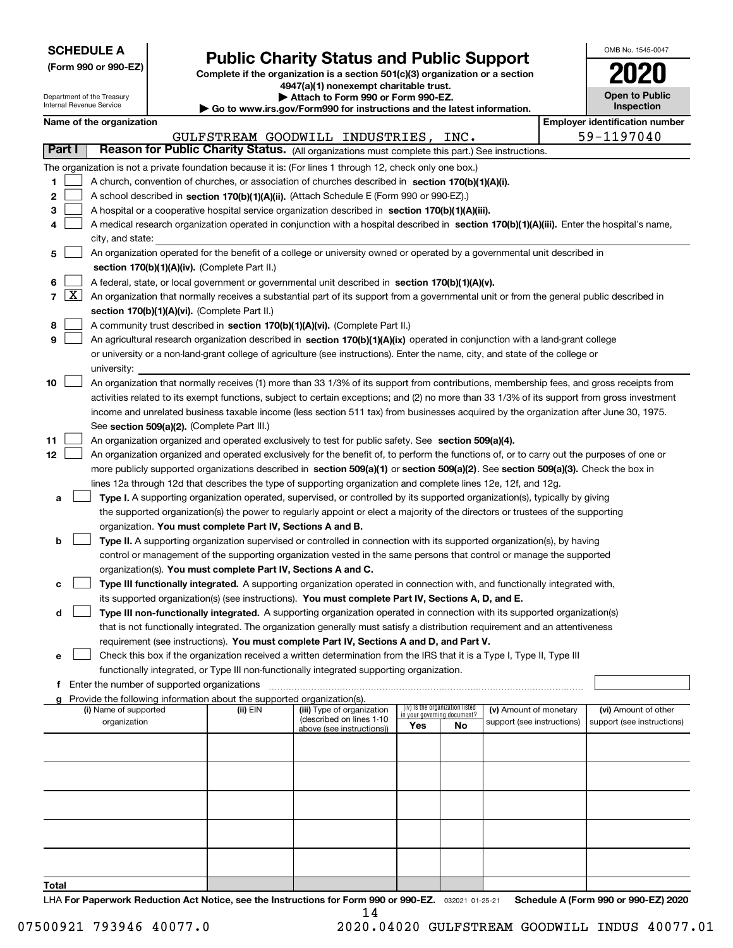| <b>SCHEDULE A</b> |
|-------------------|
|-------------------|

Department of the Treasury

**(Form 990 or 990-EZ)**

# **Public Charity Status and Public Support**

**Complete if the organization is a section 501(c)(3) organization or a section 4947(a)(1) nonexempt charitable trust. | Attach to Form 990 or Form 990-EZ.** 

| www.irs.gov/Form990 for instructions and the latest information. |  |  |
|------------------------------------------------------------------|--|--|

| OMB No. 1545-0047                   |
|-------------------------------------|
| 2020                                |
| <b>Open to Public</b><br>Inspection |

| Internal Revenue Service                      |               |                                                                                                    |  |                                                                        | $\blacktriangleright$ Go to www.irs.gov/Form990 for instructions and the latest information.                                                                                                                                                    |     |                                                                |                            |  | <b>Inspection</b>                     |
|-----------------------------------------------|---------------|----------------------------------------------------------------------------------------------------|--|------------------------------------------------------------------------|-------------------------------------------------------------------------------------------------------------------------------------------------------------------------------------------------------------------------------------------------|-----|----------------------------------------------------------------|----------------------------|--|---------------------------------------|
|                                               |               | Name of the organization                                                                           |  |                                                                        |                                                                                                                                                                                                                                                 |     |                                                                |                            |  | <b>Employer identification number</b> |
|                                               |               |                                                                                                    |  |                                                                        | GULFSTREAM GOODWILL INDUSTRIES,                                                                                                                                                                                                                 |     | INC.                                                           |                            |  | 59-1197040                            |
|                                               | <b>Part I</b> |                                                                                                    |  |                                                                        | Reason for Public Charity Status. (All organizations must complete this part.) See instructions.                                                                                                                                                |     |                                                                |                            |  |                                       |
|                                               |               |                                                                                                    |  |                                                                        | The organization is not a private foundation because it is: (For lines 1 through 12, check only one box.)                                                                                                                                       |     |                                                                |                            |  |                                       |
| 1                                             |               | A church, convention of churches, or association of churches described in section 170(b)(1)(A)(i). |  |                                                                        |                                                                                                                                                                                                                                                 |     |                                                                |                            |  |                                       |
| 2                                             |               |                                                                                                    |  |                                                                        | A school described in section 170(b)(1)(A)(ii). (Attach Schedule E (Form 990 or 990-EZ).)                                                                                                                                                       |     |                                                                |                            |  |                                       |
| з                                             |               |                                                                                                    |  |                                                                        | A hospital or a cooperative hospital service organization described in section 170(b)(1)(A)(iii).                                                                                                                                               |     |                                                                |                            |  |                                       |
| 4                                             |               |                                                                                                    |  |                                                                        | A medical research organization operated in conjunction with a hospital described in section 170(b)(1)(A)(iii). Enter the hospital's name,                                                                                                      |     |                                                                |                            |  |                                       |
|                                               |               | city, and state:                                                                                   |  |                                                                        |                                                                                                                                                                                                                                                 |     |                                                                |                            |  |                                       |
| 5                                             |               |                                                                                                    |  |                                                                        | An organization operated for the benefit of a college or university owned or operated by a governmental unit described in                                                                                                                       |     |                                                                |                            |  |                                       |
|                                               |               |                                                                                                    |  | section 170(b)(1)(A)(iv). (Complete Part II.)                          |                                                                                                                                                                                                                                                 |     |                                                                |                            |  |                                       |
| 6                                             |               |                                                                                                    |  |                                                                        | A federal, state, or local government or governmental unit described in section 170(b)(1)(A)(v).                                                                                                                                                |     |                                                                |                            |  |                                       |
|                                               |               |                                                                                                    |  |                                                                        | $7 \overline{X}$ An organization that normally receives a substantial part of its support from a governmental unit or from the general public described in                                                                                      |     |                                                                |                            |  |                                       |
|                                               |               |                                                                                                    |  | section 170(b)(1)(A)(vi). (Complete Part II.)                          |                                                                                                                                                                                                                                                 |     |                                                                |                            |  |                                       |
| 8                                             |               |                                                                                                    |  |                                                                        | A community trust described in section 170(b)(1)(A)(vi). (Complete Part II.)                                                                                                                                                                    |     |                                                                |                            |  |                                       |
| 9                                             |               |                                                                                                    |  |                                                                        | An agricultural research organization described in section 170(b)(1)(A)(ix) operated in conjunction with a land-grant college                                                                                                                   |     |                                                                |                            |  |                                       |
|                                               |               |                                                                                                    |  |                                                                        | or university or a non-land-grant college of agriculture (see instructions). Enter the name, city, and state of the college or                                                                                                                  |     |                                                                |                            |  |                                       |
|                                               |               | university:                                                                                        |  |                                                                        |                                                                                                                                                                                                                                                 |     |                                                                |                            |  |                                       |
| 10                                            |               |                                                                                                    |  |                                                                        | An organization that normally receives (1) more than 33 1/3% of its support from contributions, membership fees, and gross receipts from                                                                                                        |     |                                                                |                            |  |                                       |
|                                               |               |                                                                                                    |  |                                                                        | activities related to its exempt functions, subject to certain exceptions; and (2) no more than 33 1/3% of its support from gross investment                                                                                                    |     |                                                                |                            |  |                                       |
|                                               |               |                                                                                                    |  |                                                                        | income and unrelated business taxable income (less section 511 tax) from businesses acquired by the organization after June 30, 1975.                                                                                                           |     |                                                                |                            |  |                                       |
|                                               |               |                                                                                                    |  | See section 509(a)(2). (Complete Part III.)                            |                                                                                                                                                                                                                                                 |     |                                                                |                            |  |                                       |
| 11                                            |               |                                                                                                    |  |                                                                        | An organization organized and operated exclusively to test for public safety. See section 509(a)(4).                                                                                                                                            |     |                                                                |                            |  |                                       |
| 12                                            |               |                                                                                                    |  |                                                                        | An organization organized and operated exclusively for the benefit of, to perform the functions of, or to carry out the purposes of one or                                                                                                      |     |                                                                |                            |  |                                       |
|                                               |               |                                                                                                    |  |                                                                        | more publicly supported organizations described in section 509(a)(1) or section 509(a)(2). See section 509(a)(3). Check the box in                                                                                                              |     |                                                                |                            |  |                                       |
|                                               |               |                                                                                                    |  |                                                                        | lines 12a through 12d that describes the type of supporting organization and complete lines 12e, 12f, and 12g.                                                                                                                                  |     |                                                                |                            |  |                                       |
| a                                             |               |                                                                                                    |  |                                                                        | Type I. A supporting organization operated, supervised, or controlled by its supported organization(s), typically by giving                                                                                                                     |     |                                                                |                            |  |                                       |
|                                               |               |                                                                                                    |  |                                                                        | the supported organization(s) the power to regularly appoint or elect a majority of the directors or trustees of the supporting                                                                                                                 |     |                                                                |                            |  |                                       |
|                                               |               |                                                                                                    |  | organization. You must complete Part IV, Sections A and B.             |                                                                                                                                                                                                                                                 |     |                                                                |                            |  |                                       |
| b                                             |               |                                                                                                    |  |                                                                        | Type II. A supporting organization supervised or controlled in connection with its supported organization(s), by having<br>control or management of the supporting organization vested in the same persons that control or manage the supported |     |                                                                |                            |  |                                       |
|                                               |               |                                                                                                    |  |                                                                        | organization(s). You must complete Part IV, Sections A and C.                                                                                                                                                                                   |     |                                                                |                            |  |                                       |
| с                                             |               |                                                                                                    |  |                                                                        | Type III functionally integrated. A supporting organization operated in connection with, and functionally integrated with,                                                                                                                      |     |                                                                |                            |  |                                       |
|                                               |               |                                                                                                    |  |                                                                        | its supported organization(s) (see instructions). You must complete Part IV, Sections A, D, and E.                                                                                                                                              |     |                                                                |                            |  |                                       |
| d                                             |               |                                                                                                    |  |                                                                        | Type III non-functionally integrated. A supporting organization operated in connection with its supported organization(s)                                                                                                                       |     |                                                                |                            |  |                                       |
|                                               |               |                                                                                                    |  |                                                                        | that is not functionally integrated. The organization generally must satisfy a distribution requirement and an attentiveness                                                                                                                    |     |                                                                |                            |  |                                       |
|                                               |               |                                                                                                    |  |                                                                        | requirement (see instructions). You must complete Part IV, Sections A and D, and Part V.                                                                                                                                                        |     |                                                                |                            |  |                                       |
| е                                             |               |                                                                                                    |  |                                                                        | Check this box if the organization received a written determination from the IRS that it is a Type I, Type II, Type III                                                                                                                         |     |                                                                |                            |  |                                       |
|                                               |               |                                                                                                    |  |                                                                        | functionally integrated, or Type III non-functionally integrated supporting organization.                                                                                                                                                       |     |                                                                |                            |  |                                       |
| f Enter the number of supported organizations |               |                                                                                                    |  |                                                                        |                                                                                                                                                                                                                                                 |     |                                                                |                            |  |                                       |
|                                               |               |                                                                                                    |  | Provide the following information about the supported organization(s). |                                                                                                                                                                                                                                                 |     |                                                                |                            |  |                                       |
|                                               |               | (i) Name of supported                                                                              |  | (ii) EIN                                                               | (iii) Type of organization                                                                                                                                                                                                                      |     | (iv) Is the organization listed<br>in your governing document? | (v) Amount of monetary     |  | (vi) Amount of other                  |
|                                               |               | organization                                                                                       |  |                                                                        | (described on lines 1-10<br>above (see instructions))                                                                                                                                                                                           | Yes | No                                                             | support (see instructions) |  | support (see instructions)            |
|                                               |               |                                                                                                    |  |                                                                        |                                                                                                                                                                                                                                                 |     |                                                                |                            |  |                                       |
|                                               |               |                                                                                                    |  |                                                                        |                                                                                                                                                                                                                                                 |     |                                                                |                            |  |                                       |
|                                               |               |                                                                                                    |  |                                                                        |                                                                                                                                                                                                                                                 |     |                                                                |                            |  |                                       |
|                                               |               |                                                                                                    |  |                                                                        |                                                                                                                                                                                                                                                 |     |                                                                |                            |  |                                       |
|                                               |               |                                                                                                    |  |                                                                        |                                                                                                                                                                                                                                                 |     |                                                                |                            |  |                                       |
|                                               |               |                                                                                                    |  |                                                                        |                                                                                                                                                                                                                                                 |     |                                                                |                            |  |                                       |
|                                               |               |                                                                                                    |  |                                                                        |                                                                                                                                                                                                                                                 |     |                                                                |                            |  |                                       |
|                                               |               |                                                                                                    |  |                                                                        |                                                                                                                                                                                                                                                 |     |                                                                |                            |  |                                       |
|                                               |               |                                                                                                    |  |                                                                        |                                                                                                                                                                                                                                                 |     |                                                                |                            |  |                                       |
|                                               |               |                                                                                                    |  |                                                                        |                                                                                                                                                                                                                                                 |     |                                                                |                            |  |                                       |

**Total**

LHA For Paperwork Reduction Act Notice, see the Instructions for Form 990 or 990-EZ. <sub>032021</sub> o1-25-21 Schedule A (Form 990 or 990-EZ) 2020 14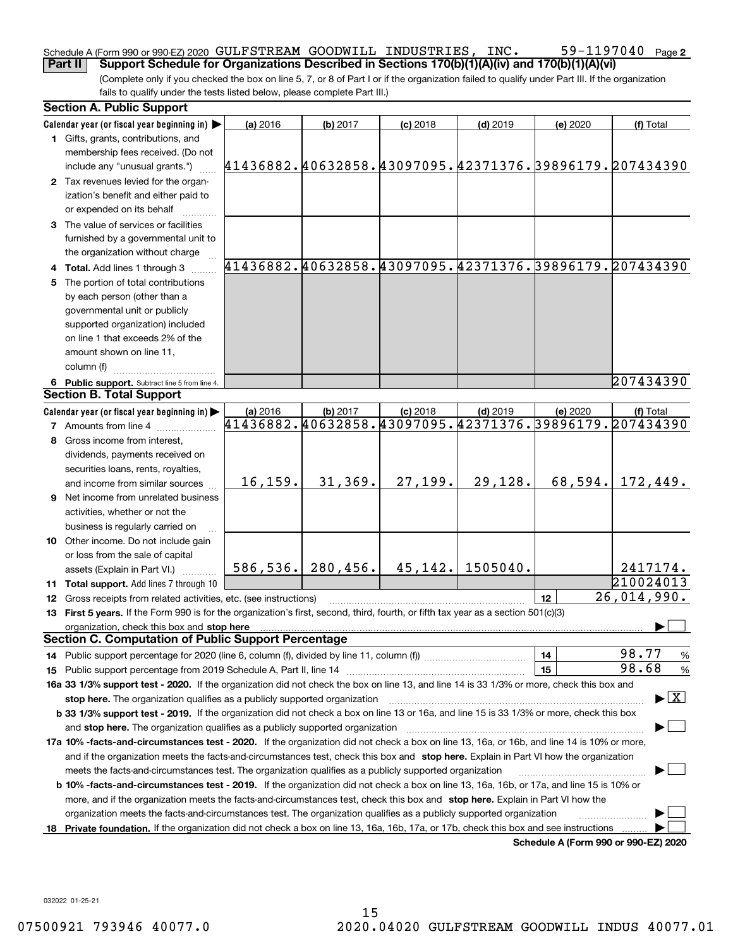#### 59-1197040 Page 2 Schedule A (Form 990 or 990-EZ) 2020 Page GULFSTREAM GOODWILL INDUSTRIES, INC. 59-1197040 **Part II** Support Schedule for Organizations Described in Sections 170(b)(1)(A)(iv) and 170(b)(1)(A)(vi)

(Complete only if you checked the box on line 5, 7, or 8 of Part I or if the organization failed to qualify under Part III. If the organization fails to qualify under the tests listed below, please complete Part III.)

|     | <b>Section A. Public Support</b>                                                                                                               |                                                        |          |            |            |          |                                                                     |
|-----|------------------------------------------------------------------------------------------------------------------------------------------------|--------------------------------------------------------|----------|------------|------------|----------|---------------------------------------------------------------------|
|     | Calendar year (or fiscal year beginning in)                                                                                                    | (a) 2016                                               | (b) 2017 | $(c)$ 2018 | $(d)$ 2019 | (e) 2020 | (f) Total                                                           |
|     | 1 Gifts, grants, contributions, and<br>membership fees received. (Do not                                                                       |                                                        |          |            |            |          |                                                                     |
|     | include any "unusual grants.")                                                                                                                 | 41436882.40632858.43097095.42371376.39896179.207434390 |          |            |            |          |                                                                     |
|     | 2 Tax revenues levied for the organ-                                                                                                           |                                                        |          |            |            |          |                                                                     |
|     | ization's benefit and either paid to                                                                                                           |                                                        |          |            |            |          |                                                                     |
|     | or expended on its behalf                                                                                                                      |                                                        |          |            |            |          |                                                                     |
|     | 3 The value of services or facilities                                                                                                          |                                                        |          |            |            |          |                                                                     |
|     | furnished by a governmental unit to                                                                                                            |                                                        |          |            |            |          |                                                                     |
|     | the organization without charge                                                                                                                |                                                        |          |            |            |          |                                                                     |
|     | 4 Total. Add lines 1 through 3                                                                                                                 |                                                        |          |            |            |          | 41436882.40632858.43097095.42371376.39896179.207434390              |
| 5   | The portion of total contributions                                                                                                             |                                                        |          |            |            |          |                                                                     |
|     | by each person (other than a                                                                                                                   |                                                        |          |            |            |          |                                                                     |
|     | governmental unit or publicly                                                                                                                  |                                                        |          |            |            |          |                                                                     |
|     | supported organization) included                                                                                                               |                                                        |          |            |            |          |                                                                     |
|     | on line 1 that exceeds 2% of the                                                                                                               |                                                        |          |            |            |          |                                                                     |
|     | amount shown on line 11,                                                                                                                       |                                                        |          |            |            |          |                                                                     |
|     | column (f)                                                                                                                                     |                                                        |          |            |            |          |                                                                     |
|     | 6 Public support. Subtract line 5 from line 4.                                                                                                 |                                                        |          |            |            |          | 207434390                                                           |
|     | <b>Section B. Total Support</b>                                                                                                                |                                                        |          |            |            |          |                                                                     |
|     | Calendar year (or fiscal year beginning in)                                                                                                    | (a) 2016                                               | (b) 2017 | $(c)$ 2018 | $(d)$ 2019 | (e) 2020 | (f) Total<br>41436882.40632858.43097095.42371376.39896179.207434390 |
|     | <b>7</b> Amounts from line 4                                                                                                                   |                                                        |          |            |            |          |                                                                     |
|     | Gross income from interest,                                                                                                                    |                                                        |          |            |            |          |                                                                     |
|     | dividends, payments received on                                                                                                                |                                                        |          |            |            |          |                                                                     |
|     | securities loans, rents, royalties,                                                                                                            |                                                        |          |            |            |          |                                                                     |
|     | and income from similar sources                                                                                                                | 16, 159.                                               | 31,369.  | 27,199.    | 29,128.    | 68,594.  | 172,449.                                                            |
|     | <b>9</b> Net income from unrelated business                                                                                                    |                                                        |          |            |            |          |                                                                     |
|     | activities, whether or not the                                                                                                                 |                                                        |          |            |            |          |                                                                     |
|     | business is regularly carried on                                                                                                               |                                                        |          |            |            |          |                                                                     |
|     | 10 Other income. Do not include gain                                                                                                           |                                                        |          |            |            |          |                                                                     |
|     | or loss from the sale of capital                                                                                                               | 586, 536.                                              | 280,456. | 45, 142.   | 1505040.   |          | 2417174.                                                            |
|     | assets (Explain in Part VI.)                                                                                                                   |                                                        |          |            |            |          | 210024013                                                           |
|     | 11 Total support. Add lines 7 through 10<br><b>12</b> Gross receipts from related activities, etc. (see instructions)                          |                                                        |          |            |            | 12       | 26,014,990.                                                         |
|     | 13 First 5 years. If the Form 990 is for the organization's first, second, third, fourth, or fifth tax year as a section 501(c)(3)             |                                                        |          |            |            |          |                                                                     |
|     | organization, check this box and stop here                                                                                                     |                                                        |          |            |            |          |                                                                     |
|     | <b>Section C. Computation of Public Support Percentage</b>                                                                                     |                                                        |          |            |            |          |                                                                     |
|     |                                                                                                                                                |                                                        |          |            |            | 14       | 98.77<br>%                                                          |
|     |                                                                                                                                                |                                                        |          |            |            | 15       | 98.68<br>$\%$                                                       |
|     | 16a 33 1/3% support test - 2020. If the organization did not check the box on line 13, and line 14 is 33 1/3% or more, check this box and      |                                                        |          |            |            |          |                                                                     |
|     | stop here. The organization qualifies as a publicly supported organization                                                                     |                                                        |          |            |            |          | $\blacktriangleright$ $\boxed{\text{X}}$                            |
|     | b 33 1/3% support test - 2019. If the organization did not check a box on line 13 or 16a, and line 15 is 33 1/3% or more, check this box       |                                                        |          |            |            |          |                                                                     |
|     | and stop here. The organization qualifies as a publicly supported organization                                                                 |                                                        |          |            |            |          |                                                                     |
|     | 17a 10% -facts-and-circumstances test - 2020. If the organization did not check a box on line 13, 16a, or 16b, and line 14 is 10% or more,     |                                                        |          |            |            |          |                                                                     |
|     | and if the organization meets the facts-and-circumstances test, check this box and stop here. Explain in Part VI how the organization          |                                                        |          |            |            |          |                                                                     |
|     | meets the facts-and-circumstances test. The organization qualifies as a publicly supported organization                                        |                                                        |          |            |            |          |                                                                     |
|     | <b>b 10% -facts-and-circumstances test - 2019.</b> If the organization did not check a box on line 13, 16a, 16b, or 17a, and line 15 is 10% or |                                                        |          |            |            |          |                                                                     |
|     | more, and if the organization meets the facts-and-circumstances test, check this box and stop here. Explain in Part VI how the                 |                                                        |          |            |            |          |                                                                     |
|     | organization meets the facts-and-circumstances test. The organization qualifies as a publicly supported organization                           |                                                        |          |            |            |          |                                                                     |
| 18. | Private foundation. If the organization did not check a box on line 13, 16a, 16b, 17a, or 17b, check this box and see instructions             |                                                        |          |            |            |          |                                                                     |
|     |                                                                                                                                                |                                                        |          |            |            |          | Schedule A (Form 990 or 990-EZ) 2020                                |

032022 01-25-21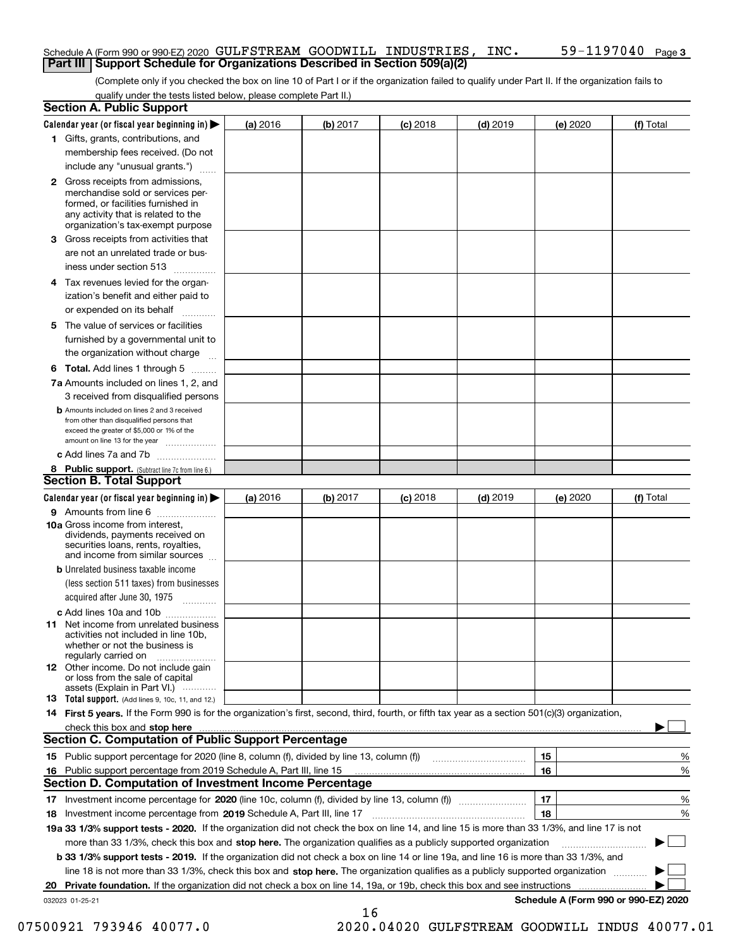#### Schedule A (Form 990 or 990-EZ) 2020 Page GULFSTREAM GOODWILL INDUSTRIES, INC. 59-1197040 **Part III Support Schedule for Organizations Described in Section 509(a)(2)**

(Complete only if you checked the box on line 10 of Part I or if the organization failed to qualify under Part II. If the organization fails to qualify under the tests listed below, please complete Part II.)

|    | <b>Section A. Public Support</b>                                                                                                                                                                                                    |          |          |            |            |          |                                      |
|----|-------------------------------------------------------------------------------------------------------------------------------------------------------------------------------------------------------------------------------------|----------|----------|------------|------------|----------|--------------------------------------|
|    | Calendar year (or fiscal year beginning in) $\blacktriangleright$                                                                                                                                                                   | (a) 2016 | (b) 2017 | $(c)$ 2018 | $(d)$ 2019 | (e) 2020 | (f) Total                            |
|    | 1 Gifts, grants, contributions, and                                                                                                                                                                                                 |          |          |            |            |          |                                      |
|    | membership fees received. (Do not                                                                                                                                                                                                   |          |          |            |            |          |                                      |
|    | include any "unusual grants.")                                                                                                                                                                                                      |          |          |            |            |          |                                      |
|    | <b>2</b> Gross receipts from admissions,<br>merchandise sold or services per-<br>formed, or facilities furnished in<br>any activity that is related to the<br>organization's tax-exempt purpose                                     |          |          |            |            |          |                                      |
|    | 3 Gross receipts from activities that<br>are not an unrelated trade or bus-                                                                                                                                                         |          |          |            |            |          |                                      |
|    | iness under section 513                                                                                                                                                                                                             |          |          |            |            |          |                                      |
|    | 4 Tax revenues levied for the organ-<br>ization's benefit and either paid to                                                                                                                                                        |          |          |            |            |          |                                      |
|    | or expended on its behalf                                                                                                                                                                                                           |          |          |            |            |          |                                      |
|    | 5 The value of services or facilities<br>furnished by a governmental unit to                                                                                                                                                        |          |          |            |            |          |                                      |
|    | the organization without charge                                                                                                                                                                                                     |          |          |            |            |          |                                      |
|    | <b>6 Total.</b> Add lines 1 through 5                                                                                                                                                                                               |          |          |            |            |          |                                      |
|    | 7a Amounts included on lines 1, 2, and<br>3 received from disqualified persons                                                                                                                                                      |          |          |            |            |          |                                      |
|    | <b>b</b> Amounts included on lines 2 and 3 received<br>from other than disqualified persons that<br>exceed the greater of \$5,000 or 1% of the<br>amount on line 13 for the year                                                    |          |          |            |            |          |                                      |
|    | c Add lines 7a and 7b                                                                                                                                                                                                               |          |          |            |            |          |                                      |
|    | 8 Public support. (Subtract line 7c from line 6.)<br><b>Section B. Total Support</b>                                                                                                                                                |          |          |            |            |          |                                      |
|    | Calendar year (or fiscal year beginning in)                                                                                                                                                                                         | (a) 2016 | (b) 2017 | $(c)$ 2018 | $(d)$ 2019 | (e) 2020 | (f) Total                            |
|    | 9 Amounts from line 6                                                                                                                                                                                                               |          |          |            |            |          |                                      |
|    | <b>10a</b> Gross income from interest,<br>dividends, payments received on<br>securities loans, rents, royalties,<br>and income from similar sources                                                                                 |          |          |            |            |          |                                      |
|    | <b>b</b> Unrelated business taxable income<br>(less section 511 taxes) from businesses                                                                                                                                              |          |          |            |            |          |                                      |
|    | acquired after June 30, 1975                                                                                                                                                                                                        |          |          |            |            |          |                                      |
|    | c Add lines 10a and 10b<br>11 Net income from unrelated business<br>activities not included in line 10b,<br>whether or not the business is<br>regularly carried on                                                                  |          |          |            |            |          |                                      |
|    | <b>12</b> Other income. Do not include gain<br>or loss from the sale of capital<br>assets (Explain in Part VI.)                                                                                                                     |          |          |            |            |          |                                      |
|    | 13 Total support. (Add lines 9, 10c, 11, and 12.)                                                                                                                                                                                   |          |          |            |            |          |                                      |
|    | 14 First 5 years. If the Form 990 is for the organization's first, second, third, fourth, or fifth tax year as a section 501(c)(3) organization,                                                                                    |          |          |            |            |          |                                      |
|    | check this box and <b>stop here</b> with the continuum continuum continuum continuum continuum continuum continuum continuum continuum continuum continuum continuum continuum continuum continuum continuum continuum continuum co |          |          |            |            |          |                                      |
|    | <b>Section C. Computation of Public Support Percentage</b>                                                                                                                                                                          |          |          |            |            |          |                                      |
|    |                                                                                                                                                                                                                                     |          |          |            |            | 15       | %                                    |
| 16 | Public support percentage from 2019 Schedule A, Part III, line 15                                                                                                                                                                   |          |          |            |            | 16       | %                                    |
|    | Section D. Computation of Investment Income Percentage                                                                                                                                                                              |          |          |            |            |          |                                      |
|    | 17 Investment income percentage for 2020 (line 10c, column (f), divided by line 13, column (f))<br>18 Investment income percentage from 2019 Schedule A, Part III, line 17                                                          |          |          |            |            | 17<br>18 | %<br>%                               |
|    | 19a 33 1/3% support tests - 2020. If the organization did not check the box on line 14, and line 15 is more than 33 1/3%, and line 17 is not                                                                                        |          |          |            |            |          |                                      |
|    | more than 33 1/3%, check this box and stop here. The organization qualifies as a publicly supported organization                                                                                                                    |          |          |            |            |          |                                      |
|    | b 33 1/3% support tests - 2019. If the organization did not check a box on line 14 or line 19a, and line 16 is more than 33 1/3%, and                                                                                               |          |          |            |            |          |                                      |
|    | line 18 is not more than 33 1/3%, check this box and stop here. The organization qualifies as a publicly supported organization                                                                                                     |          |          |            |            |          |                                      |
| 20 | <b>Private foundation.</b> If the organization did not check a box on line 14, 19a, or 19b, check this box and see instructions                                                                                                     |          |          |            |            |          | .                                    |
|    | 032023 01-25-21                                                                                                                                                                                                                     |          |          |            |            |          | Schedule A (Form 990 or 990-EZ) 2020 |
|    |                                                                                                                                                                                                                                     |          | 16       |            |            |          |                                      |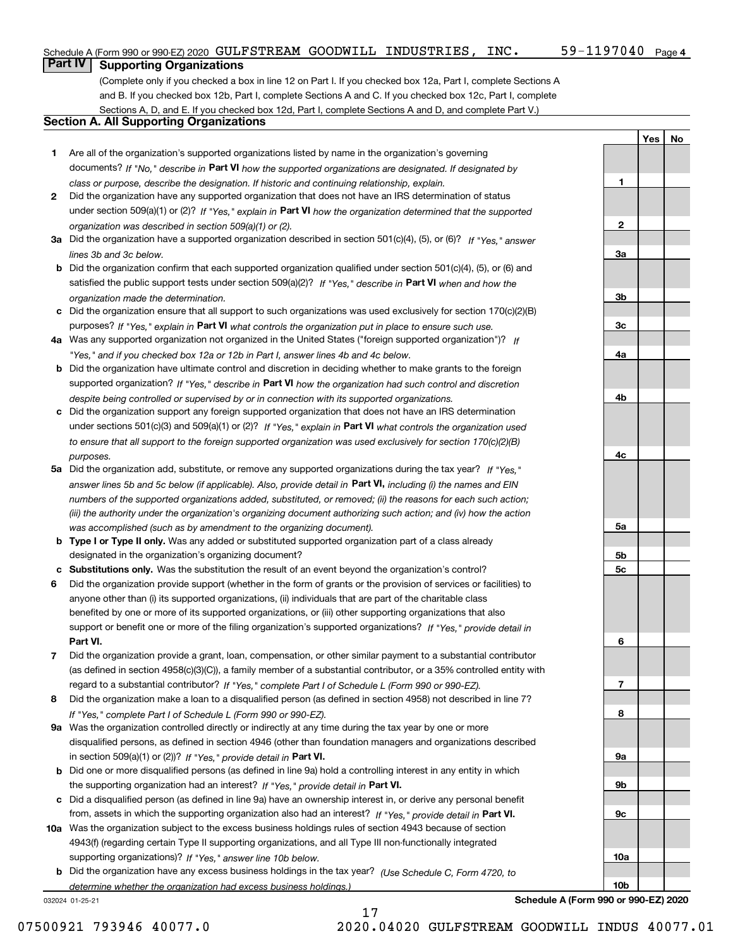**1**

**2**

**3a**

**3b**

**3c**

**4a**

**4b**

**4c**

**5a**

**5b5c**

**6**

**7**

**8**

**9a**

**9b**

**9c**

**10a**

**10b**

**YesNo**

# **Part IV Supporting Organizations**

(Complete only if you checked a box in line 12 on Part I. If you checked box 12a, Part I, complete Sections A and B. If you checked box 12b, Part I, complete Sections A and C. If you checked box 12c, Part I, complete Sections A, D, and E. If you checked box 12d, Part I, complete Sections A and D, and complete Part V.)

#### **Section A. All Supporting Organizations**

- **1** Are all of the organization's supported organizations listed by name in the organization's governing documents? If "No," describe in **Part VI** how the supported organizations are designated. If designated by *class or purpose, describe the designation. If historic and continuing relationship, explain.*
- **2** Did the organization have any supported organization that does not have an IRS determination of status under section 509(a)(1) or (2)? If "Yes," explain in Part VI how the organization determined that the supported *organization was described in section 509(a)(1) or (2).*
- **3a** Did the organization have a supported organization described in section 501(c)(4), (5), or (6)? If "Yes," answer *lines 3b and 3c below.*
- **b** Did the organization confirm that each supported organization qualified under section 501(c)(4), (5), or (6) and satisfied the public support tests under section 509(a)(2)? If "Yes," describe in **Part VI** when and how the *organization made the determination.*
- **c**Did the organization ensure that all support to such organizations was used exclusively for section 170(c)(2)(B) purposes? If "Yes," explain in **Part VI** what controls the organization put in place to ensure such use.
- **4a***If* Was any supported organization not organized in the United States ("foreign supported organization")? *"Yes," and if you checked box 12a or 12b in Part I, answer lines 4b and 4c below.*
- **b** Did the organization have ultimate control and discretion in deciding whether to make grants to the foreign supported organization? If "Yes," describe in **Part VI** how the organization had such control and discretion *despite being controlled or supervised by or in connection with its supported organizations.*
- **c** Did the organization support any foreign supported organization that does not have an IRS determination under sections 501(c)(3) and 509(a)(1) or (2)? If "Yes," explain in **Part VI** what controls the organization used *to ensure that all support to the foreign supported organization was used exclusively for section 170(c)(2)(B) purposes.*
- **5a** Did the organization add, substitute, or remove any supported organizations during the tax year? If "Yes," answer lines 5b and 5c below (if applicable). Also, provide detail in **Part VI,** including (i) the names and EIN *numbers of the supported organizations added, substituted, or removed; (ii) the reasons for each such action; (iii) the authority under the organization's organizing document authorizing such action; and (iv) how the action was accomplished (such as by amendment to the organizing document).*
- **b** Type I or Type II only. Was any added or substituted supported organization part of a class already designated in the organization's organizing document?
- **cSubstitutions only.**  Was the substitution the result of an event beyond the organization's control?
- **6** Did the organization provide support (whether in the form of grants or the provision of services or facilities) to **Part VI.** *If "Yes," provide detail in* support or benefit one or more of the filing organization's supported organizations? anyone other than (i) its supported organizations, (ii) individuals that are part of the charitable class benefited by one or more of its supported organizations, or (iii) other supporting organizations that also
- **7**Did the organization provide a grant, loan, compensation, or other similar payment to a substantial contributor *If "Yes," complete Part I of Schedule L (Form 990 or 990-EZ).* regard to a substantial contributor? (as defined in section 4958(c)(3)(C)), a family member of a substantial contributor, or a 35% controlled entity with
- **8** Did the organization make a loan to a disqualified person (as defined in section 4958) not described in line 7? *If "Yes," complete Part I of Schedule L (Form 990 or 990-EZ).*
- **9a** Was the organization controlled directly or indirectly at any time during the tax year by one or more in section 509(a)(1) or (2))? If "Yes," *provide detail in* <code>Part VI.</code> disqualified persons, as defined in section 4946 (other than foundation managers and organizations described
- **b** Did one or more disqualified persons (as defined in line 9a) hold a controlling interest in any entity in which the supporting organization had an interest? If "Yes," provide detail in P**art VI**.
- **c**Did a disqualified person (as defined in line 9a) have an ownership interest in, or derive any personal benefit from, assets in which the supporting organization also had an interest? If "Yes," provide detail in P**art VI.**
- **10a** Was the organization subject to the excess business holdings rules of section 4943 because of section supporting organizations)? If "Yes," answer line 10b below. 4943(f) (regarding certain Type II supporting organizations, and all Type III non-functionally integrated
- **b** Did the organization have any excess business holdings in the tax year? (Use Schedule C, Form 4720, to *determine whether the organization had excess business holdings.)*

17

032024 01-25-21

**Schedule A (Form 990 or 990-EZ) 2020**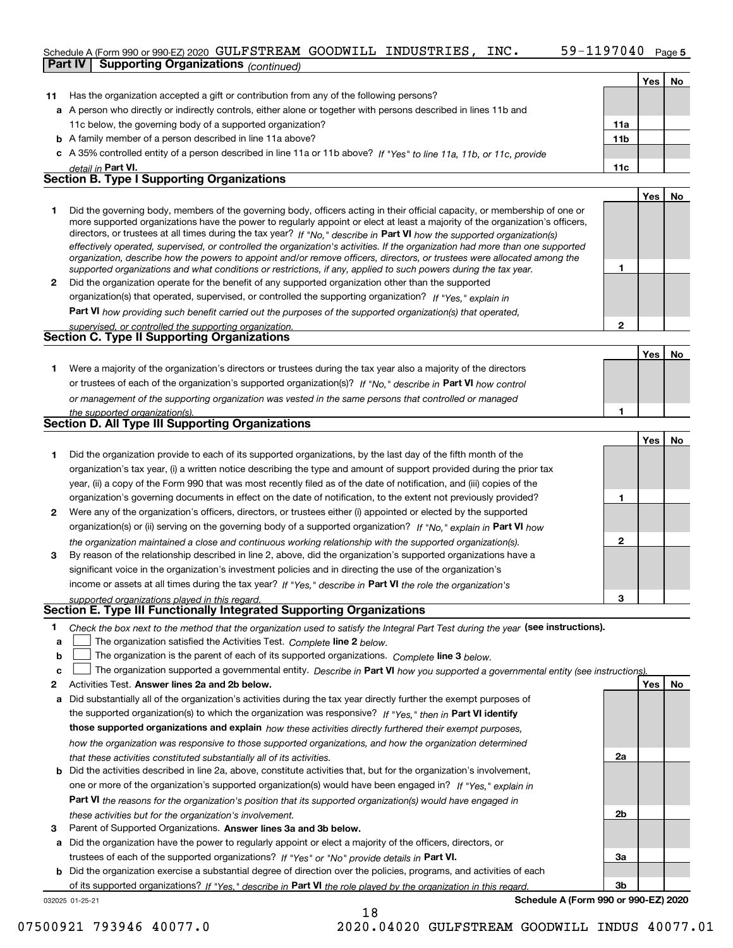#### Schedule A (Form 990 or 990-EZ) 2020 Page GULFSTREAM GOODWILL INDUSTRIES, INC. 59-1197040 **Part IV Supporting Organizations** *(continued)*

|              | orang organizations <sub>(CONNINGO)</sub>                                                                                                                                                                                                                |                 |     |    |
|--------------|----------------------------------------------------------------------------------------------------------------------------------------------------------------------------------------------------------------------------------------------------------|-----------------|-----|----|
|              |                                                                                                                                                                                                                                                          |                 | Yes | No |
| 11           | Has the organization accepted a gift or contribution from any of the following persons?                                                                                                                                                                  |                 |     |    |
|              | a A person who directly or indirectly controls, either alone or together with persons described in lines 11b and                                                                                                                                         |                 |     |    |
|              | 11c below, the governing body of a supported organization?                                                                                                                                                                                               | 11a             |     |    |
|              | <b>b</b> A family member of a person described in line 11a above?                                                                                                                                                                                        | 11 <sub>b</sub> |     |    |
|              | c A 35% controlled entity of a person described in line 11a or 11b above? If "Yes" to line 11a, 11b, or 11c, provide                                                                                                                                     |                 |     |    |
|              | detail in <b>Part VI.</b>                                                                                                                                                                                                                                | 11c             |     |    |
|              | <b>Section B. Type I Supporting Organizations</b>                                                                                                                                                                                                        |                 |     |    |
|              |                                                                                                                                                                                                                                                          |                 | Yes | No |
| 1.           | Did the governing body, members of the governing body, officers acting in their official capacity, or membership of one or                                                                                                                               |                 |     |    |
|              | more supported organizations have the power to regularly appoint or elect at least a majority of the organization's officers,<br>directors, or trustees at all times during the tax year? If "No," describe in Part VI how the supported organization(s) |                 |     |    |
|              | effectively operated, supervised, or controlled the organization's activities. If the organization had more than one supported                                                                                                                           |                 |     |    |
|              | organization, describe how the powers to appoint and/or remove officers, directors, or trustees were allocated among the                                                                                                                                 |                 |     |    |
|              | supported organizations and what conditions or restrictions, if any, applied to such powers during the tax year.                                                                                                                                         | 1               |     |    |
| $\mathbf{2}$ | Did the organization operate for the benefit of any supported organization other than the supported                                                                                                                                                      |                 |     |    |
|              | organization(s) that operated, supervised, or controlled the supporting organization? If "Yes," explain in                                                                                                                                               |                 |     |    |
|              | Part VI how providing such benefit carried out the purposes of the supported organization(s) that operated,                                                                                                                                              |                 |     |    |
|              | supervised, or controlled the supporting organization.                                                                                                                                                                                                   | $\mathbf{2}$    |     |    |
|              | Section C. Type II Supporting Organizations                                                                                                                                                                                                              |                 |     |    |
|              |                                                                                                                                                                                                                                                          |                 | Yes | No |
| 1.           | Were a majority of the organization's directors or trustees during the tax year also a majority of the directors                                                                                                                                         |                 |     |    |
|              | or trustees of each of the organization's supported organization(s)? If "No," describe in Part VI how control                                                                                                                                            |                 |     |    |
|              | or management of the supporting organization was vested in the same persons that controlled or managed                                                                                                                                                   |                 |     |    |
|              | the supported organization(s).                                                                                                                                                                                                                           | 1               |     |    |
|              | Section D. All Type III Supporting Organizations                                                                                                                                                                                                         |                 |     |    |
|              |                                                                                                                                                                                                                                                          |                 | Yes | No |
| 1.           | Did the organization provide to each of its supported organizations, by the last day of the fifth month of the                                                                                                                                           |                 |     |    |
|              | organization's tax year, (i) a written notice describing the type and amount of support provided during the prior tax                                                                                                                                    |                 |     |    |
|              | year, (ii) a copy of the Form 990 that was most recently filed as of the date of notification, and (iii) copies of the                                                                                                                                   |                 |     |    |
|              | organization's governing documents in effect on the date of notification, to the extent not previously provided?                                                                                                                                         | 1               |     |    |
| 2            | Were any of the organization's officers, directors, or trustees either (i) appointed or elected by the supported                                                                                                                                         |                 |     |    |
|              | organization(s) or (ii) serving on the governing body of a supported organization? If "No," explain in Part VI how                                                                                                                                       |                 |     |    |
|              | the organization maintained a close and continuous working relationship with the supported organization(s).                                                                                                                                              | $\mathbf{2}$    |     |    |
| 3            | By reason of the relationship described in line 2, above, did the organization's supported organizations have a                                                                                                                                          |                 |     |    |
|              | significant voice in the organization's investment policies and in directing the use of the organization's                                                                                                                                               |                 |     |    |
|              | income or assets at all times during the tax year? If "Yes," describe in Part VI the role the organization's                                                                                                                                             |                 |     |    |
|              | supported organizations played in this regard.<br>Section E. Type III Functionally Integrated Supporting Organizations                                                                                                                                   | 3               |     |    |
|              |                                                                                                                                                                                                                                                          |                 |     |    |
| 1            | Check the box next to the method that the organization used to satisfy the Integral Part Test during the year (see instructions).                                                                                                                        |                 |     |    |
| a            | The organization satisfied the Activities Test. Complete line 2 below.                                                                                                                                                                                   |                 |     |    |
| b            | The organization is the parent of each of its supported organizations. Complete line 3 below.                                                                                                                                                            |                 |     |    |
| с            | The organization supported a governmental entity. Describe in Part VI how you supported a governmental entity (see instructions)                                                                                                                         |                 |     |    |
| 2            | Activities Test. Answer lines 2a and 2b below.                                                                                                                                                                                                           |                 | Yes | No |
| a            | Did substantially all of the organization's activities during the tax year directly further the exempt purposes of                                                                                                                                       |                 |     |    |
|              | the supported organization(s) to which the organization was responsive? If "Yes," then in Part VI identify                                                                                                                                               |                 |     |    |
|              | those supported organizations and explain how these activities directly furthered their exempt purposes,                                                                                                                                                 |                 |     |    |
|              | how the organization was responsive to those supported organizations, and how the organization determined                                                                                                                                                |                 |     |    |
|              | that these activities constituted substantially all of its activities.                                                                                                                                                                                   | 2a              |     |    |
| b            | Did the activities described in line 2a, above, constitute activities that, but for the organization's involvement,                                                                                                                                      |                 |     |    |
|              | one or more of the organization's supported organization(s) would have been engaged in? If "Yes," explain in                                                                                                                                             |                 |     |    |
|              | Part VI the reasons for the organization's position that its supported organization(s) would have engaged in                                                                                                                                             |                 |     |    |
|              | these activities but for the organization's involvement.                                                                                                                                                                                                 | 2b              |     |    |

**3** Parent of Supported Organizations. Answer lines 3a and 3b below.

**a** Did the organization have the power to regularly appoint or elect a majority of the officers, directors, or trustees of each of the supported organizations? If "Yes" or "No" provide details in **Part VI.** 

**b** Did the organization exercise a substantial degree of direction over the policies, programs, and activities of each of its supported organizations? If "Yes," describe in Part VI the role played by the organization in this regard.

18

032025 01-25-21

**Schedule A (Form 990 or 990-EZ) 2020**

**3a**

**3b**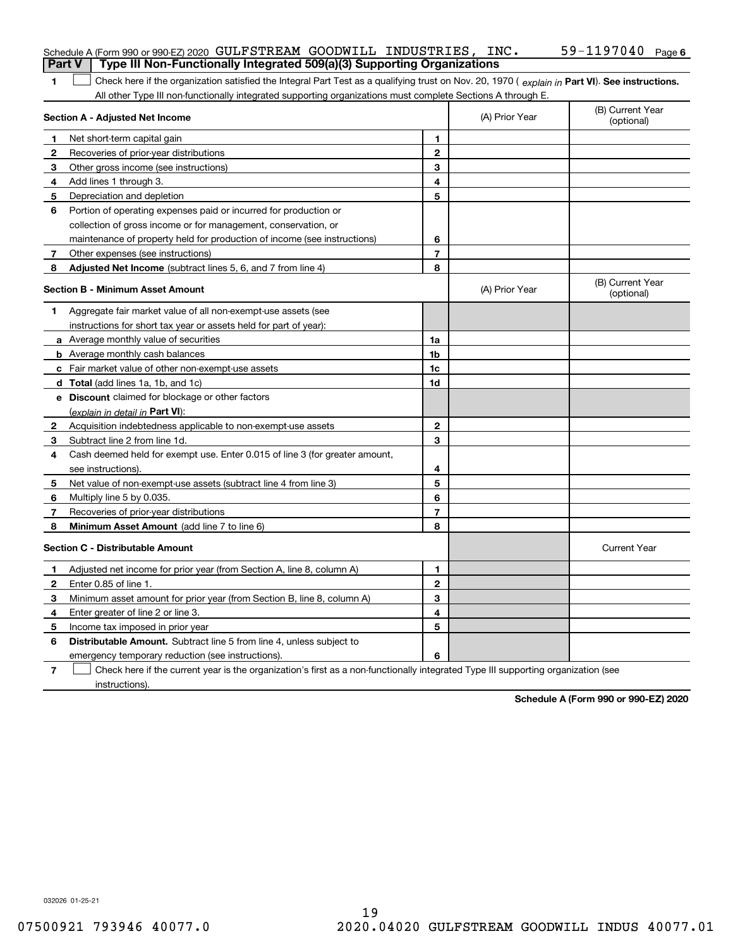| <b>Part V</b> | Schedule A (Form 990 or 990-EZ) 2020 GULFSTREAM GOODWILL INDUSTRIES, INC.<br>Type III Non-Functionally Integrated 509(a)(3) Supporting Organizations |                |                | 59-1197040<br>Page 6           |
|---------------|------------------------------------------------------------------------------------------------------------------------------------------------------|----------------|----------------|--------------------------------|
|               |                                                                                                                                                      |                |                |                                |
| 1             | Check here if the organization satisfied the Integral Part Test as a qualifying trust on Nov. 20, 1970 (explain in Part VI). See instructions.       |                |                |                                |
|               | All other Type III non-functionally integrated supporting organizations must complete Sections A through E.<br>Section A - Adjusted Net Income       |                | (A) Prior Year | (B) Current Year<br>(optional) |
| 1             | Net short-term capital gain                                                                                                                          | 1              |                |                                |
| 2             | Recoveries of prior-year distributions                                                                                                               | $\overline{2}$ |                |                                |
| з             | Other gross income (see instructions)                                                                                                                | 3              |                |                                |
| 4             | Add lines 1 through 3.                                                                                                                               | 4              |                |                                |
| 5             | Depreciation and depletion                                                                                                                           | 5              |                |                                |
| 6             | Portion of operating expenses paid or incurred for production or                                                                                     |                |                |                                |
|               | collection of gross income or for management, conservation, or                                                                                       |                |                |                                |
|               | maintenance of property held for production of income (see instructions)                                                                             | 6              |                |                                |
| 7             | Other expenses (see instructions)                                                                                                                    | $\overline{7}$ |                |                                |
| 8             | Adjusted Net Income (subtract lines 5, 6, and 7 from line 4)                                                                                         | 8              |                |                                |
|               | <b>Section B - Minimum Asset Amount</b>                                                                                                              |                | (A) Prior Year | (B) Current Year<br>(optional) |
| 1             | Aggregate fair market value of all non-exempt-use assets (see                                                                                        |                |                |                                |
|               | instructions for short tax year or assets held for part of year):                                                                                    |                |                |                                |
|               | a Average monthly value of securities                                                                                                                | 1a             |                |                                |
|               | <b>b</b> Average monthly cash balances                                                                                                               | 1b             |                |                                |
|               | c Fair market value of other non-exempt-use assets                                                                                                   | 1c             |                |                                |
|               | <b>d</b> Total (add lines 1a, 1b, and 1c)                                                                                                            | 1d             |                |                                |
|               | e Discount claimed for blockage or other factors                                                                                                     |                |                |                                |
|               | (explain in detail in Part VI):                                                                                                                      |                |                |                                |
| 2             | Acquisition indebtedness applicable to non-exempt-use assets                                                                                         | $\mathbf{2}$   |                |                                |
| 3.            | Subtract line 2 from line 1d.                                                                                                                        | 3              |                |                                |
| 4             | Cash deemed held for exempt use. Enter 0.015 of line 3 (for greater amount,                                                                          |                |                |                                |
|               | see instructions).                                                                                                                                   | 4              |                |                                |
| 5             | Net value of non-exempt-use assets (subtract line 4 from line 3)                                                                                     | 5              |                |                                |
| 6             | Multiply line 5 by 0.035.                                                                                                                            | 6              |                |                                |
| 7             | Recoveries of prior-year distributions                                                                                                               | $\overline{7}$ |                |                                |
| 8             | <b>Minimum Asset Amount</b> (add line 7 to line 6)                                                                                                   | 8              |                |                                |
|               | <b>Section C - Distributable Amount</b>                                                                                                              |                |                | <b>Current Year</b>            |
|               | Adjusted net income for prior year (from Section A, line 8, column A)                                                                                | 1              |                |                                |
| 2             | Enter 0.85 of line 1.                                                                                                                                | 2              |                |                                |
| з             | Minimum asset amount for prior year (from Section B, line 8, column A)                                                                               | 3              |                |                                |
| 4             | Enter greater of line 2 or line 3.                                                                                                                   | 4              |                |                                |
| 5             | Income tax imposed in prior year                                                                                                                     | 5              |                |                                |
| 6             | <b>Distributable Amount.</b> Subtract line 5 from line 4, unless subject to                                                                          |                |                |                                |
|               | emergency temporary reduction (see instructions).                                                                                                    | 6              |                |                                |
| 7             | Check here if the current year is the organization's first as a non-functionally integrated Type III supporting organization (see                    |                |                |                                |

**Schedule A (Form 990 or 990-EZ) 2020**

032026 01-25-21

instructions).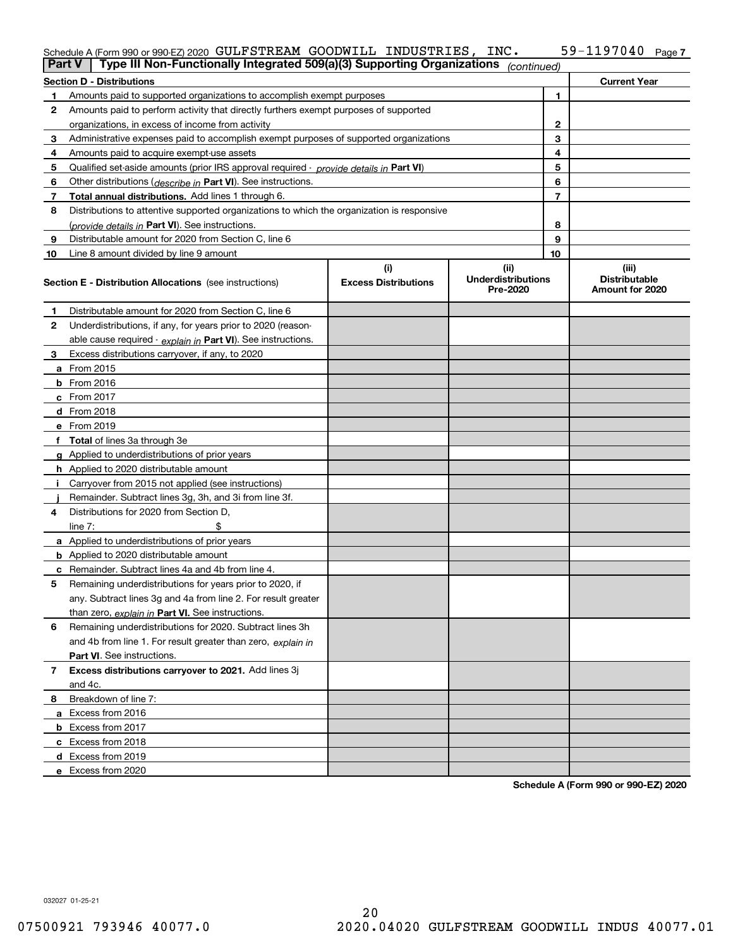# Schedule A (Form 990 or 990-EZ) 2020 Page GULFSTREAM GOODWILL INDUSTRIES, INC. 59-1197040

| <b>Section D - Distributions</b><br><b>Current Year</b><br>1<br>Amounts paid to supported organizations to accomplish exempt purposes<br>1.<br>Amounts paid to perform activity that directly furthers exempt purposes of supported<br>2<br>2<br>organizations, in excess of income from activity<br>3<br>Administrative expenses paid to accomplish exempt purposes of supported organizations<br>3<br>4<br>Amounts paid to acquire exempt-use assets<br>4<br>5<br>5<br>Qualified set-aside amounts (prior IRS approval required - provide details in Part VI)<br>6<br>Other distributions ( <i>describe in</i> Part VI). See instructions.<br>6<br>7<br>Total annual distributions. Add lines 1 through 6.<br>7<br>8<br>Distributions to attentive supported organizations to which the organization is responsive<br>8<br>(provide details in Part VI). See instructions.<br>9<br>Distributable amount for 2020 from Section C, line 6<br>9<br>10<br>Line 8 amount divided by line 9 amount<br>10<br>(i)<br>(ii)<br>(iii)<br><b>Underdistributions</b><br><b>Distributable</b><br><b>Excess Distributions</b><br><b>Section E - Distribution Allocations</b> (see instructions)<br>Pre-2020<br>Amount for 2020<br>Distributable amount for 2020 from Section C, line 6<br>1<br>2<br>Underdistributions, if any, for years prior to 2020 (reason-<br>able cause required - explain in Part VI). See instructions.<br>Excess distributions carryover, if any, to 2020<br>3<br>a From 2015<br><b>b</b> From 2016<br>$c$ From 2017<br><b>d</b> From 2018<br>e From 2019<br>f Total of lines 3a through 3e<br>g Applied to underdistributions of prior years<br><b>h</b> Applied to 2020 distributable amount<br>Carryover from 2015 not applied (see instructions)<br>Remainder. Subtract lines 3g, 3h, and 3i from line 3f.<br>Distributions for 2020 from Section D,<br>4<br>line $7:$<br>a Applied to underdistributions of prior years<br><b>b</b> Applied to 2020 distributable amount<br>c Remainder. Subtract lines 4a and 4b from line 4.<br>Remaining underdistributions for years prior to 2020, if<br>5<br>any. Subtract lines 3g and 4a from line 2. For result greater<br>than zero, explain in Part VI. See instructions.<br>Remaining underdistributions for 2020. Subtract lines 3h<br>6<br>and 4b from line 1. For result greater than zero, explain in<br>Part VI. See instructions.<br>Excess distributions carryover to 2021. Add lines 3j<br>$\overline{7}$<br>and 4c.<br>Breakdown of line 7:<br>8<br>a Excess from 2016<br><b>b</b> Excess from 2017<br>c Excess from 2018<br>d Excess from 2019 | Part V | Type III Non-Functionally Integrated 509(a)(3) Supporting Organizations |  | (continued) |  |
|------------------------------------------------------------------------------------------------------------------------------------------------------------------------------------------------------------------------------------------------------------------------------------------------------------------------------------------------------------------------------------------------------------------------------------------------------------------------------------------------------------------------------------------------------------------------------------------------------------------------------------------------------------------------------------------------------------------------------------------------------------------------------------------------------------------------------------------------------------------------------------------------------------------------------------------------------------------------------------------------------------------------------------------------------------------------------------------------------------------------------------------------------------------------------------------------------------------------------------------------------------------------------------------------------------------------------------------------------------------------------------------------------------------------------------------------------------------------------------------------------------------------------------------------------------------------------------------------------------------------------------------------------------------------------------------------------------------------------------------------------------------------------------------------------------------------------------------------------------------------------------------------------------------------------------------------------------------------------------------------------------------------------------------------------------------------------------------------------------------------------------------------------------------------------------------------------------------------------------------------------------------------------------------------------------------------------------------------------------------------------------------------------------------------------------------------------------------------------------------------------------------------------------------------------------------------------------------------------------------------|--------|-------------------------------------------------------------------------|--|-------------|--|
|                                                                                                                                                                                                                                                                                                                                                                                                                                                                                                                                                                                                                                                                                                                                                                                                                                                                                                                                                                                                                                                                                                                                                                                                                                                                                                                                                                                                                                                                                                                                                                                                                                                                                                                                                                                                                                                                                                                                                                                                                                                                                                                                                                                                                                                                                                                                                                                                                                                                                                                                                                                                                        |        |                                                                         |  |             |  |
|                                                                                                                                                                                                                                                                                                                                                                                                                                                                                                                                                                                                                                                                                                                                                                                                                                                                                                                                                                                                                                                                                                                                                                                                                                                                                                                                                                                                                                                                                                                                                                                                                                                                                                                                                                                                                                                                                                                                                                                                                                                                                                                                                                                                                                                                                                                                                                                                                                                                                                                                                                                                                        |        |                                                                         |  |             |  |
|                                                                                                                                                                                                                                                                                                                                                                                                                                                                                                                                                                                                                                                                                                                                                                                                                                                                                                                                                                                                                                                                                                                                                                                                                                                                                                                                                                                                                                                                                                                                                                                                                                                                                                                                                                                                                                                                                                                                                                                                                                                                                                                                                                                                                                                                                                                                                                                                                                                                                                                                                                                                                        |        |                                                                         |  |             |  |
|                                                                                                                                                                                                                                                                                                                                                                                                                                                                                                                                                                                                                                                                                                                                                                                                                                                                                                                                                                                                                                                                                                                                                                                                                                                                                                                                                                                                                                                                                                                                                                                                                                                                                                                                                                                                                                                                                                                                                                                                                                                                                                                                                                                                                                                                                                                                                                                                                                                                                                                                                                                                                        |        |                                                                         |  |             |  |
|                                                                                                                                                                                                                                                                                                                                                                                                                                                                                                                                                                                                                                                                                                                                                                                                                                                                                                                                                                                                                                                                                                                                                                                                                                                                                                                                                                                                                                                                                                                                                                                                                                                                                                                                                                                                                                                                                                                                                                                                                                                                                                                                                                                                                                                                                                                                                                                                                                                                                                                                                                                                                        |        |                                                                         |  |             |  |
|                                                                                                                                                                                                                                                                                                                                                                                                                                                                                                                                                                                                                                                                                                                                                                                                                                                                                                                                                                                                                                                                                                                                                                                                                                                                                                                                                                                                                                                                                                                                                                                                                                                                                                                                                                                                                                                                                                                                                                                                                                                                                                                                                                                                                                                                                                                                                                                                                                                                                                                                                                                                                        |        |                                                                         |  |             |  |
|                                                                                                                                                                                                                                                                                                                                                                                                                                                                                                                                                                                                                                                                                                                                                                                                                                                                                                                                                                                                                                                                                                                                                                                                                                                                                                                                                                                                                                                                                                                                                                                                                                                                                                                                                                                                                                                                                                                                                                                                                                                                                                                                                                                                                                                                                                                                                                                                                                                                                                                                                                                                                        |        |                                                                         |  |             |  |
|                                                                                                                                                                                                                                                                                                                                                                                                                                                                                                                                                                                                                                                                                                                                                                                                                                                                                                                                                                                                                                                                                                                                                                                                                                                                                                                                                                                                                                                                                                                                                                                                                                                                                                                                                                                                                                                                                                                                                                                                                                                                                                                                                                                                                                                                                                                                                                                                                                                                                                                                                                                                                        |        |                                                                         |  |             |  |
|                                                                                                                                                                                                                                                                                                                                                                                                                                                                                                                                                                                                                                                                                                                                                                                                                                                                                                                                                                                                                                                                                                                                                                                                                                                                                                                                                                                                                                                                                                                                                                                                                                                                                                                                                                                                                                                                                                                                                                                                                                                                                                                                                                                                                                                                                                                                                                                                                                                                                                                                                                                                                        |        |                                                                         |  |             |  |
|                                                                                                                                                                                                                                                                                                                                                                                                                                                                                                                                                                                                                                                                                                                                                                                                                                                                                                                                                                                                                                                                                                                                                                                                                                                                                                                                                                                                                                                                                                                                                                                                                                                                                                                                                                                                                                                                                                                                                                                                                                                                                                                                                                                                                                                                                                                                                                                                                                                                                                                                                                                                                        |        |                                                                         |  |             |  |
|                                                                                                                                                                                                                                                                                                                                                                                                                                                                                                                                                                                                                                                                                                                                                                                                                                                                                                                                                                                                                                                                                                                                                                                                                                                                                                                                                                                                                                                                                                                                                                                                                                                                                                                                                                                                                                                                                                                                                                                                                                                                                                                                                                                                                                                                                                                                                                                                                                                                                                                                                                                                                        |        |                                                                         |  |             |  |
|                                                                                                                                                                                                                                                                                                                                                                                                                                                                                                                                                                                                                                                                                                                                                                                                                                                                                                                                                                                                                                                                                                                                                                                                                                                                                                                                                                                                                                                                                                                                                                                                                                                                                                                                                                                                                                                                                                                                                                                                                                                                                                                                                                                                                                                                                                                                                                                                                                                                                                                                                                                                                        |        |                                                                         |  |             |  |
|                                                                                                                                                                                                                                                                                                                                                                                                                                                                                                                                                                                                                                                                                                                                                                                                                                                                                                                                                                                                                                                                                                                                                                                                                                                                                                                                                                                                                                                                                                                                                                                                                                                                                                                                                                                                                                                                                                                                                                                                                                                                                                                                                                                                                                                                                                                                                                                                                                                                                                                                                                                                                        |        |                                                                         |  |             |  |
|                                                                                                                                                                                                                                                                                                                                                                                                                                                                                                                                                                                                                                                                                                                                                                                                                                                                                                                                                                                                                                                                                                                                                                                                                                                                                                                                                                                                                                                                                                                                                                                                                                                                                                                                                                                                                                                                                                                                                                                                                                                                                                                                                                                                                                                                                                                                                                                                                                                                                                                                                                                                                        |        |                                                                         |  |             |  |
|                                                                                                                                                                                                                                                                                                                                                                                                                                                                                                                                                                                                                                                                                                                                                                                                                                                                                                                                                                                                                                                                                                                                                                                                                                                                                                                                                                                                                                                                                                                                                                                                                                                                                                                                                                                                                                                                                                                                                                                                                                                                                                                                                                                                                                                                                                                                                                                                                                                                                                                                                                                                                        |        |                                                                         |  |             |  |
|                                                                                                                                                                                                                                                                                                                                                                                                                                                                                                                                                                                                                                                                                                                                                                                                                                                                                                                                                                                                                                                                                                                                                                                                                                                                                                                                                                                                                                                                                                                                                                                                                                                                                                                                                                                                                                                                                                                                                                                                                                                                                                                                                                                                                                                                                                                                                                                                                                                                                                                                                                                                                        |        |                                                                         |  |             |  |
|                                                                                                                                                                                                                                                                                                                                                                                                                                                                                                                                                                                                                                                                                                                                                                                                                                                                                                                                                                                                                                                                                                                                                                                                                                                                                                                                                                                                                                                                                                                                                                                                                                                                                                                                                                                                                                                                                                                                                                                                                                                                                                                                                                                                                                                                                                                                                                                                                                                                                                                                                                                                                        |        |                                                                         |  |             |  |
|                                                                                                                                                                                                                                                                                                                                                                                                                                                                                                                                                                                                                                                                                                                                                                                                                                                                                                                                                                                                                                                                                                                                                                                                                                                                                                                                                                                                                                                                                                                                                                                                                                                                                                                                                                                                                                                                                                                                                                                                                                                                                                                                                                                                                                                                                                                                                                                                                                                                                                                                                                                                                        |        |                                                                         |  |             |  |
|                                                                                                                                                                                                                                                                                                                                                                                                                                                                                                                                                                                                                                                                                                                                                                                                                                                                                                                                                                                                                                                                                                                                                                                                                                                                                                                                                                                                                                                                                                                                                                                                                                                                                                                                                                                                                                                                                                                                                                                                                                                                                                                                                                                                                                                                                                                                                                                                                                                                                                                                                                                                                        |        |                                                                         |  |             |  |
|                                                                                                                                                                                                                                                                                                                                                                                                                                                                                                                                                                                                                                                                                                                                                                                                                                                                                                                                                                                                                                                                                                                                                                                                                                                                                                                                                                                                                                                                                                                                                                                                                                                                                                                                                                                                                                                                                                                                                                                                                                                                                                                                                                                                                                                                                                                                                                                                                                                                                                                                                                                                                        |        |                                                                         |  |             |  |
|                                                                                                                                                                                                                                                                                                                                                                                                                                                                                                                                                                                                                                                                                                                                                                                                                                                                                                                                                                                                                                                                                                                                                                                                                                                                                                                                                                                                                                                                                                                                                                                                                                                                                                                                                                                                                                                                                                                                                                                                                                                                                                                                                                                                                                                                                                                                                                                                                                                                                                                                                                                                                        |        |                                                                         |  |             |  |
|                                                                                                                                                                                                                                                                                                                                                                                                                                                                                                                                                                                                                                                                                                                                                                                                                                                                                                                                                                                                                                                                                                                                                                                                                                                                                                                                                                                                                                                                                                                                                                                                                                                                                                                                                                                                                                                                                                                                                                                                                                                                                                                                                                                                                                                                                                                                                                                                                                                                                                                                                                                                                        |        |                                                                         |  |             |  |
|                                                                                                                                                                                                                                                                                                                                                                                                                                                                                                                                                                                                                                                                                                                                                                                                                                                                                                                                                                                                                                                                                                                                                                                                                                                                                                                                                                                                                                                                                                                                                                                                                                                                                                                                                                                                                                                                                                                                                                                                                                                                                                                                                                                                                                                                                                                                                                                                                                                                                                                                                                                                                        |        |                                                                         |  |             |  |
|                                                                                                                                                                                                                                                                                                                                                                                                                                                                                                                                                                                                                                                                                                                                                                                                                                                                                                                                                                                                                                                                                                                                                                                                                                                                                                                                                                                                                                                                                                                                                                                                                                                                                                                                                                                                                                                                                                                                                                                                                                                                                                                                                                                                                                                                                                                                                                                                                                                                                                                                                                                                                        |        |                                                                         |  |             |  |
|                                                                                                                                                                                                                                                                                                                                                                                                                                                                                                                                                                                                                                                                                                                                                                                                                                                                                                                                                                                                                                                                                                                                                                                                                                                                                                                                                                                                                                                                                                                                                                                                                                                                                                                                                                                                                                                                                                                                                                                                                                                                                                                                                                                                                                                                                                                                                                                                                                                                                                                                                                                                                        |        |                                                                         |  |             |  |
|                                                                                                                                                                                                                                                                                                                                                                                                                                                                                                                                                                                                                                                                                                                                                                                                                                                                                                                                                                                                                                                                                                                                                                                                                                                                                                                                                                                                                                                                                                                                                                                                                                                                                                                                                                                                                                                                                                                                                                                                                                                                                                                                                                                                                                                                                                                                                                                                                                                                                                                                                                                                                        |        |                                                                         |  |             |  |
|                                                                                                                                                                                                                                                                                                                                                                                                                                                                                                                                                                                                                                                                                                                                                                                                                                                                                                                                                                                                                                                                                                                                                                                                                                                                                                                                                                                                                                                                                                                                                                                                                                                                                                                                                                                                                                                                                                                                                                                                                                                                                                                                                                                                                                                                                                                                                                                                                                                                                                                                                                                                                        |        |                                                                         |  |             |  |
|                                                                                                                                                                                                                                                                                                                                                                                                                                                                                                                                                                                                                                                                                                                                                                                                                                                                                                                                                                                                                                                                                                                                                                                                                                                                                                                                                                                                                                                                                                                                                                                                                                                                                                                                                                                                                                                                                                                                                                                                                                                                                                                                                                                                                                                                                                                                                                                                                                                                                                                                                                                                                        |        |                                                                         |  |             |  |
|                                                                                                                                                                                                                                                                                                                                                                                                                                                                                                                                                                                                                                                                                                                                                                                                                                                                                                                                                                                                                                                                                                                                                                                                                                                                                                                                                                                                                                                                                                                                                                                                                                                                                                                                                                                                                                                                                                                                                                                                                                                                                                                                                                                                                                                                                                                                                                                                                                                                                                                                                                                                                        |        |                                                                         |  |             |  |
|                                                                                                                                                                                                                                                                                                                                                                                                                                                                                                                                                                                                                                                                                                                                                                                                                                                                                                                                                                                                                                                                                                                                                                                                                                                                                                                                                                                                                                                                                                                                                                                                                                                                                                                                                                                                                                                                                                                                                                                                                                                                                                                                                                                                                                                                                                                                                                                                                                                                                                                                                                                                                        |        |                                                                         |  |             |  |
|                                                                                                                                                                                                                                                                                                                                                                                                                                                                                                                                                                                                                                                                                                                                                                                                                                                                                                                                                                                                                                                                                                                                                                                                                                                                                                                                                                                                                                                                                                                                                                                                                                                                                                                                                                                                                                                                                                                                                                                                                                                                                                                                                                                                                                                                                                                                                                                                                                                                                                                                                                                                                        |        |                                                                         |  |             |  |
|                                                                                                                                                                                                                                                                                                                                                                                                                                                                                                                                                                                                                                                                                                                                                                                                                                                                                                                                                                                                                                                                                                                                                                                                                                                                                                                                                                                                                                                                                                                                                                                                                                                                                                                                                                                                                                                                                                                                                                                                                                                                                                                                                                                                                                                                                                                                                                                                                                                                                                                                                                                                                        |        |                                                                         |  |             |  |
|                                                                                                                                                                                                                                                                                                                                                                                                                                                                                                                                                                                                                                                                                                                                                                                                                                                                                                                                                                                                                                                                                                                                                                                                                                                                                                                                                                                                                                                                                                                                                                                                                                                                                                                                                                                                                                                                                                                                                                                                                                                                                                                                                                                                                                                                                                                                                                                                                                                                                                                                                                                                                        |        |                                                                         |  |             |  |
|                                                                                                                                                                                                                                                                                                                                                                                                                                                                                                                                                                                                                                                                                                                                                                                                                                                                                                                                                                                                                                                                                                                                                                                                                                                                                                                                                                                                                                                                                                                                                                                                                                                                                                                                                                                                                                                                                                                                                                                                                                                                                                                                                                                                                                                                                                                                                                                                                                                                                                                                                                                                                        |        |                                                                         |  |             |  |
|                                                                                                                                                                                                                                                                                                                                                                                                                                                                                                                                                                                                                                                                                                                                                                                                                                                                                                                                                                                                                                                                                                                                                                                                                                                                                                                                                                                                                                                                                                                                                                                                                                                                                                                                                                                                                                                                                                                                                                                                                                                                                                                                                                                                                                                                                                                                                                                                                                                                                                                                                                                                                        |        |                                                                         |  |             |  |
|                                                                                                                                                                                                                                                                                                                                                                                                                                                                                                                                                                                                                                                                                                                                                                                                                                                                                                                                                                                                                                                                                                                                                                                                                                                                                                                                                                                                                                                                                                                                                                                                                                                                                                                                                                                                                                                                                                                                                                                                                                                                                                                                                                                                                                                                                                                                                                                                                                                                                                                                                                                                                        |        |                                                                         |  |             |  |
|                                                                                                                                                                                                                                                                                                                                                                                                                                                                                                                                                                                                                                                                                                                                                                                                                                                                                                                                                                                                                                                                                                                                                                                                                                                                                                                                                                                                                                                                                                                                                                                                                                                                                                                                                                                                                                                                                                                                                                                                                                                                                                                                                                                                                                                                                                                                                                                                                                                                                                                                                                                                                        |        |                                                                         |  |             |  |
|                                                                                                                                                                                                                                                                                                                                                                                                                                                                                                                                                                                                                                                                                                                                                                                                                                                                                                                                                                                                                                                                                                                                                                                                                                                                                                                                                                                                                                                                                                                                                                                                                                                                                                                                                                                                                                                                                                                                                                                                                                                                                                                                                                                                                                                                                                                                                                                                                                                                                                                                                                                                                        |        |                                                                         |  |             |  |
|                                                                                                                                                                                                                                                                                                                                                                                                                                                                                                                                                                                                                                                                                                                                                                                                                                                                                                                                                                                                                                                                                                                                                                                                                                                                                                                                                                                                                                                                                                                                                                                                                                                                                                                                                                                                                                                                                                                                                                                                                                                                                                                                                                                                                                                                                                                                                                                                                                                                                                                                                                                                                        |        |                                                                         |  |             |  |
|                                                                                                                                                                                                                                                                                                                                                                                                                                                                                                                                                                                                                                                                                                                                                                                                                                                                                                                                                                                                                                                                                                                                                                                                                                                                                                                                                                                                                                                                                                                                                                                                                                                                                                                                                                                                                                                                                                                                                                                                                                                                                                                                                                                                                                                                                                                                                                                                                                                                                                                                                                                                                        |        |                                                                         |  |             |  |
|                                                                                                                                                                                                                                                                                                                                                                                                                                                                                                                                                                                                                                                                                                                                                                                                                                                                                                                                                                                                                                                                                                                                                                                                                                                                                                                                                                                                                                                                                                                                                                                                                                                                                                                                                                                                                                                                                                                                                                                                                                                                                                                                                                                                                                                                                                                                                                                                                                                                                                                                                                                                                        |        |                                                                         |  |             |  |
|                                                                                                                                                                                                                                                                                                                                                                                                                                                                                                                                                                                                                                                                                                                                                                                                                                                                                                                                                                                                                                                                                                                                                                                                                                                                                                                                                                                                                                                                                                                                                                                                                                                                                                                                                                                                                                                                                                                                                                                                                                                                                                                                                                                                                                                                                                                                                                                                                                                                                                                                                                                                                        |        |                                                                         |  |             |  |
|                                                                                                                                                                                                                                                                                                                                                                                                                                                                                                                                                                                                                                                                                                                                                                                                                                                                                                                                                                                                                                                                                                                                                                                                                                                                                                                                                                                                                                                                                                                                                                                                                                                                                                                                                                                                                                                                                                                                                                                                                                                                                                                                                                                                                                                                                                                                                                                                                                                                                                                                                                                                                        |        |                                                                         |  |             |  |
|                                                                                                                                                                                                                                                                                                                                                                                                                                                                                                                                                                                                                                                                                                                                                                                                                                                                                                                                                                                                                                                                                                                                                                                                                                                                                                                                                                                                                                                                                                                                                                                                                                                                                                                                                                                                                                                                                                                                                                                                                                                                                                                                                                                                                                                                                                                                                                                                                                                                                                                                                                                                                        |        |                                                                         |  |             |  |
|                                                                                                                                                                                                                                                                                                                                                                                                                                                                                                                                                                                                                                                                                                                                                                                                                                                                                                                                                                                                                                                                                                                                                                                                                                                                                                                                                                                                                                                                                                                                                                                                                                                                                                                                                                                                                                                                                                                                                                                                                                                                                                                                                                                                                                                                                                                                                                                                                                                                                                                                                                                                                        |        |                                                                         |  |             |  |
|                                                                                                                                                                                                                                                                                                                                                                                                                                                                                                                                                                                                                                                                                                                                                                                                                                                                                                                                                                                                                                                                                                                                                                                                                                                                                                                                                                                                                                                                                                                                                                                                                                                                                                                                                                                                                                                                                                                                                                                                                                                                                                                                                                                                                                                                                                                                                                                                                                                                                                                                                                                                                        |        |                                                                         |  |             |  |
|                                                                                                                                                                                                                                                                                                                                                                                                                                                                                                                                                                                                                                                                                                                                                                                                                                                                                                                                                                                                                                                                                                                                                                                                                                                                                                                                                                                                                                                                                                                                                                                                                                                                                                                                                                                                                                                                                                                                                                                                                                                                                                                                                                                                                                                                                                                                                                                                                                                                                                                                                                                                                        |        |                                                                         |  |             |  |
|                                                                                                                                                                                                                                                                                                                                                                                                                                                                                                                                                                                                                                                                                                                                                                                                                                                                                                                                                                                                                                                                                                                                                                                                                                                                                                                                                                                                                                                                                                                                                                                                                                                                                                                                                                                                                                                                                                                                                                                                                                                                                                                                                                                                                                                                                                                                                                                                                                                                                                                                                                                                                        |        | e Excess from 2020                                                      |  |             |  |

**Schedule A (Form 990 or 990-EZ) 2020**

032027 01-25-21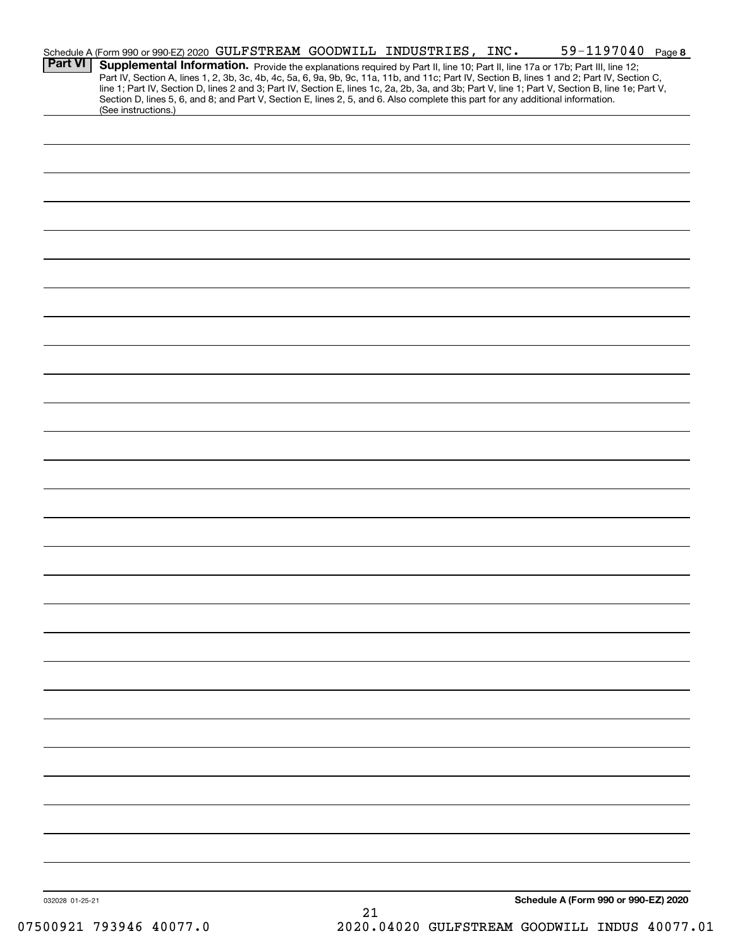|                 | Schedule A (Form 990 or 990-EZ) 2020 GULFSTREAM GOODWILL INDUSTRIES, INC.                                                                                                                                                                                                                        |  |  |  | 59-1197040 Page 8                    |  |
|-----------------|--------------------------------------------------------------------------------------------------------------------------------------------------------------------------------------------------------------------------------------------------------------------------------------------------|--|--|--|--------------------------------------|--|
| <b>Part VI</b>  | Supplemental Information. Provide the explanations required by Part II, line 10; Part II, line 17a or 17b; Part III, line 12;                                                                                                                                                                    |  |  |  |                                      |  |
|                 | Part IV, Section A, lines 1, 2, 3b, 3c, 4b, 4c, 5a, 6, 9a, 9b, 9c, 11a, 11b, and 11c; Part IV, Section B, lines 1 and 2; Part IV, Section C,<br>line 1; Part IV, Section D, lines 2 and 3; Part IV, Section E, lines 1c, 2a, 2b, 3a, and 3b; Part V, line 1; Part V, Section B, line 1e; Part V, |  |  |  |                                      |  |
|                 | Section D, lines 5, 6, and 8; and Part V, Section E, lines 2, 5, and 6. Also complete this part for any additional information.                                                                                                                                                                  |  |  |  |                                      |  |
|                 | (See instructions.)                                                                                                                                                                                                                                                                              |  |  |  |                                      |  |
|                 |                                                                                                                                                                                                                                                                                                  |  |  |  |                                      |  |
|                 |                                                                                                                                                                                                                                                                                                  |  |  |  |                                      |  |
|                 |                                                                                                                                                                                                                                                                                                  |  |  |  |                                      |  |
|                 |                                                                                                                                                                                                                                                                                                  |  |  |  |                                      |  |
|                 |                                                                                                                                                                                                                                                                                                  |  |  |  |                                      |  |
|                 |                                                                                                                                                                                                                                                                                                  |  |  |  |                                      |  |
|                 |                                                                                                                                                                                                                                                                                                  |  |  |  |                                      |  |
|                 |                                                                                                                                                                                                                                                                                                  |  |  |  |                                      |  |
|                 |                                                                                                                                                                                                                                                                                                  |  |  |  |                                      |  |
|                 |                                                                                                                                                                                                                                                                                                  |  |  |  |                                      |  |
|                 |                                                                                                                                                                                                                                                                                                  |  |  |  |                                      |  |
|                 |                                                                                                                                                                                                                                                                                                  |  |  |  |                                      |  |
|                 |                                                                                                                                                                                                                                                                                                  |  |  |  |                                      |  |
|                 |                                                                                                                                                                                                                                                                                                  |  |  |  |                                      |  |
|                 |                                                                                                                                                                                                                                                                                                  |  |  |  |                                      |  |
|                 |                                                                                                                                                                                                                                                                                                  |  |  |  |                                      |  |
|                 |                                                                                                                                                                                                                                                                                                  |  |  |  |                                      |  |
|                 |                                                                                                                                                                                                                                                                                                  |  |  |  |                                      |  |
|                 |                                                                                                                                                                                                                                                                                                  |  |  |  |                                      |  |
|                 |                                                                                                                                                                                                                                                                                                  |  |  |  |                                      |  |
|                 |                                                                                                                                                                                                                                                                                                  |  |  |  |                                      |  |
|                 |                                                                                                                                                                                                                                                                                                  |  |  |  |                                      |  |
|                 |                                                                                                                                                                                                                                                                                                  |  |  |  |                                      |  |
|                 |                                                                                                                                                                                                                                                                                                  |  |  |  |                                      |  |
|                 |                                                                                                                                                                                                                                                                                                  |  |  |  |                                      |  |
|                 |                                                                                                                                                                                                                                                                                                  |  |  |  |                                      |  |
|                 |                                                                                                                                                                                                                                                                                                  |  |  |  |                                      |  |
|                 |                                                                                                                                                                                                                                                                                                  |  |  |  |                                      |  |
|                 |                                                                                                                                                                                                                                                                                                  |  |  |  |                                      |  |
|                 |                                                                                                                                                                                                                                                                                                  |  |  |  |                                      |  |
|                 |                                                                                                                                                                                                                                                                                                  |  |  |  |                                      |  |
|                 |                                                                                                                                                                                                                                                                                                  |  |  |  |                                      |  |
|                 |                                                                                                                                                                                                                                                                                                  |  |  |  |                                      |  |
|                 |                                                                                                                                                                                                                                                                                                  |  |  |  |                                      |  |
|                 |                                                                                                                                                                                                                                                                                                  |  |  |  |                                      |  |
|                 |                                                                                                                                                                                                                                                                                                  |  |  |  |                                      |  |
|                 |                                                                                                                                                                                                                                                                                                  |  |  |  |                                      |  |
|                 |                                                                                                                                                                                                                                                                                                  |  |  |  |                                      |  |
|                 |                                                                                                                                                                                                                                                                                                  |  |  |  |                                      |  |
|                 |                                                                                                                                                                                                                                                                                                  |  |  |  |                                      |  |
|                 |                                                                                                                                                                                                                                                                                                  |  |  |  |                                      |  |
|                 |                                                                                                                                                                                                                                                                                                  |  |  |  |                                      |  |
|                 |                                                                                                                                                                                                                                                                                                  |  |  |  |                                      |  |
|                 |                                                                                                                                                                                                                                                                                                  |  |  |  |                                      |  |
|                 |                                                                                                                                                                                                                                                                                                  |  |  |  |                                      |  |
|                 |                                                                                                                                                                                                                                                                                                  |  |  |  |                                      |  |
|                 |                                                                                                                                                                                                                                                                                                  |  |  |  |                                      |  |
| 032028 01-25-21 |                                                                                                                                                                                                                                                                                                  |  |  |  | Schedule A (Form 990 or 990-EZ) 2020 |  |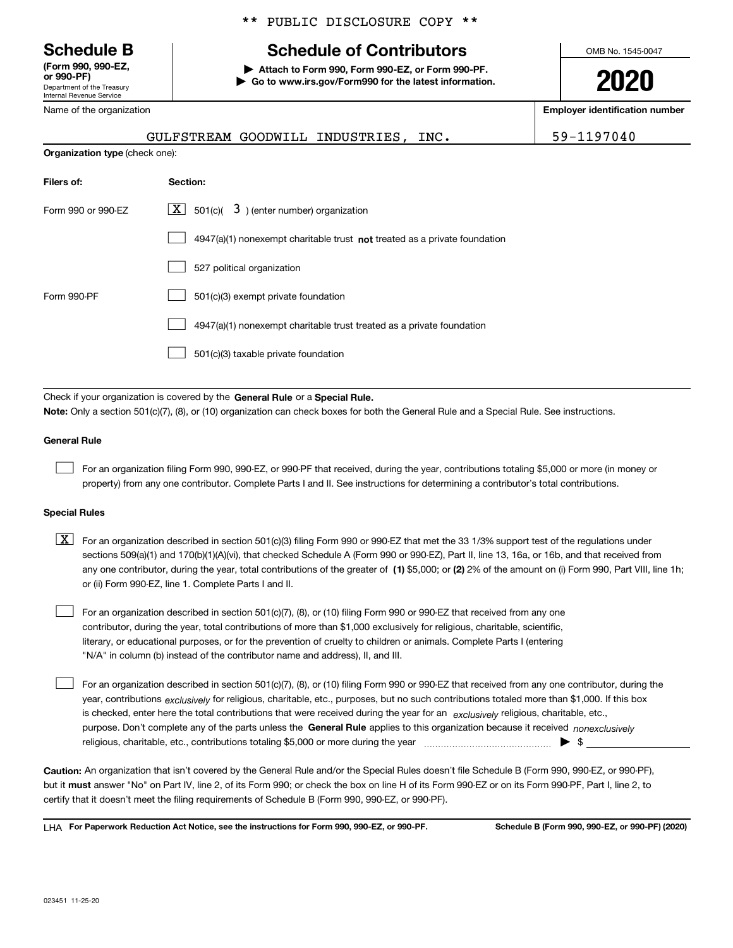Department of the Treasury Internal Revenue Service **(Form 990, 990-EZ, or 990-PF)**

Name of the organization

#### \*\* PUBLIC DISCLOSURE COPY \*\*

# **Schedule B Schedule of Contributors**

**| Attach to Form 990, Form 990-EZ, or Form 990-PF. | Go to www.irs.gov/Form990 for the latest information.** OMB No. 1545-0047

**2020**

**Employer identification number**

|                                       | GULFSTREAM GOODWILL INDUSTRIES, INC.                                        | 59-1197040 |
|---------------------------------------|-----------------------------------------------------------------------------|------------|
| <b>Organization type (check one):</b> |                                                                             |            |
| Filers of:                            | Section:                                                                    |            |
| Form 990 or 990-EZ                    | $\boxed{\textbf{X}}$ 501(c)( 3) (enter number) organization                 |            |
|                                       | $4947(a)(1)$ nonexempt charitable trust not treated as a private foundation |            |
|                                       | 527 political organization                                                  |            |
| Form 990-PF                           | 501(c)(3) exempt private foundation                                         |            |
|                                       | 4947(a)(1) nonexempt charitable trust treated as a private foundation       |            |
|                                       | 501(c)(3) taxable private foundation                                        |            |
|                                       |                                                                             |            |

Check if your organization is covered by the **General Rule** or a **Special Rule. Note:**  Only a section 501(c)(7), (8), or (10) organization can check boxes for both the General Rule and a Special Rule. See instructions.

#### **General Rule**

 $\mathcal{L}^{\text{max}}$ 

For an organization filing Form 990, 990-EZ, or 990-PF that received, during the year, contributions totaling \$5,000 or more (in money or property) from any one contributor. Complete Parts I and II. See instructions for determining a contributor's total contributions.

#### **Special Rules**

any one contributor, during the year, total contributions of the greater of  $\,$  (1) \$5,000; or **(2)** 2% of the amount on (i) Form 990, Part VIII, line 1h;  $\boxed{\textbf{X}}$  For an organization described in section 501(c)(3) filing Form 990 or 990-EZ that met the 33 1/3% support test of the regulations under sections 509(a)(1) and 170(b)(1)(A)(vi), that checked Schedule A (Form 990 or 990-EZ), Part II, line 13, 16a, or 16b, and that received from or (ii) Form 990-EZ, line 1. Complete Parts I and II.

For an organization described in section 501(c)(7), (8), or (10) filing Form 990 or 990-EZ that received from any one contributor, during the year, total contributions of more than \$1,000 exclusively for religious, charitable, scientific, literary, or educational purposes, or for the prevention of cruelty to children or animals. Complete Parts I (entering "N/A" in column (b) instead of the contributor name and address), II, and III.  $\mathcal{L}^{\text{max}}$ 

purpose. Don't complete any of the parts unless the **General Rule** applies to this organization because it received *nonexclusively* year, contributions <sub>exclusively</sub> for religious, charitable, etc., purposes, but no such contributions totaled more than \$1,000. If this box is checked, enter here the total contributions that were received during the year for an  $\;$ exclusively religious, charitable, etc., For an organization described in section 501(c)(7), (8), or (10) filing Form 990 or 990-EZ that received from any one contributor, during the religious, charitable, etc., contributions totaling \$5,000 or more during the year  $\Box$ — $\Box$   $\Box$  $\mathcal{L}^{\text{max}}$ 

**Caution:**  An organization that isn't covered by the General Rule and/or the Special Rules doesn't file Schedule B (Form 990, 990-EZ, or 990-PF),  **must** but it answer "No" on Part IV, line 2, of its Form 990; or check the box on line H of its Form 990-EZ or on its Form 990-PF, Part I, line 2, to certify that it doesn't meet the filing requirements of Schedule B (Form 990, 990-EZ, or 990-PF).

**For Paperwork Reduction Act Notice, see the instructions for Form 990, 990-EZ, or 990-PF. Schedule B (Form 990, 990-EZ, or 990-PF) (2020)** LHA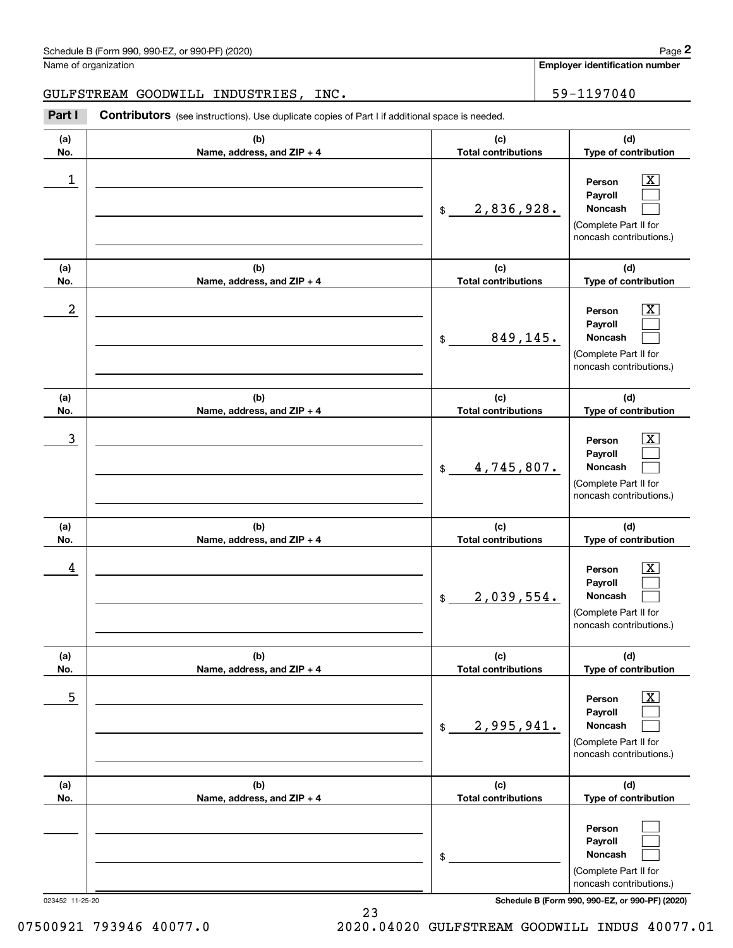**Employer identification number**

GULFSTREAM GOODWILL INDUSTRIES, INC. | 59-1197040

(schedule B (Form 990, 990-EZ, or 990-PF) (2020)<br>
lame of organization<br> **2000 BEMPING COODWILL INDUSTRIES, INC.**<br> **2Part I Contributors** (see instructions). Use duplicate copies of Part I if additional space is needed.

| (a)<br>No. | (b)<br>Name, address, and ZIP + 4 | (c)<br><b>Total contributions</b> | (d)<br>Type of contribution                                                                            |
|------------|-----------------------------------|-----------------------------------|--------------------------------------------------------------------------------------------------------|
| 1          |                                   | 2,836,928.<br>\$                  | $\boxed{\text{X}}$<br>Person<br>Payroll<br>Noncash<br>(Complete Part II for<br>noncash contributions.) |
| (a)<br>No. | (b)<br>Name, address, and ZIP + 4 | (c)<br><b>Total contributions</b> | (d)<br>Type of contribution                                                                            |
| 2          |                                   | 849,145.<br>\$                    | $\boxed{\text{X}}$<br>Person<br>Payroll<br>Noncash<br>(Complete Part II for<br>noncash contributions.) |
| (a)<br>No. | (b)<br>Name, address, and ZIP + 4 | (c)<br><b>Total contributions</b> | (d)<br>Type of contribution                                                                            |
| 3          |                                   | 4,745,807.<br>$\mathfrak{S}$      | $\boxed{\text{X}}$<br>Person<br>Payroll<br>Noncash<br>(Complete Part II for<br>noncash contributions.) |
| (a)<br>No. | (b)<br>Name, address, and ZIP + 4 | (c)<br><b>Total contributions</b> | (d)<br>Type of contribution                                                                            |
| 4          |                                   | 2,039,554.<br>$\$\$               | $\boxed{\text{X}}$<br>Person<br>Payroll<br>Noncash<br>(Complete Part II for<br>noncash contributions.) |
| (a)<br>No. | (b)<br>Name, address, and ZIP + 4 | (c)<br><b>Total contributions</b> | (d)<br>Type of contribution                                                                            |
| 5          |                                   | 2,995,941.<br>$$\mathbb{S}$$      | $\boxed{\text{X}}$<br>Person<br>Payroll<br>Noncash<br>(Complete Part II for<br>noncash contributions.) |
| (a)<br>No. | (b)<br>Name, address, and ZIP + 4 | (c)<br><b>Total contributions</b> | (d)<br>Type of contribution                                                                            |
|            |                                   | \$                                | Person<br>Payroll<br>Noncash<br>(Complete Part II for<br>noncash contributions.)                       |

023452 11-25-20 **Schedule B (Form 990, 990-EZ, or 990-PF) (2020)**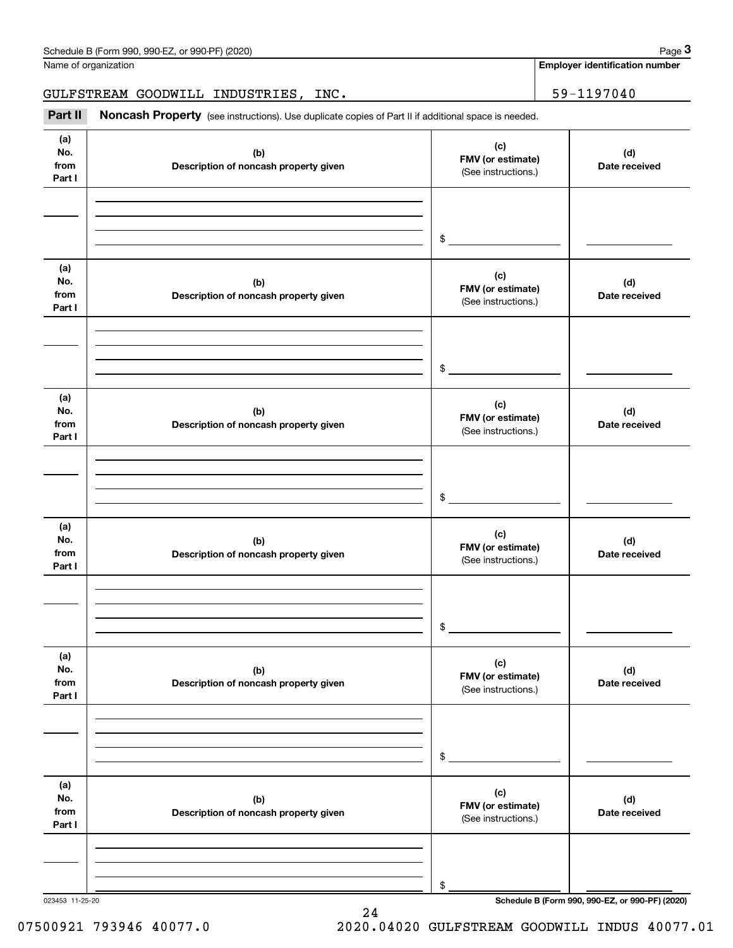| Name of organization         | Schedule B (Form 990, 990-EZ, or 990-PF) (2020)                                                     |                                                 | Page 3<br><b>Employer identification number</b> |
|------------------------------|-----------------------------------------------------------------------------------------------------|-------------------------------------------------|-------------------------------------------------|
|                              |                                                                                                     |                                                 |                                                 |
|                              | GULFSTREAM GOODWILL INDUSTRIES, INC.                                                                |                                                 | 59-1197040                                      |
| Part II                      | Noncash Property (see instructions). Use duplicate copies of Part II if additional space is needed. |                                                 |                                                 |
| (a)<br>No.<br>from<br>Part I | (b)<br>Description of noncash property given                                                        | (c)<br>FMV (or estimate)<br>(See instructions.) | (d)<br>Date received                            |
|                              |                                                                                                     | \$                                              |                                                 |
| (a)<br>No.<br>from<br>Part I | (b)<br>Description of noncash property given                                                        | (c)<br>FMV (or estimate)<br>(See instructions.) | (d)<br>Date received                            |
|                              |                                                                                                     | \$                                              |                                                 |
| (a)<br>No.<br>from<br>Part I | (b)<br>Description of noncash property given                                                        | (c)<br>FMV (or estimate)<br>(See instructions.) | (d)<br>Date received                            |
|                              |                                                                                                     | \$                                              |                                                 |
| (a)<br>No.<br>from<br>Part I | (b)<br>Description of noncash property given                                                        | (c)<br>FMV (or estimate)<br>(See instructions.) | (d)<br>Date received                            |
|                              |                                                                                                     | \$                                              |                                                 |
| (a)<br>No.<br>from<br>Part I | (b)<br>Description of noncash property given                                                        | (c)<br>FMV (or estimate)<br>(See instructions.) | (d)<br>Date received                            |
|                              |                                                                                                     | \$                                              |                                                 |
| (a)<br>No.<br>from<br>Part I | (b)<br>Description of noncash property given                                                        | (c)<br>FMV (or estimate)<br>(See instructions.) | (d)<br>Date received                            |
|                              |                                                                                                     |                                                 |                                                 |
| 023453 11-25-20              |                                                                                                     | \$                                              | Schedule B (Form 990, 990-EZ, or 990-PF) (2020) |

24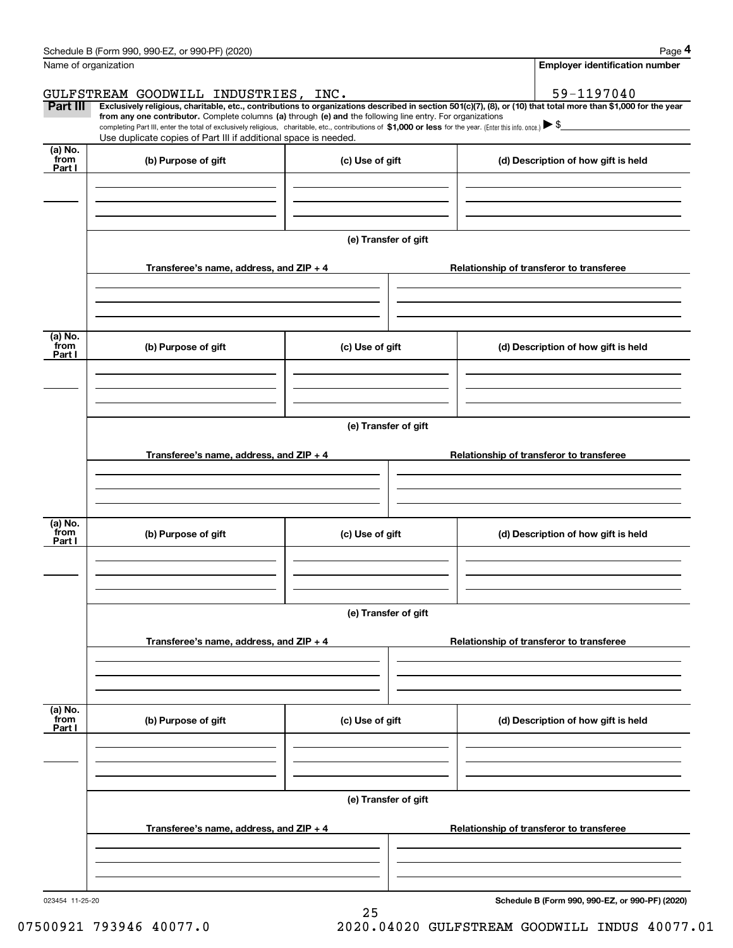|                           | Schedule B (Form 990, 990-EZ, or 990-PF) (2020)                                                                                                                                                                                                      |                      | Page 4                                                                                                                                                         |  |  |  |  |  |  |
|---------------------------|------------------------------------------------------------------------------------------------------------------------------------------------------------------------------------------------------------------------------------------------------|----------------------|----------------------------------------------------------------------------------------------------------------------------------------------------------------|--|--|--|--|--|--|
|                           | Name of organization                                                                                                                                                                                                                                 |                      | <b>Employer identification number</b>                                                                                                                          |  |  |  |  |  |  |
|                           | GULFSTREAM GOODWILL INDUSTRIES, INC.                                                                                                                                                                                                                 |                      | 59-1197040                                                                                                                                                     |  |  |  |  |  |  |
| Part III                  | from any one contributor. Complete columns (a) through (e) and the following line entry. For organizations                                                                                                                                           |                      | Exclusively religious, charitable, etc., contributions to organizations described in section 501(c)(7), (8), or (10) that total more than \$1,000 for the year |  |  |  |  |  |  |
|                           | completing Part III, enter the total of exclusively religious, charitable, etc., contributions of \$1,000 or less for the year. (Enter this info. once.) $\blacktriangleright$ \$<br>Use duplicate copies of Part III if additional space is needed. |                      |                                                                                                                                                                |  |  |  |  |  |  |
| (a) No.<br>from<br>Part I | (b) Purpose of gift                                                                                                                                                                                                                                  | (c) Use of gift      | (d) Description of how gift is held                                                                                                                            |  |  |  |  |  |  |
|                           |                                                                                                                                                                                                                                                      |                      |                                                                                                                                                                |  |  |  |  |  |  |
|                           |                                                                                                                                                                                                                                                      | (e) Transfer of gift |                                                                                                                                                                |  |  |  |  |  |  |
|                           | Transferee's name, address, and ZIP + 4                                                                                                                                                                                                              |                      | Relationship of transferor to transferee                                                                                                                       |  |  |  |  |  |  |
|                           |                                                                                                                                                                                                                                                      |                      |                                                                                                                                                                |  |  |  |  |  |  |
| (a) No.<br>from<br>Part I | (b) Purpose of gift                                                                                                                                                                                                                                  | (c) Use of gift      | (d) Description of how gift is held                                                                                                                            |  |  |  |  |  |  |
|                           |                                                                                                                                                                                                                                                      |                      |                                                                                                                                                                |  |  |  |  |  |  |
|                           |                                                                                                                                                                                                                                                      | (e) Transfer of gift |                                                                                                                                                                |  |  |  |  |  |  |
|                           | Transferee's name, address, and ZIP + 4                                                                                                                                                                                                              |                      | Relationship of transferor to transferee                                                                                                                       |  |  |  |  |  |  |
|                           |                                                                                                                                                                                                                                                      |                      |                                                                                                                                                                |  |  |  |  |  |  |
| (a) No.<br>from<br>Part I | (b) Purpose of gift                                                                                                                                                                                                                                  | (c) Use of gift      | (d) Description of how gift is held                                                                                                                            |  |  |  |  |  |  |
|                           |                                                                                                                                                                                                                                                      |                      |                                                                                                                                                                |  |  |  |  |  |  |
|                           | (e) Transfer of gift                                                                                                                                                                                                                                 |                      |                                                                                                                                                                |  |  |  |  |  |  |
|                           | Transferee's name, address, and ZIP + 4                                                                                                                                                                                                              |                      | Relationship of transferor to transferee                                                                                                                       |  |  |  |  |  |  |
|                           |                                                                                                                                                                                                                                                      |                      |                                                                                                                                                                |  |  |  |  |  |  |
| (a) No.<br>from<br>Part I | (b) Purpose of gift                                                                                                                                                                                                                                  | (c) Use of gift      | (d) Description of how gift is held                                                                                                                            |  |  |  |  |  |  |
|                           |                                                                                                                                                                                                                                                      |                      |                                                                                                                                                                |  |  |  |  |  |  |
|                           |                                                                                                                                                                                                                                                      | (e) Transfer of gift |                                                                                                                                                                |  |  |  |  |  |  |
|                           | Transferee's name, address, and ZIP + 4                                                                                                                                                                                                              |                      | Relationship of transferor to transferee                                                                                                                       |  |  |  |  |  |  |
|                           |                                                                                                                                                                                                                                                      |                      |                                                                                                                                                                |  |  |  |  |  |  |
| 023454 11-25-20           |                                                                                                                                                                                                                                                      | 25                   | Schedule B (Form 990, 990-EZ, or 990-PF) (2020)                                                                                                                |  |  |  |  |  |  |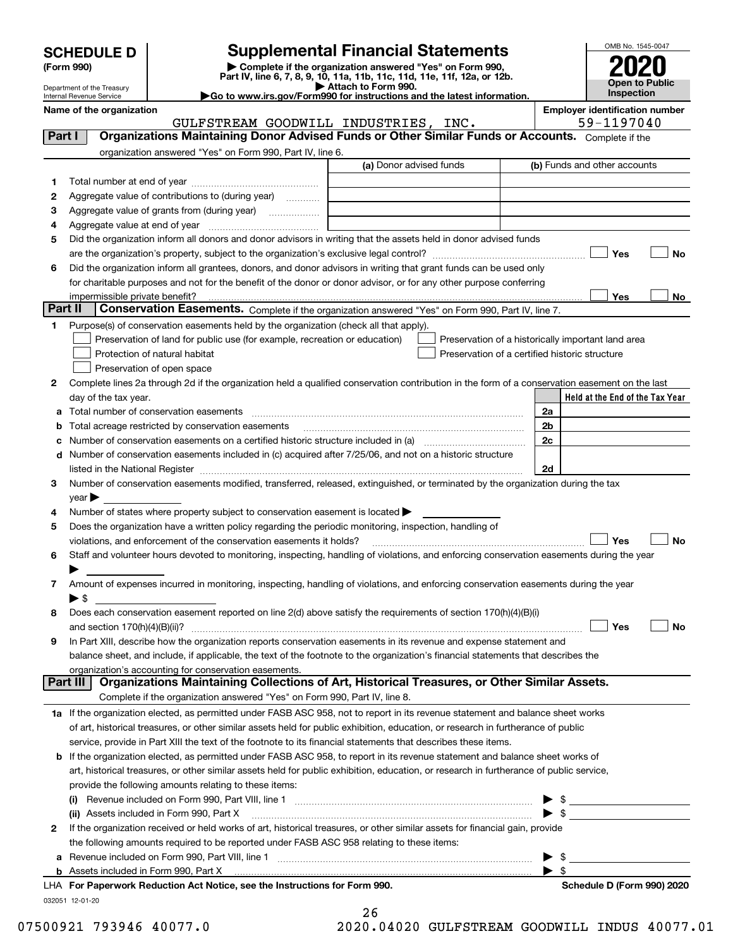| <b>SCHEDULE D</b> |  |
|-------------------|--|
|-------------------|--|

# **SCHEDULE D Supplemental Financial Statements**

(Form 990)<br>
Pepartment of the Treasury<br>
Department of the Treasury<br>
Department of the Treasury<br>
Department of the Treasury<br> **Co to www.irs.gov/Form990 for instructions and the latest information.**<br> **Co to www.irs.gov/Form9** 



Department of the Treasury Internal Revenue Service

**Name of the organization Employer identification number**

GULFSTREAM GOODWILL INDUSTRIES, INC. | 59-1197040

| Part I       | <b>Organizations Maintaining Donor Advised Funds or Other Similar Funds or Accounts.</b> Complete if the                                                                                                                                                                                                                                                          |                         |                                                                                                      |
|--------------|-------------------------------------------------------------------------------------------------------------------------------------------------------------------------------------------------------------------------------------------------------------------------------------------------------------------------------------------------------------------|-------------------------|------------------------------------------------------------------------------------------------------|
|              | organization answered "Yes" on Form 990, Part IV, line 6.                                                                                                                                                                                                                                                                                                         | (a) Donor advised funds | (b) Funds and other accounts                                                                         |
|              |                                                                                                                                                                                                                                                                                                                                                                   |                         |                                                                                                      |
| 1.<br>2      | Aggregate value of contributions to (during year)                                                                                                                                                                                                                                                                                                                 |                         |                                                                                                      |
|              |                                                                                                                                                                                                                                                                                                                                                                   |                         |                                                                                                      |
| з            | Aggregate value of grants from (during year)                                                                                                                                                                                                                                                                                                                      |                         |                                                                                                      |
| 4            |                                                                                                                                                                                                                                                                                                                                                                   |                         |                                                                                                      |
| 5            | Did the organization inform all donors and donor advisors in writing that the assets held in donor advised funds                                                                                                                                                                                                                                                  |                         |                                                                                                      |
|              |                                                                                                                                                                                                                                                                                                                                                                   |                         | Yes<br>No                                                                                            |
| 6            | Did the organization inform all grantees, donors, and donor advisors in writing that grant funds can be used only                                                                                                                                                                                                                                                 |                         |                                                                                                      |
|              | for charitable purposes and not for the benefit of the donor or donor advisor, or for any other purpose conferring                                                                                                                                                                                                                                                |                         |                                                                                                      |
| Part II      | Conservation Easements. Complete if the organization answered "Yes" on Form 990, Part IV, line 7.                                                                                                                                                                                                                                                                 |                         | Yes<br>No                                                                                            |
|              |                                                                                                                                                                                                                                                                                                                                                                   |                         |                                                                                                      |
| 1            | Purpose(s) of conservation easements held by the organization (check all that apply).                                                                                                                                                                                                                                                                             |                         |                                                                                                      |
|              | Preservation of land for public use (for example, recreation or education)<br>Protection of natural habitat                                                                                                                                                                                                                                                       |                         | Preservation of a historically important land area<br>Preservation of a certified historic structure |
|              |                                                                                                                                                                                                                                                                                                                                                                   |                         |                                                                                                      |
|              | Preservation of open space                                                                                                                                                                                                                                                                                                                                        |                         |                                                                                                      |
| 2            | Complete lines 2a through 2d if the organization held a qualified conservation contribution in the form of a conservation easement on the last                                                                                                                                                                                                                    |                         |                                                                                                      |
|              | day of the tax year.                                                                                                                                                                                                                                                                                                                                              |                         | Held at the End of the Tax Year                                                                      |
| а            |                                                                                                                                                                                                                                                                                                                                                                   |                         | 2a                                                                                                   |
| b            | Total acreage restricted by conservation easements                                                                                                                                                                                                                                                                                                                |                         | 2 <sub>b</sub>                                                                                       |
| c            | Number of conservation easements on a certified historic structure included in (a) manufacture of conservation                                                                                                                                                                                                                                                    |                         | 2c                                                                                                   |
| d            | Number of conservation easements included in (c) acquired after 7/25/06, and not on a historic structure                                                                                                                                                                                                                                                          |                         | 2d                                                                                                   |
| З.           | listed in the National Register [111] Marshall Register [11] Marshall Register [11] Marshall Register [11] Marshall Register [11] Marshall Register [11] Marshall Register [11] Marshall Register [11] Marshall Register [11]<br>Number of conservation easements modified, transferred, released, extinguished, or terminated by the organization during the tax |                         |                                                                                                      |
|              |                                                                                                                                                                                                                                                                                                                                                                   |                         |                                                                                                      |
| 4            | $year \blacktriangleright$<br>Number of states where property subject to conservation easement is located >                                                                                                                                                                                                                                                       |                         |                                                                                                      |
|              | Does the organization have a written policy regarding the periodic monitoring, inspection, handling of                                                                                                                                                                                                                                                            |                         |                                                                                                      |
| 5            | violations, and enforcement of the conservation easements it holds?                                                                                                                                                                                                                                                                                               |                         | Yes<br>No                                                                                            |
| 6            | Staff and volunteer hours devoted to monitoring, inspecting, handling of violations, and enforcing conservation easements during the year                                                                                                                                                                                                                         |                         |                                                                                                      |
|              |                                                                                                                                                                                                                                                                                                                                                                   |                         |                                                                                                      |
| 7            | Amount of expenses incurred in monitoring, inspecting, handling of violations, and enforcing conservation easements during the year                                                                                                                                                                                                                               |                         |                                                                                                      |
|              | $\blacktriangleright$ \$                                                                                                                                                                                                                                                                                                                                          |                         |                                                                                                      |
| 8            | Does each conservation easement reported on line 2(d) above satisfy the requirements of section 170(h)(4)(B)(i)                                                                                                                                                                                                                                                   |                         |                                                                                                      |
|              |                                                                                                                                                                                                                                                                                                                                                                   |                         | Yes<br>No                                                                                            |
| 9            | In Part XIII, describe how the organization reports conservation easements in its revenue and expense statement and                                                                                                                                                                                                                                               |                         |                                                                                                      |
|              | balance sheet, and include, if applicable, the text of the footnote to the organization's financial statements that describes the                                                                                                                                                                                                                                 |                         |                                                                                                      |
|              | organization's accounting for conservation easements.                                                                                                                                                                                                                                                                                                             |                         |                                                                                                      |
|              | Organizations Maintaining Collections of Art, Historical Treasures, or Other Similar Assets.<br>Part III                                                                                                                                                                                                                                                          |                         |                                                                                                      |
|              | Complete if the organization answered "Yes" on Form 990, Part IV, line 8.                                                                                                                                                                                                                                                                                         |                         |                                                                                                      |
|              | 1a If the organization elected, as permitted under FASB ASC 958, not to report in its revenue statement and balance sheet works                                                                                                                                                                                                                                   |                         |                                                                                                      |
|              | of art, historical treasures, or other similar assets held for public exhibition, education, or research in furtherance of public                                                                                                                                                                                                                                 |                         |                                                                                                      |
|              | service, provide in Part XIII the text of the footnote to its financial statements that describes these items.                                                                                                                                                                                                                                                    |                         |                                                                                                      |
| b            | If the organization elected, as permitted under FASB ASC 958, to report in its revenue statement and balance sheet works of                                                                                                                                                                                                                                       |                         |                                                                                                      |
|              | art, historical treasures, or other similar assets held for public exhibition, education, or research in furtherance of public service,                                                                                                                                                                                                                           |                         |                                                                                                      |
|              | provide the following amounts relating to these items:                                                                                                                                                                                                                                                                                                            |                         |                                                                                                      |
|              |                                                                                                                                                                                                                                                                                                                                                                   |                         | $\frac{1}{2}$                                                                                        |
|              | (ii) Assets included in Form 990, Part X                                                                                                                                                                                                                                                                                                                          |                         | $\triangleright$ \$                                                                                  |
| $\mathbf{2}$ | If the organization received or held works of art, historical treasures, or other similar assets for financial gain, provide                                                                                                                                                                                                                                      |                         |                                                                                                      |
|              | the following amounts required to be reported under FASB ASC 958 relating to these items:                                                                                                                                                                                                                                                                         |                         |                                                                                                      |
| а            | Revenue included on Form 990, Part VIII, line 1 [2000] [2000] [2000] [2000] [3000] [3000] [3000] [3000] [3000                                                                                                                                                                                                                                                     |                         | -\$<br><u> Albanya (Albanya Albanya)</u>                                                             |
|              | <b>b</b> Assets included in Form 990, Part X                                                                                                                                                                                                                                                                                                                      |                         | $\blacktriangleright$ \$                                                                             |
|              | LHA For Paperwork Reduction Act Notice, see the Instructions for Form 990.                                                                                                                                                                                                                                                                                        |                         | Schedule D (Form 990) 2020                                                                           |
|              | 032051 12-01-20                                                                                                                                                                                                                                                                                                                                                   |                         |                                                                                                      |

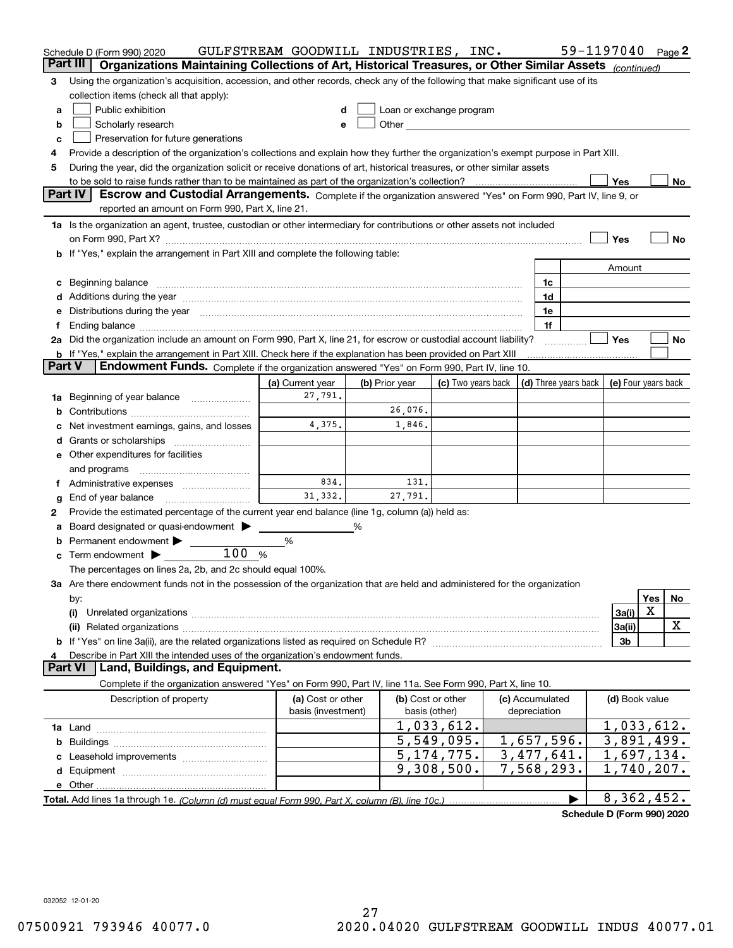|        | Schedule D (Form 990) 2020                                                                                                                                                                                                     | GULFSTREAM GOODWILL INDUSTRIES, INC.    |                |                                    |                                 | 59-1197040 Page 2                          |     |     |
|--------|--------------------------------------------------------------------------------------------------------------------------------------------------------------------------------------------------------------------------------|-----------------------------------------|----------------|------------------------------------|---------------------------------|--------------------------------------------|-----|-----|
|        | Organizations Maintaining Collections of Art, Historical Treasures, or Other Similar Assets (continued)<br>Part III                                                                                                            |                                         |                |                                    |                                 |                                            |     |     |
| З      | Using the organization's acquisition, accession, and other records, check any of the following that make significant use of its                                                                                                |                                         |                |                                    |                                 |                                            |     |     |
|        | collection items (check all that apply):                                                                                                                                                                                       |                                         |                |                                    |                                 |                                            |     |     |
| a      | Public exhibition                                                                                                                                                                                                              |                                         |                | Loan or exchange program           |                                 |                                            |     |     |
| b      | Scholarly research                                                                                                                                                                                                             |                                         |                |                                    |                                 |                                            |     |     |
| c      | Preservation for future generations                                                                                                                                                                                            |                                         |                |                                    |                                 |                                            |     |     |
| 4      | Provide a description of the organization's collections and explain how they further the organization's exempt purpose in Part XIII.                                                                                           |                                         |                |                                    |                                 |                                            |     |     |
| 5      | During the year, did the organization solicit or receive donations of art, historical treasures, or other similar assets                                                                                                       |                                         |                |                                    |                                 |                                            |     |     |
|        | to be sold to raise funds rather than to be maintained as part of the organization's collection?                                                                                                                               |                                         |                |                                    |                                 | Yes                                        |     | No. |
|        | <b>Part IV</b><br>Escrow and Custodial Arrangements. Complete if the organization answered "Yes" on Form 990, Part IV, line 9, or                                                                                              |                                         |                |                                    |                                 |                                            |     |     |
|        | reported an amount on Form 990, Part X, line 21.                                                                                                                                                                               |                                         |                |                                    |                                 |                                            |     |     |
|        | 1a Is the organization an agent, trustee, custodian or other intermediary for contributions or other assets not included                                                                                                       |                                         |                |                                    |                                 |                                            |     |     |
|        |                                                                                                                                                                                                                                |                                         |                |                                    |                                 | Yes                                        |     | No  |
|        | <b>b</b> If "Yes," explain the arrangement in Part XIII and complete the following table:                                                                                                                                      |                                         |                |                                    |                                 |                                            |     |     |
|        |                                                                                                                                                                                                                                |                                         |                |                                    |                                 | Amount                                     |     |     |
|        |                                                                                                                                                                                                                                |                                         |                |                                    | 1c                              |                                            |     |     |
|        | Additions during the year manufactured and an anti-manufactured and the year manufactured and all the year manufactured and all the year manufactured and all the year manufactured and all the year manufactured and all the  |                                         |                |                                    | 1d                              |                                            |     |     |
|        | Distributions during the year manufactured and continuum and the year manufactured and the year manufactured and the year manufactured and the year manufactured and the year manufactured and the year manufactured and the y |                                         |                |                                    | 1e                              |                                            |     |     |
|        | 2a Did the organization include an amount on Form 990, Part X, line 21, for escrow or custodial account liability?                                                                                                             |                                         |                |                                    | 1f                              | Yes                                        |     |     |
|        | b If "Yes," explain the arrangement in Part XIII. Check here if the explanation has been provided on Part XIII                                                                                                                 |                                         |                |                                    |                                 |                                            |     | No  |
| Part V | Endowment Funds. Complete if the organization answered "Yes" on Form 990, Part IV, line 10.                                                                                                                                    |                                         |                |                                    |                                 |                                            |     |     |
|        |                                                                                                                                                                                                                                | (a) Current year                        | (b) Prior year | (c) Two years back                 |                                 | (d) Three years back   (e) Four years back |     |     |
| 1a     | Beginning of year balance                                                                                                                                                                                                      | 27,791.                                 |                |                                    |                                 |                                            |     |     |
|        |                                                                                                                                                                                                                                |                                         | 26,076.        |                                    |                                 |                                            |     |     |
|        | Net investment earnings, gains, and losses                                                                                                                                                                                     | 4,375.                                  | 1,846.         |                                    |                                 |                                            |     |     |
|        |                                                                                                                                                                                                                                |                                         |                |                                    |                                 |                                            |     |     |
|        | e Other expenditures for facilities                                                                                                                                                                                            |                                         |                |                                    |                                 |                                            |     |     |
|        | and programs                                                                                                                                                                                                                   |                                         |                |                                    |                                 |                                            |     |     |
|        |                                                                                                                                                                                                                                | 834.                                    | 131.           |                                    |                                 |                                            |     |     |
| g      | End of year balance                                                                                                                                                                                                            | 31,332.                                 | 27,791.        |                                    |                                 |                                            |     |     |
| 2      | Provide the estimated percentage of the current year end balance (line 1g, column (a)) held as:                                                                                                                                |                                         |                |                                    |                                 |                                            |     |     |
|        | Board designated or quasi-endowment                                                                                                                                                                                            |                                         | %              |                                    |                                 |                                            |     |     |
|        | Permanent endowment                                                                                                                                                                                                            | %                                       |                |                                    |                                 |                                            |     |     |
| с      | 100%<br>Term endowment $\blacktriangleright$                                                                                                                                                                                   |                                         |                |                                    |                                 |                                            |     |     |
|        | The percentages on lines 2a, 2b, and 2c should equal 100%.                                                                                                                                                                     |                                         |                |                                    |                                 |                                            |     |     |
|        | 3a Are there endowment funds not in the possession of the organization that are held and administered for the organization                                                                                                     |                                         |                |                                    |                                 |                                            |     |     |
|        | by:                                                                                                                                                                                                                            |                                         |                |                                    |                                 |                                            | Yes | No  |
|        | (i)                                                                                                                                                                                                                            |                                         |                |                                    |                                 | 3a(i)                                      | X   |     |
|        |                                                                                                                                                                                                                                |                                         |                |                                    |                                 | 3a(ii)                                     |     | X   |
|        |                                                                                                                                                                                                                                |                                         |                |                                    |                                 | 3b                                         |     |     |
|        | Describe in Part XIII the intended uses of the organization's endowment funds.<br>Land, Buildings, and Equipment.<br>Part VI                                                                                                   |                                         |                |                                    |                                 |                                            |     |     |
|        |                                                                                                                                                                                                                                |                                         |                |                                    |                                 |                                            |     |     |
|        | Complete if the organization answered "Yes" on Form 990, Part IV, line 11a. See Form 990, Part X, line 10.                                                                                                                     |                                         |                |                                    |                                 |                                            |     |     |
|        | Description of property                                                                                                                                                                                                        | (a) Cost or other<br>basis (investment) |                | (b) Cost or other<br>basis (other) | (c) Accumulated<br>depreciation | (d) Book value                             |     |     |
|        |                                                                                                                                                                                                                                |                                         |                | 1,033,612.                         |                                 | 1,033,612.                                 |     |     |
| b      |                                                                                                                                                                                                                                |                                         |                | 5,549,095.                         | 1,657,596.                      | 3,891,499.                                 |     |     |
|        |                                                                                                                                                                                                                                |                                         |                | 5, 174, 775.                       | $\overline{3}$ , 477, 641.      | 1,697,134.                                 |     |     |
|        |                                                                                                                                                                                                                                |                                         |                | 9,308,500.                         | $\overline{7,568,293}$ .        | $\overline{1,740,207}$ .                   |     |     |
|        |                                                                                                                                                                                                                                |                                         |                |                                    |                                 |                                            |     |     |
|        |                                                                                                                                                                                                                                |                                         |                |                                    |                                 | 8,362,452.                                 |     |     |
|        |                                                                                                                                                                                                                                |                                         |                |                                    |                                 |                                            |     |     |

**Schedule D (Form 990) 2020**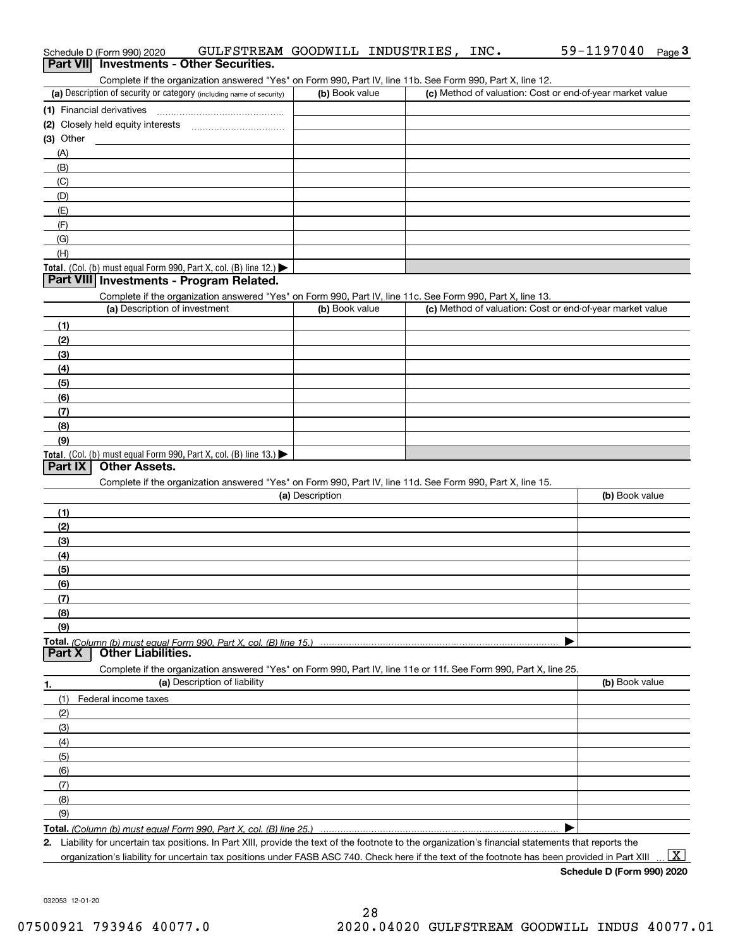| Complete if the organization answered "Yes" on Form 990, Part IV, line 11b. See Form 990, Part X, line 12.                                           |                 |                                                           |                |
|------------------------------------------------------------------------------------------------------------------------------------------------------|-----------------|-----------------------------------------------------------|----------------|
| (a) Description of security or category (including name of security)                                                                                 | (b) Book value  | (c) Method of valuation: Cost or end-of-year market value |                |
|                                                                                                                                                      |                 |                                                           |                |
|                                                                                                                                                      |                 |                                                           |                |
| $(3)$ Other                                                                                                                                          |                 |                                                           |                |
| (A)                                                                                                                                                  |                 |                                                           |                |
| (B)                                                                                                                                                  |                 |                                                           |                |
| (C)                                                                                                                                                  |                 |                                                           |                |
| (D)                                                                                                                                                  |                 |                                                           |                |
| (E)                                                                                                                                                  |                 |                                                           |                |
| (F)                                                                                                                                                  |                 |                                                           |                |
| (G)                                                                                                                                                  |                 |                                                           |                |
| (H)                                                                                                                                                  |                 |                                                           |                |
| <b>Total.</b> (Col. (b) must equal Form 990, Part X, col. (B) line $12$ .)                                                                           |                 |                                                           |                |
| Part VIII Investments - Program Related.                                                                                                             |                 |                                                           |                |
| Complete if the organization answered "Yes" on Form 990, Part IV, line 11c. See Form 990, Part X, line 13.                                           |                 |                                                           |                |
| (a) Description of investment                                                                                                                        | (b) Book value  | (c) Method of valuation: Cost or end-of-year market value |                |
| (1)                                                                                                                                                  |                 |                                                           |                |
| (2)                                                                                                                                                  |                 |                                                           |                |
| (3)                                                                                                                                                  |                 |                                                           |                |
| (4)                                                                                                                                                  |                 |                                                           |                |
| (5)                                                                                                                                                  |                 |                                                           |                |
| (6)                                                                                                                                                  |                 |                                                           |                |
| (7)                                                                                                                                                  |                 |                                                           |                |
| (8)                                                                                                                                                  |                 |                                                           |                |
| (9)                                                                                                                                                  |                 |                                                           |                |
| <b>Total.</b> (Col. (b) must equal Form 990, Part X, col. (B) line 13.)                                                                              |                 |                                                           |                |
| <b>Other Assets.</b><br>Part IX                                                                                                                      |                 |                                                           |                |
| Complete if the organization answered "Yes" on Form 990, Part IV, line 11d. See Form 990, Part X, line 15.                                           |                 |                                                           |                |
|                                                                                                                                                      | (a) Description |                                                           | (b) Book value |
| (1)                                                                                                                                                  |                 |                                                           |                |
| (2)                                                                                                                                                  |                 |                                                           |                |
| (3)                                                                                                                                                  |                 |                                                           |                |
| (4)                                                                                                                                                  |                 |                                                           |                |
| (5)                                                                                                                                                  |                 |                                                           |                |
| (6)                                                                                                                                                  |                 |                                                           |                |
| (7)                                                                                                                                                  |                 |                                                           |                |
| (8)                                                                                                                                                  |                 |                                                           |                |
| (9)                                                                                                                                                  |                 |                                                           |                |
| Total. (Column (b) must equal Form 990, Part X, col. (B) line 15.)<br><b>Other Liabilities.</b><br>Part X                                            |                 |                                                           |                |
|                                                                                                                                                      |                 |                                                           |                |
| Complete if the organization answered "Yes" on Form 990, Part IV, line 11e or 11f. See Form 990, Part X, line 25.<br>(a) Description of liability    |                 |                                                           | (b) Book value |
| <u>1.</u>                                                                                                                                            |                 |                                                           |                |
| (1)<br>Federal income taxes                                                                                                                          |                 |                                                           |                |
| (2)                                                                                                                                                  |                 |                                                           |                |
| (3)                                                                                                                                                  |                 |                                                           |                |
| (4)                                                                                                                                                  |                 |                                                           |                |
| (5)                                                                                                                                                  |                 |                                                           |                |
| (6)                                                                                                                                                  |                 |                                                           |                |
| (7)                                                                                                                                                  |                 |                                                           |                |
| (8)                                                                                                                                                  |                 |                                                           |                |
| (9)                                                                                                                                                  |                 |                                                           |                |
| Total. (Column (b) must equal Form 990, Part X, col. (B) line 25.)                                                                                   |                 |                                                           |                |
| 2. Liability for uncertain tax positions. In Part XIII, provide the text of the footnote to the organization's financial statements that reports the |                 |                                                           |                |

organization's liability for uncertain tax positions under FASB ASC 740. Check here if the text of the footnote has been provided in Part XIII  $\,$  ...  $\overline{\rm X}$ 

| Schedule D (Form 990) 2020                      |                                                                                                           | GULFSTREAM GOODWILL INDUSTRIES. | INC. | 59-1197040 | Page J |
|-------------------------------------------------|-----------------------------------------------------------------------------------------------------------|---------------------------------|------|------------|--------|
| <b>Part VII</b> Investments - Other Securities. |                                                                                                           |                                 |      |            |        |
|                                                 | Complete if the organization answered "Yes" on Form 990, Part IV, line 11b, See Form 990, Part X, line 12 |                                 |      |            |        |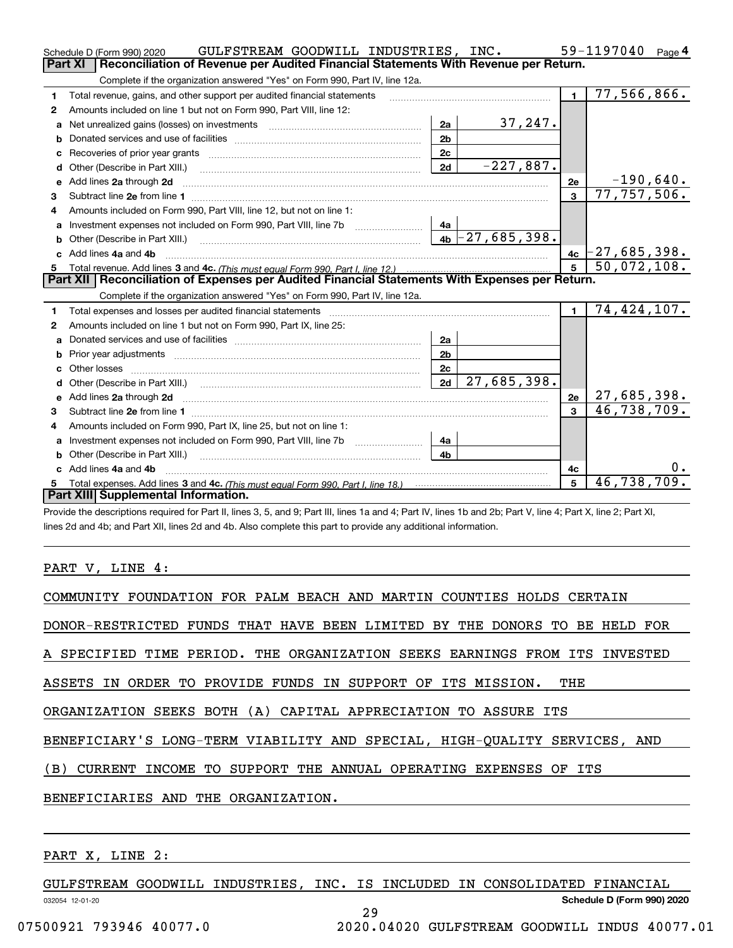|    | GULFSTREAM GOODWILL INDUSTRIES, INC.<br>Schedule D (Form 990) 2020                                                                                                                                                                  |                |                   |                | 59-1197040<br>Page $4$      |
|----|-------------------------------------------------------------------------------------------------------------------------------------------------------------------------------------------------------------------------------------|----------------|-------------------|----------------|-----------------------------|
|    | Part XI<br>Reconciliation of Revenue per Audited Financial Statements With Revenue per Return.                                                                                                                                      |                |                   |                |                             |
|    | Complete if the organization answered "Yes" on Form 990, Part IV, line 12a.                                                                                                                                                         |                |                   |                |                             |
| 1  | Total revenue, gains, and other support per audited financial statements                                                                                                                                                            |                |                   | $\blacksquare$ | 77,566,866.                 |
| 2  | Amounts included on line 1 but not on Form 990, Part VIII, line 12:                                                                                                                                                                 |                |                   |                |                             |
| a  |                                                                                                                                                                                                                                     | 2a             | 37,247.           |                |                             |
|    |                                                                                                                                                                                                                                     | 2 <sub>b</sub> |                   |                |                             |
|    |                                                                                                                                                                                                                                     | 2 <sub>c</sub> |                   |                |                             |
| d  |                                                                                                                                                                                                                                     | 2d             | $-227,887.$       |                |                             |
| е  | Add lines 2a through 2d                                                                                                                                                                                                             |                |                   | 2e             | $-190,640.$                 |
| 3  |                                                                                                                                                                                                                                     |                |                   | 3              | $\overline{77}$ , 757, 506. |
| 4  | Amounts included on Form 990, Part VIII, line 12, but not on line 1:                                                                                                                                                                |                |                   |                |                             |
|    |                                                                                                                                                                                                                                     |                |                   |                |                             |
|    |                                                                                                                                                                                                                                     |                | $4b$ -27,685,398. |                |                             |
| c. | Add lines 4a and 4b                                                                                                                                                                                                                 |                |                   | 4c             | $[-27, 685, 398]$           |
|    |                                                                                                                                                                                                                                     |                |                   |                | 50,072,108.                 |
|    |                                                                                                                                                                                                                                     |                |                   |                |                             |
|    | Part XII   Reconciliation of Expenses per Audited Financial Statements With Expenses per Return.                                                                                                                                    |                |                   |                |                             |
|    | Complete if the organization answered "Yes" on Form 990, Part IV, line 12a.                                                                                                                                                         |                |                   |                |                             |
| 1  |                                                                                                                                                                                                                                     |                |                   | $\blacksquare$ | 74,424,107.                 |
| 2  | Amounts included on line 1 but not on Form 990, Part IX, line 25:                                                                                                                                                                   |                |                   |                |                             |
| a  |                                                                                                                                                                                                                                     | 2a             |                   |                |                             |
| b  |                                                                                                                                                                                                                                     | 2 <sub>b</sub> |                   |                |                             |
| c. |                                                                                                                                                                                                                                     | 2c             |                   |                |                             |
|    |                                                                                                                                                                                                                                     | 2d             | 27,685,398.       |                |                             |
|    | Add lines 2a through 2d <b>contained a contained a contained a contained a</b> contained a contained a contained a contained a contained a contained a contained a contained a contained a contained a contained a contained a cont |                |                   | 2e             | 27,685,398.                 |
| 3  |                                                                                                                                                                                                                                     |                |                   |                | 46,738,709.                 |
| 4  | Amounts included on Form 990, Part IX, line 25, but not on line 1:                                                                                                                                                                  |                |                   |                |                             |
|    |                                                                                                                                                                                                                                     | 4a             |                   |                |                             |
| b  |                                                                                                                                                                                                                                     | 4 <sub>b</sub> |                   |                |                             |
|    | Add lines 4a and 4b                                                                                                                                                                                                                 |                |                   | 4c             |                             |
|    | Part XIII Supplemental Information.                                                                                                                                                                                                 |                |                   | 5              | 46,738,709.                 |

Provide the descriptions required for Part II, lines 3, 5, and 9; Part III, lines 1a and 4; Part IV, lines 1b and 2b; Part V, line 4; Part X, line 2; Part XI, lines 2d and 4b; and Part XII, lines 2d and 4b. Also complete this part to provide any additional information.

#### PART V, LINE 4:

| COMMUNITY FOUNDATION FOR PALM BEACH AND MARTIN COUNTIES HOLDS CERTAIN      |
|----------------------------------------------------------------------------|
| DONOR-RESTRICTED FUNDS THAT HAVE BEEN LIMITED BY THE DONORS TO BE HELD FOR |
| A SPECIFIED TIME PERIOD. THE ORGANIZATION SEEKS EARNINGS FROM ITS INVESTED |
| ASSETS IN ORDER TO PROVIDE FUNDS IN SUPPORT OF ITS MISSION.<br>THE         |
| ORGANIZATION SEEKS BOTH (A) CAPITAL APPRECIATION TO ASSURE ITS             |
| BENEFICIARY'S LONG-TERM VIABILITY AND SPECIAL, HIGH-QUALITY SERVICES, AND  |
| (B) CURRENT INCOME TO SUPPORT THE ANNUAL OPERATING EXPENSES OF ITS         |
| BENEFICIARIES AND THE ORGANIZATION.                                        |
|                                                                            |

### PART X, LINE 2:

GULFSTREAM GOODWILL INDUSTRIES, INC. IS INCLUDED IN CONSOLIDATED FINANCIAL

29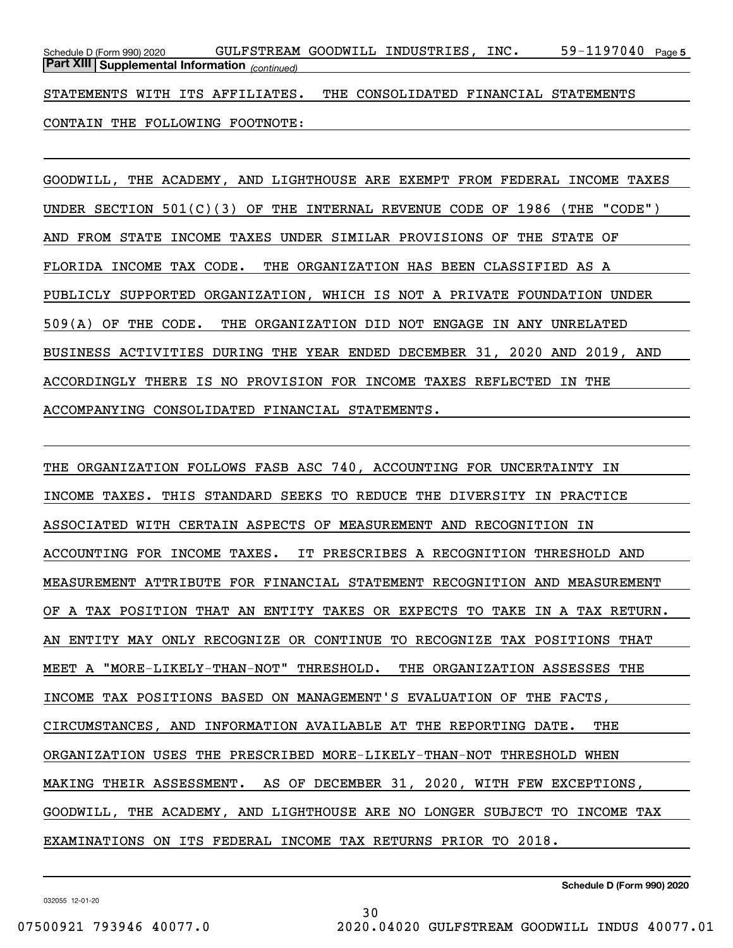59-1197040 Page 5 *(continued)* **Part XIII Supplemental Information**  Schedule D (Form 990) 2020 GULFSTREAM GOODWILL INDUSTRIES, INC 59-1197040 Page

STATEMENTS WITH ITS AFFILIATES. THE CONSOLIDATED FINANCIAL STATEMENTS

CONTAIN THE FOLLOWING FOOTNOTE:

GOODWILL, THE ACADEMY, AND LIGHTHOUSE ARE EXEMPT FROM FEDERAL INCOME TAXES UNDER SECTION 501(C)(3) OF THE INTERNAL REVENUE CODE OF 1986 (THE "CODE") AND FROM STATE INCOME TAXES UNDER SIMILAR PROVISIONS OF THE STATE OF FLORIDA INCOME TAX CODE. THE ORGANIZATION HAS BEEN CLASSIFIED AS A PUBLICLY SUPPORTED ORGANIZATION, WHICH IS NOT A PRIVATE FOUNDATION UNDER 509(A) OF THE CODE. THE ORGANIZATION DID NOT ENGAGE IN ANY UNRELATED BUSINESS ACTIVITIES DURING THE YEAR ENDED DECEMBER 31, 2020 AND 2019, AND ACCORDINGLY THERE IS NO PROVISION FOR INCOME TAXES REFLECTED IN THE ACCOMPANYING CONSOLIDATED FINANCIAL STATEMENTS.

THE ORGANIZATION FOLLOWS FASB ASC 740, ACCOUNTING FOR UNCERTAINTY IN INCOME TAXES. THIS STANDARD SEEKS TO REDUCE THE DIVERSITY IN PRACTICE ASSOCIATED WITH CERTAIN ASPECTS OF MEASUREMENT AND RECOGNITION IN ACCOUNTING FOR INCOME TAXES. IT PRESCRIBES A RECOGNITION THRESHOLD AND MEASUREMENT ATTRIBUTE FOR FINANCIAL STATEMENT RECOGNITION AND MEASUREMENT OF A TAX POSITION THAT AN ENTITY TAKES OR EXPECTS TO TAKE IN A TAX RETURN. AN ENTITY MAY ONLY RECOGNIZE OR CONTINUE TO RECOGNIZE TAX POSITIONS THAT MEET A "MORE-LIKELY-THAN-NOT" THRESHOLD. THE ORGANIZATION ASSESSES THE INCOME TAX POSITIONS BASED ON MANAGEMENT'S EVALUATION OF THE FACTS, CIRCUMSTANCES, AND INFORMATION AVAILABLE AT THE REPORTING DATE. THE ORGANIZATION USES THE PRESCRIBED MORE-LIKELY-THAN-NOT THRESHOLD WHEN MAKING THEIR ASSESSMENT. AS OF DECEMBER 31, 2020, WITH FEW EXCEPTIONS, GOODWILL, THE ACADEMY, AND LIGHTHOUSE ARE NO LONGER SUBJECT TO INCOME TAX EXAMINATIONS ON ITS FEDERAL INCOME TAX RETURNS PRIOR TO 2018.

**Schedule D (Form 990) 2020**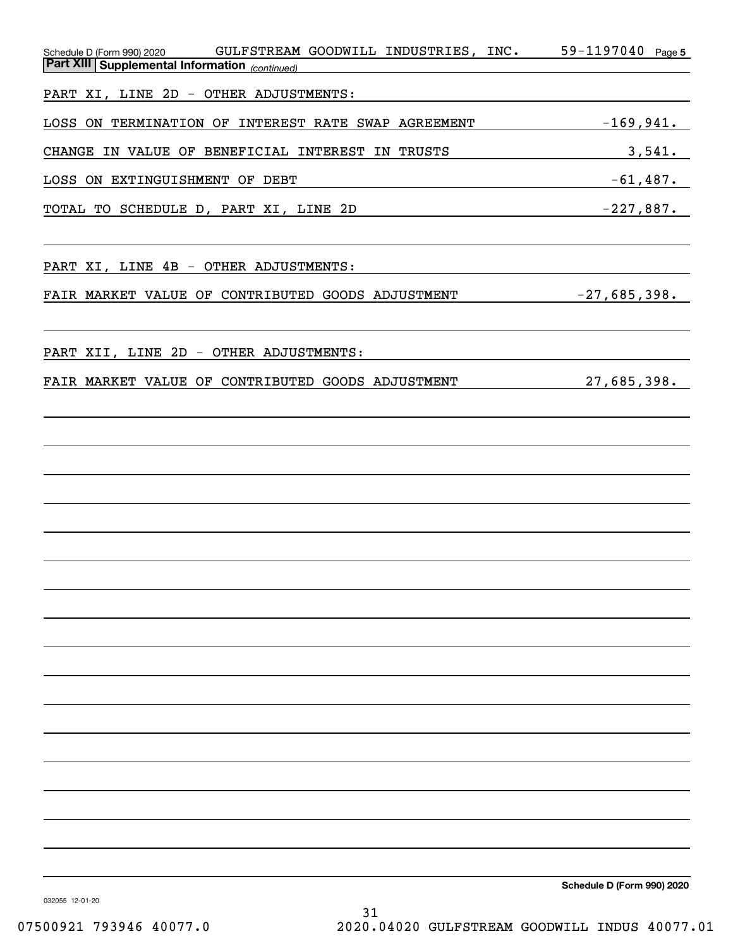| GULFSTREAM GOODWILL INDUSTRIES, INC.<br>Schedule D (Form 990) 2020<br><b>Part XIII Supplemental Information</b> (continued) | 59-1197040 Page 5          |
|-----------------------------------------------------------------------------------------------------------------------------|----------------------------|
|                                                                                                                             |                            |
| PART XI, LINE 2D - OTHER ADJUSTMENTS:                                                                                       |                            |
| LOSS ON TERMINATION OF INTEREST RATE SWAP AGREEMENT                                                                         | $-169,941$ .               |
| CHANGE IN VALUE OF BENEFICIAL INTEREST IN TRUSTS                                                                            | 3,541.                     |
| LOSS ON EXTINGUISHMENT OF DEBT                                                                                              | $-61,487$ .                |
| TOTAL TO SCHEDULE D, PART XI, LINE 2D                                                                                       | $-227,887.$                |
|                                                                                                                             |                            |
| PART XI, LINE 4B - OTHER ADJUSTMENTS:                                                                                       |                            |
| FAIR MARKET VALUE OF CONTRIBUTED GOODS ADJUSTMENT                                                                           | $-27,685,398.$             |
|                                                                                                                             |                            |
|                                                                                                                             |                            |
| PART XII, LINE 2D - OTHER ADJUSTMENTS:                                                                                      |                            |
| FAIR MARKET VALUE OF CONTRIBUTED GOODS ADJUSTMENT                                                                           | 27,685,398.                |
|                                                                                                                             |                            |
|                                                                                                                             |                            |
|                                                                                                                             |                            |
|                                                                                                                             |                            |
|                                                                                                                             |                            |
|                                                                                                                             |                            |
|                                                                                                                             |                            |
|                                                                                                                             |                            |
|                                                                                                                             |                            |
|                                                                                                                             |                            |
|                                                                                                                             |                            |
|                                                                                                                             |                            |
|                                                                                                                             |                            |
|                                                                                                                             |                            |
|                                                                                                                             |                            |
|                                                                                                                             |                            |
|                                                                                                                             |                            |
|                                                                                                                             |                            |
|                                                                                                                             |                            |
|                                                                                                                             | Schedule D (Form 990) 2020 |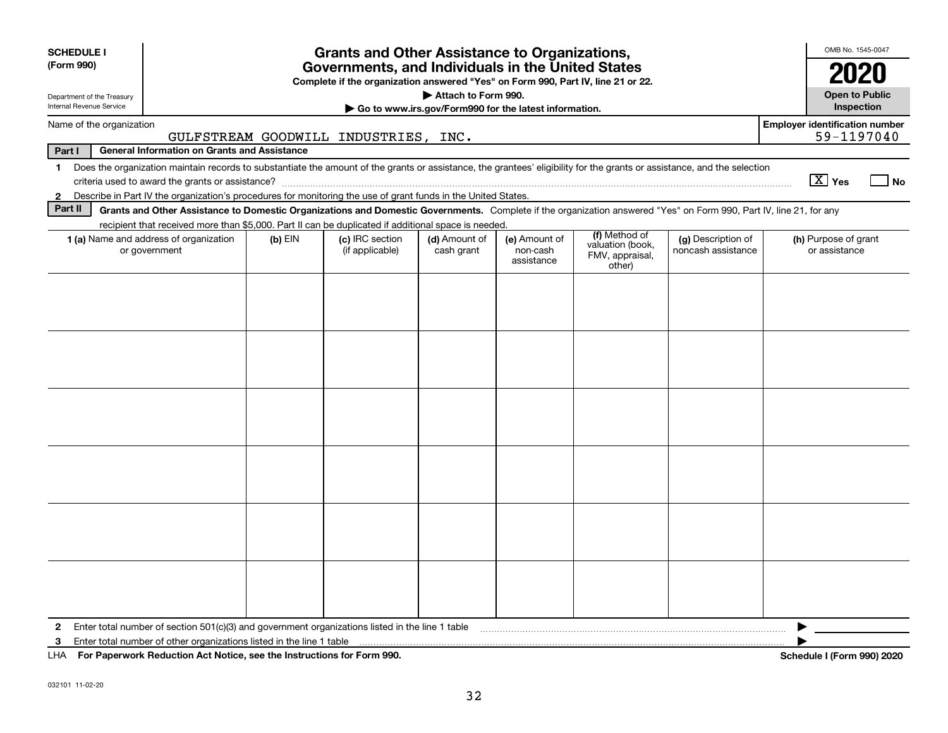| <b>SCHEDULE I</b>                                             |                                                                                                                                                                                               |           |                                      |                                                       |                        |                                               |                    |                                       | OMB No. 1545-0047                 |
|---------------------------------------------------------------|-----------------------------------------------------------------------------------------------------------------------------------------------------------------------------------------------|-----------|--------------------------------------|-------------------------------------------------------|------------------------|-----------------------------------------------|--------------------|---------------------------------------|-----------------------------------|
| (Form 990)                                                    | <b>Grants and Other Assistance to Organizations,</b><br>Governments, and Individuals in the United States<br>Complete if the organization answered "Yes" on Form 990, Part IV, line 21 or 22. |           |                                      |                                                       |                        |                                               |                    |                                       | 2020                              |
| Department of the Treasury                                    |                                                                                                                                                                                               |           |                                      | Attach to Form 990.                                   |                        |                                               |                    |                                       | <b>Open to Public</b>             |
| Internal Revenue Service                                      |                                                                                                                                                                                               |           |                                      | Go to www.irs.gov/Form990 for the latest information. |                        |                                               |                    |                                       | Inspection                        |
| Name of the organization                                      |                                                                                                                                                                                               |           | GULFSTREAM GOODWILL INDUSTRIES, INC. |                                                       |                        |                                               |                    | <b>Employer identification number</b> | 59-1197040                        |
| Part I<br><b>General Information on Grants and Assistance</b> |                                                                                                                                                                                               |           |                                      |                                                       |                        |                                               |                    |                                       |                                   |
| $\mathbf{1}$                                                  | Does the organization maintain records to substantiate the amount of the grants or assistance, the grantees' eligibility for the grants or assistance, and the selection                      |           |                                      |                                                       |                        |                                               |                    |                                       |                                   |
|                                                               |                                                                                                                                                                                               |           |                                      |                                                       |                        |                                               |                    | $\boxed{\text{X}}$ Yes                | l No                              |
| $\mathbf{2}$                                                  | Describe in Part IV the organization's procedures for monitoring the use of grant funds in the United States.                                                                                 |           |                                      |                                                       |                        |                                               |                    |                                       |                                   |
| Part II                                                       | Grants and Other Assistance to Domestic Organizations and Domestic Governments. Complete if the organization answered "Yes" on Form 990, Part IV, line 21, for any                            |           |                                      |                                                       |                        |                                               |                    |                                       |                                   |
|                                                               | recipient that received more than \$5,000. Part II can be duplicated if additional space is needed.<br>1 (a) Name and address of organization                                                 | $(b)$ EIN | (c) IRC section                      | (d) Amount of                                         | (e) Amount of          | (f) Method of                                 | (g) Description of |                                       | (h) Purpose of grant              |
|                                                               | or government                                                                                                                                                                                 |           | (if applicable)                      | cash grant                                            | non-cash<br>assistance | valuation (book,<br>FMV, appraisal,<br>other) | noncash assistance |                                       | or assistance                     |
|                                                               |                                                                                                                                                                                               |           |                                      |                                                       |                        |                                               |                    |                                       |                                   |
|                                                               |                                                                                                                                                                                               |           |                                      |                                                       |                        |                                               |                    |                                       |                                   |
|                                                               |                                                                                                                                                                                               |           |                                      |                                                       |                        |                                               |                    |                                       |                                   |
|                                                               |                                                                                                                                                                                               |           |                                      |                                                       |                        |                                               |                    |                                       |                                   |
|                                                               |                                                                                                                                                                                               |           |                                      |                                                       |                        |                                               |                    |                                       |                                   |
|                                                               |                                                                                                                                                                                               |           |                                      |                                                       |                        |                                               |                    |                                       |                                   |
|                                                               |                                                                                                                                                                                               |           |                                      |                                                       |                        |                                               |                    |                                       |                                   |
|                                                               |                                                                                                                                                                                               |           |                                      |                                                       |                        |                                               |                    |                                       |                                   |
|                                                               |                                                                                                                                                                                               |           |                                      |                                                       |                        |                                               |                    |                                       |                                   |
|                                                               |                                                                                                                                                                                               |           |                                      |                                                       |                        |                                               |                    |                                       |                                   |
|                                                               |                                                                                                                                                                                               |           |                                      |                                                       |                        |                                               |                    |                                       |                                   |
|                                                               |                                                                                                                                                                                               |           |                                      |                                                       |                        |                                               |                    |                                       |                                   |
|                                                               |                                                                                                                                                                                               |           |                                      |                                                       |                        |                                               |                    |                                       |                                   |
|                                                               |                                                                                                                                                                                               |           |                                      |                                                       |                        |                                               |                    |                                       |                                   |
|                                                               |                                                                                                                                                                                               |           |                                      |                                                       |                        |                                               |                    |                                       |                                   |
|                                                               |                                                                                                                                                                                               |           |                                      |                                                       |                        |                                               |                    |                                       |                                   |
|                                                               |                                                                                                                                                                                               |           |                                      |                                                       |                        |                                               |                    |                                       |                                   |
|                                                               |                                                                                                                                                                                               |           |                                      |                                                       |                        |                                               |                    |                                       |                                   |
|                                                               |                                                                                                                                                                                               |           |                                      |                                                       |                        |                                               |                    |                                       |                                   |
|                                                               |                                                                                                                                                                                               |           |                                      |                                                       |                        |                                               |                    |                                       |                                   |
|                                                               |                                                                                                                                                                                               |           |                                      |                                                       |                        |                                               |                    |                                       |                                   |
| $\mathbf{2}$                                                  | Enter total number of section $501(c)(3)$ and government organizations listed in the line 1 table                                                                                             |           |                                      |                                                       |                        |                                               |                    |                                       |                                   |
| 3                                                             | Enter total number of other organizations listed in the line 1 table<br>LHA For Paperwork Reduction Act Notice, see the Instructions for Form 990.                                            |           |                                      |                                                       |                        |                                               |                    |                                       | <b>Schedule I (Form 990) 2020</b> |
|                                                               |                                                                                                                                                                                               |           |                                      |                                                       |                        |                                               |                    |                                       |                                   |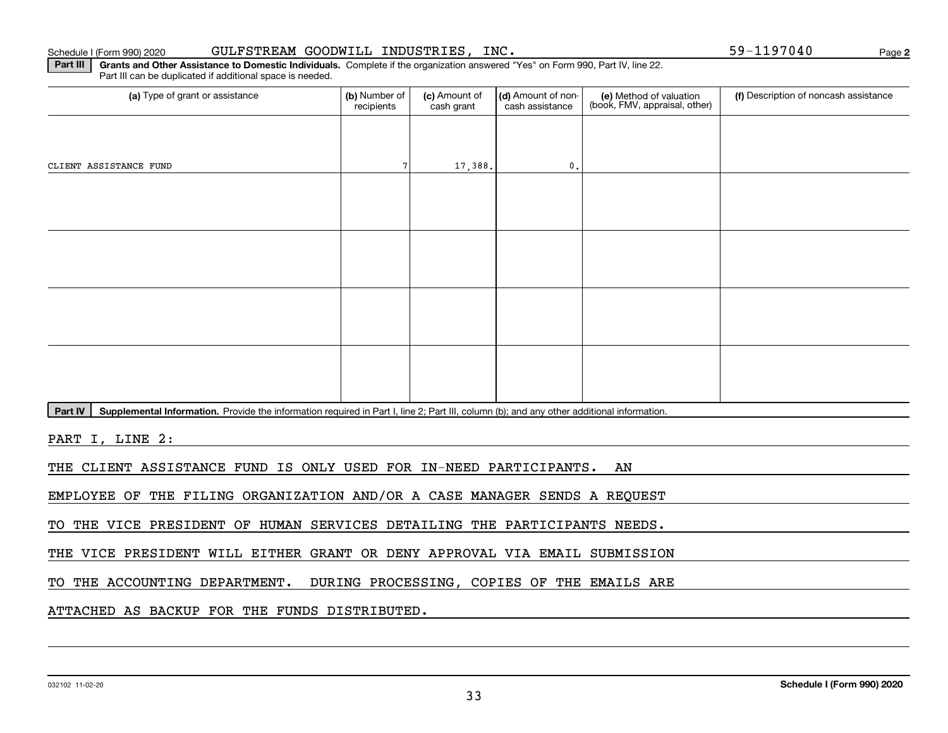#### Schedule I (Form 990) 2020 GULFSTREAM GOODWILL INDUSTRIES, INC. 59-1197040 Page

**Part III | Grants and Other Assistance to Domestic Individuals. Complete if the organization answered "Yes" on Form 990, Part IV, line 22.** Part III can be duplicated if additional space is needed.

| (a) Type of grant or assistance                                                                                                                      | (b) Number of<br>recipients | (c) Amount of<br>cash grant | (d) Amount of non-<br>cash assistance | (e) Method of valuation<br>(book, FMV, appraisal, other) | (f) Description of noncash assistance |  |  |  |  |  |
|------------------------------------------------------------------------------------------------------------------------------------------------------|-----------------------------|-----------------------------|---------------------------------------|----------------------------------------------------------|---------------------------------------|--|--|--|--|--|
|                                                                                                                                                      |                             |                             |                                       |                                                          |                                       |  |  |  |  |  |
| CLIENT ASSISTANCE FUND                                                                                                                               |                             | 17,388.                     | $\mathbf{0}$ .                        |                                                          |                                       |  |  |  |  |  |
|                                                                                                                                                      |                             |                             |                                       |                                                          |                                       |  |  |  |  |  |
|                                                                                                                                                      |                             |                             |                                       |                                                          |                                       |  |  |  |  |  |
|                                                                                                                                                      |                             |                             |                                       |                                                          |                                       |  |  |  |  |  |
|                                                                                                                                                      |                             |                             |                                       |                                                          |                                       |  |  |  |  |  |
|                                                                                                                                                      |                             |                             |                                       |                                                          |                                       |  |  |  |  |  |
|                                                                                                                                                      |                             |                             |                                       |                                                          |                                       |  |  |  |  |  |
|                                                                                                                                                      |                             |                             |                                       |                                                          |                                       |  |  |  |  |  |
|                                                                                                                                                      |                             |                             |                                       |                                                          |                                       |  |  |  |  |  |
| Supplemental Information. Provide the information required in Part I, line 2; Part III, column (b); and any other additional information.<br>Part IV |                             |                             |                                       |                                                          |                                       |  |  |  |  |  |
| PART I, LINE 2:                                                                                                                                      |                             |                             |                                       |                                                          |                                       |  |  |  |  |  |
| THE CLIENT ASSISTANCE FUND IS ONLY USED FOR IN-NEED PARTICIPANTS.<br>AN                                                                              |                             |                             |                                       |                                                          |                                       |  |  |  |  |  |

EMPLOYEE OF THE FILING ORGANIZATION AND/OR A CASE MANAGER SENDS A REQUEST

TO THE VICE PRESIDENT OF HUMAN SERVICES DETAILING THE PARTICIPANTS NEEDS.

THE VICE PRESIDENT WILL EITHER GRANT OR DENY APPROVAL VIA EMAIL SUBMISSION

TO THE ACCOUNTING DEPARTMENT. DURING PROCESSING, COPIES OF THE EMAILS ARE

ATTACHED AS BACKUP FOR THE FUNDS DISTRIBUTED.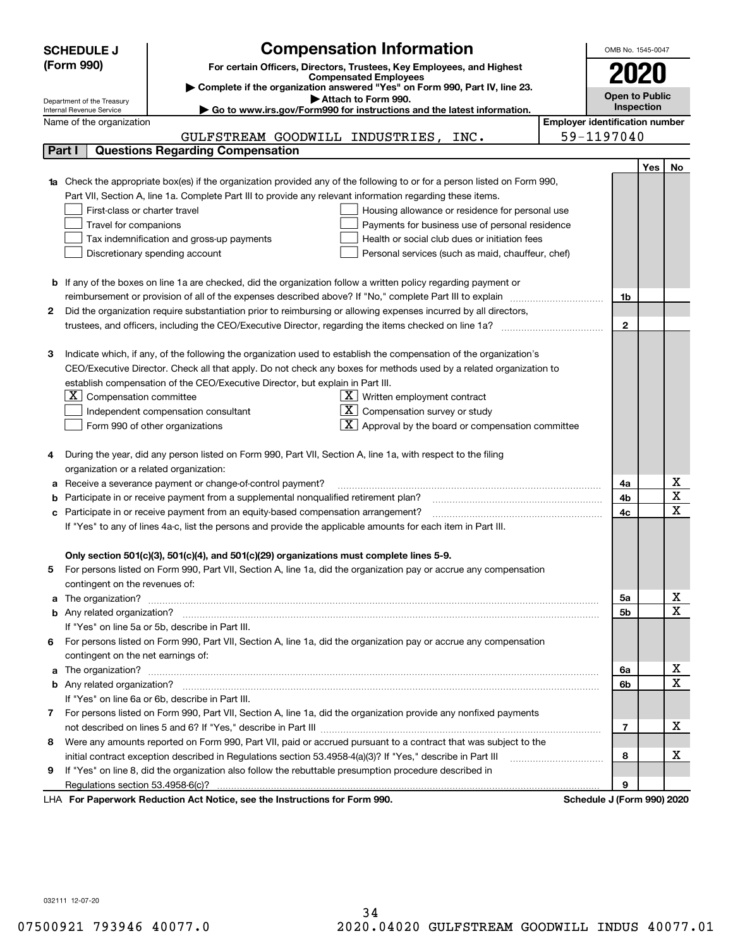|   | <b>SCHEDULE J</b>                                                                   | <b>Compensation Information</b>                                                                                                  |                                       | OMB No. 1545-0047 |            |                         |  |
|---|-------------------------------------------------------------------------------------|----------------------------------------------------------------------------------------------------------------------------------|---------------------------------------|-------------------|------------|-------------------------|--|
|   | (Form 990)<br>For certain Officers, Directors, Trustees, Key Employees, and Highest |                                                                                                                                  |                                       |                   |            |                         |  |
|   | <b>Compensated Employees</b>                                                        |                                                                                                                                  |                                       |                   |            |                         |  |
|   |                                                                                     | Complete if the organization answered "Yes" on Form 990, Part IV, line 23.                                                       |                                       | Open to Public    |            |                         |  |
|   | Department of the Treasury<br>Internal Revenue Service                              | Attach to Form 990.<br>Go to www.irs.gov/Form990 for instructions and the latest information.                                    |                                       |                   | Inspection |                         |  |
|   | Name of the organization                                                            |                                                                                                                                  | <b>Employer identification number</b> |                   |            |                         |  |
|   |                                                                                     | GULFSTREAM GOODWILL INDUSTRIES, INC.                                                                                             |                                       | 59-1197040        |            |                         |  |
|   | Part I                                                                              | <b>Questions Regarding Compensation</b>                                                                                          |                                       |                   |            |                         |  |
|   |                                                                                     |                                                                                                                                  |                                       |                   | Yes        | No.                     |  |
|   |                                                                                     | <b>1a</b> Check the appropriate box(es) if the organization provided any of the following to or for a person listed on Form 990, |                                       |                   |            |                         |  |
|   |                                                                                     | Part VII, Section A, line 1a. Complete Part III to provide any relevant information regarding these items.                       |                                       |                   |            |                         |  |
|   | First-class or charter travel                                                       | Housing allowance or residence for personal use                                                                                  |                                       |                   |            |                         |  |
|   | Travel for companions                                                               | Payments for business use of personal residence                                                                                  |                                       |                   |            |                         |  |
|   |                                                                                     | Health or social club dues or initiation fees<br>Tax indemnification and gross-up payments                                       |                                       |                   |            |                         |  |
|   |                                                                                     | Discretionary spending account<br>Personal services (such as maid, chauffeur, chef)                                              |                                       |                   |            |                         |  |
|   |                                                                                     |                                                                                                                                  |                                       |                   |            |                         |  |
|   |                                                                                     | <b>b</b> If any of the boxes on line 1a are checked, did the organization follow a written policy regarding payment or           |                                       |                   |            |                         |  |
|   |                                                                                     | reimbursement or provision of all of the expenses described above? If "No," complete Part III to explain                         |                                       | 1b                |            |                         |  |
| 2 |                                                                                     | Did the organization require substantiation prior to reimbursing or allowing expenses incurred by all directors,                 |                                       |                   |            |                         |  |
|   |                                                                                     |                                                                                                                                  |                                       | $\mathbf{2}$      |            |                         |  |
|   |                                                                                     |                                                                                                                                  |                                       |                   |            |                         |  |
| з |                                                                                     | Indicate which, if any, of the following the organization used to establish the compensation of the organization's               |                                       |                   |            |                         |  |
|   |                                                                                     | CEO/Executive Director. Check all that apply. Do not check any boxes for methods used by a related organization to               |                                       |                   |            |                         |  |
|   |                                                                                     | establish compensation of the CEO/Executive Director, but explain in Part III.                                                   |                                       |                   |            |                         |  |
|   | Compensation committee<br>ΣI                                                        | $X$ Written employment contract                                                                                                  |                                       |                   |            |                         |  |
|   |                                                                                     | $\mathbf{X}$<br>Compensation survey or study<br>Independent compensation consultant                                              |                                       |                   |            |                         |  |
|   |                                                                                     | Approval by the board or compensation committee<br>Form 990 of other organizations                                               |                                       |                   |            |                         |  |
|   |                                                                                     |                                                                                                                                  |                                       |                   |            |                         |  |
|   |                                                                                     | During the year, did any person listed on Form 990, Part VII, Section A, line 1a, with respect to the filing                     |                                       |                   |            |                         |  |
|   | organization or a related organization:                                             |                                                                                                                                  |                                       |                   |            |                         |  |
|   |                                                                                     | Receive a severance payment or change-of-control payment?                                                                        |                                       | 4a                |            | Χ                       |  |
|   |                                                                                     | Participate in or receive payment from a supplemental nonqualified retirement plan?                                              |                                       | 4b                |            | $\overline{\textbf{x}}$ |  |
|   |                                                                                     | c Participate in or receive payment from an equity-based compensation arrangement?                                               |                                       | 4c                |            | $\overline{\mathbf{x}}$ |  |
|   |                                                                                     | If "Yes" to any of lines 4a-c, list the persons and provide the applicable amounts for each item in Part III.                    |                                       |                   |            |                         |  |
|   |                                                                                     |                                                                                                                                  |                                       |                   |            |                         |  |
|   |                                                                                     | Only section 501(c)(3), 501(c)(4), and 501(c)(29) organizations must complete lines 5-9.                                         |                                       |                   |            |                         |  |
| 5 |                                                                                     | For persons listed on Form 990, Part VII, Section A, line 1a, did the organization pay or accrue any compensation                |                                       |                   |            |                         |  |
|   | contingent on the revenues of:                                                      |                                                                                                                                  |                                       |                   |            |                         |  |
|   |                                                                                     |                                                                                                                                  |                                       | 5а                |            | x                       |  |
|   |                                                                                     |                                                                                                                                  |                                       | 5b                |            | $\overline{\mathbf{x}}$ |  |
|   |                                                                                     | If "Yes" on line 5a or 5b, describe in Part III.                                                                                 |                                       |                   |            |                         |  |
|   |                                                                                     | 6 For persons listed on Form 990, Part VII, Section A, line 1a, did the organization pay or accrue any compensation              |                                       |                   |            |                         |  |
|   | contingent on the net earnings of:                                                  |                                                                                                                                  |                                       |                   |            |                         |  |
|   |                                                                                     |                                                                                                                                  |                                       | 6a                |            | х                       |  |
|   |                                                                                     |                                                                                                                                  |                                       | 6b                |            | $\mathbf X$             |  |
|   |                                                                                     | If "Yes" on line 6a or 6b, describe in Part III.                                                                                 |                                       |                   |            |                         |  |
|   |                                                                                     | 7 For persons listed on Form 990, Part VII, Section A, line 1a, did the organization provide any nonfixed payments               |                                       |                   |            |                         |  |
|   |                                                                                     |                                                                                                                                  |                                       | 7                 |            | х                       |  |
| 8 |                                                                                     | Were any amounts reported on Form 990, Part VII, paid or accrued pursuant to a contract that was subject to the                  |                                       |                   |            |                         |  |
|   |                                                                                     |                                                                                                                                  |                                       | 8                 |            | х                       |  |
| 9 |                                                                                     | If "Yes" on line 8, did the organization also follow the rebuttable presumption procedure described in                           |                                       |                   |            |                         |  |
|   |                                                                                     |                                                                                                                                  |                                       | 9                 |            |                         |  |
|   |                                                                                     | and the Instruments of face Farme 000                                                                                            |                                       |                   |            |                         |  |

LHA For Paperwork Reduction Act Notice, see the Instructions for Form 990. Schedule J (Form 990) 2020

032111 12-07-20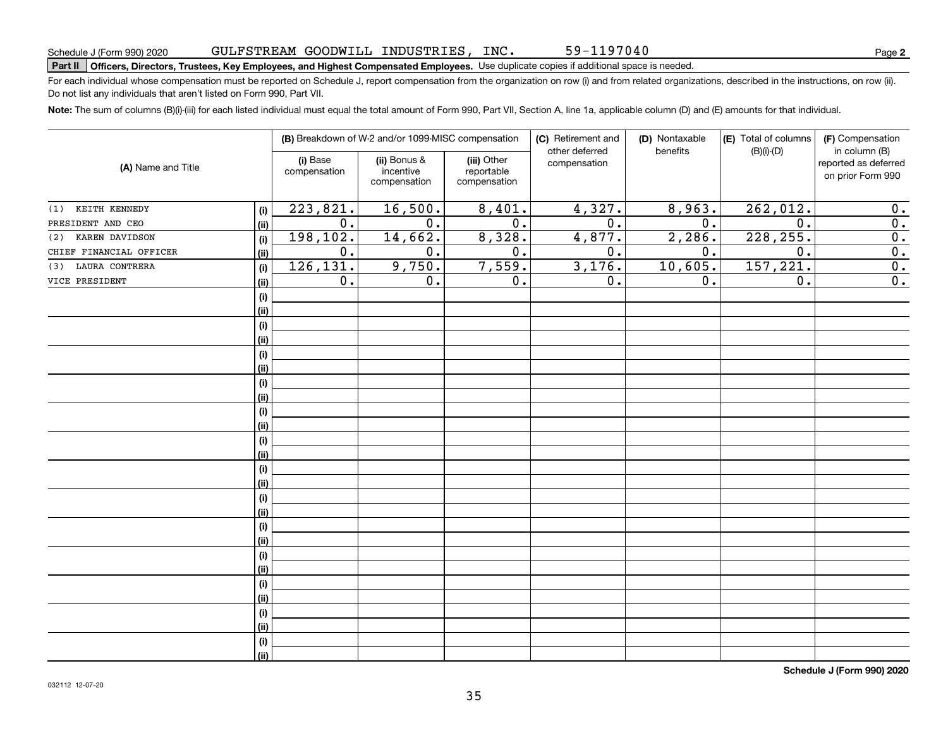## GULFSTREAM GOODWILL INDUSTRIES, INC.

**2**

# **Part II Officers, Directors, Trustees, Key Employees, and Highest Compensated Employees.**  Schedule J (Form 990) 2020 Page Use duplicate copies if additional space is needed.

For each individual whose compensation must be reported on Schedule J, report compensation from the organization on row (i) and from related organizations, described in the instructions, on row (ii). Do not list any individuals that aren't listed on Form 990, Part VII.

59-1197040

**Note:**  The sum of columns (B)(i)-(iii) for each listed individual must equal the total amount of Form 990, Part VII, Section A, line 1a, applicable column (D) and (E) amounts for that individual.

|                                 |                          | (B) Breakdown of W-2 and/or 1099-MISC compensation |                                           | (C) Retirement and<br>other deferred | (D) Nontaxable   | (E) Total of columns   | (F) Compensation                                           |
|---------------------------------|--------------------------|----------------------------------------------------|-------------------------------------------|--------------------------------------|------------------|------------------------|------------------------------------------------------------|
| (A) Name and Title              | (i) Base<br>compensation | (ii) Bonus &<br>incentive<br>compensation          | (iii) Other<br>reportable<br>compensation | compensation                         | benefits         | $(B)(i)-(D)$           | in column (B)<br>reported as deferred<br>on prior Form 990 |
| (1) KEITH KENNEDY<br>(i)        | 223,821.                 | 16,500.                                            | 8,401.                                    | 4,327.                               | 8,963.           | $\overline{262,012}$ . | 0.                                                         |
| PRESIDENT AND CEO<br>(ii)       | 0.                       | $\overline{0}$ .                                   | $\overline{0}$ .                          | $\overline{0}$ .                     | $\overline{0}$ . | $\mathbf 0$ .          | 0.                                                         |
| KAREN DAVIDSON<br>(2)<br>(i)    | 198,102.                 | 14,662.                                            | 8,328.                                    | 4,877.                               | 2,286.           | 228, 255.              | $\overline{0}$ .                                           |
| CHIEF FINANCIAL OFFICER<br>(ii) | 0.                       | 0.                                                 | 0.                                        | $\overline{0}$ .                     | 0.               | 0.                     | $\overline{0}$ .                                           |
| LAURA CONTRERA<br>(3)<br>(i)    | 126,131.                 | 9,750.                                             | 7,559.                                    | 3,176.                               | 10,605.          | 157, 221.              | $\overline{0}$ .                                           |
| VICE PRESIDENT<br>(ii)          | 0.                       | 0.                                                 | 0.                                        | 0.                                   | 0.               | 0.                     | $\overline{\mathbf{0}}$ .                                  |
| $(\sf{i})$                      |                          |                                                    |                                           |                                      |                  |                        |                                                            |
| (ii)                            |                          |                                                    |                                           |                                      |                  |                        |                                                            |
| $(\sf{i})$                      |                          |                                                    |                                           |                                      |                  |                        |                                                            |
| (ii)                            |                          |                                                    |                                           |                                      |                  |                        |                                                            |
| $(\sf{i})$                      |                          |                                                    |                                           |                                      |                  |                        |                                                            |
| (ii)                            |                          |                                                    |                                           |                                      |                  |                        |                                                            |
| $(\sf{i})$                      |                          |                                                    |                                           |                                      |                  |                        |                                                            |
| (ii)                            |                          |                                                    |                                           |                                      |                  |                        |                                                            |
| $(\sf{i})$                      |                          |                                                    |                                           |                                      |                  |                        |                                                            |
| (ii)                            |                          |                                                    |                                           |                                      |                  |                        |                                                            |
| $(\sf{i})$                      |                          |                                                    |                                           |                                      |                  |                        |                                                            |
| (ii)                            |                          |                                                    |                                           |                                      |                  |                        |                                                            |
| $(\sf{i})$                      |                          |                                                    |                                           |                                      |                  |                        |                                                            |
| (ii)                            |                          |                                                    |                                           |                                      |                  |                        |                                                            |
| $(\sf{i})$                      |                          |                                                    |                                           |                                      |                  |                        |                                                            |
| (ii)                            |                          |                                                    |                                           |                                      |                  |                        |                                                            |
| $(\sf{i})$                      |                          |                                                    |                                           |                                      |                  |                        |                                                            |
| (ii)                            |                          |                                                    |                                           |                                      |                  |                        |                                                            |
| $(\sf{i})$                      |                          |                                                    |                                           |                                      |                  |                        |                                                            |
| (ii)                            |                          |                                                    |                                           |                                      |                  |                        |                                                            |
| $(\sf{i})$                      |                          |                                                    |                                           |                                      |                  |                        |                                                            |
| (ii)                            |                          |                                                    |                                           |                                      |                  |                        |                                                            |
| $(\sf{i})$                      |                          |                                                    |                                           |                                      |                  |                        |                                                            |
| (ii)                            |                          |                                                    |                                           |                                      |                  |                        |                                                            |
| (i)                             |                          |                                                    |                                           |                                      |                  |                        |                                                            |
| (ii)                            |                          |                                                    |                                           |                                      |                  |                        |                                                            |

**Schedule J (Form 990) 2020**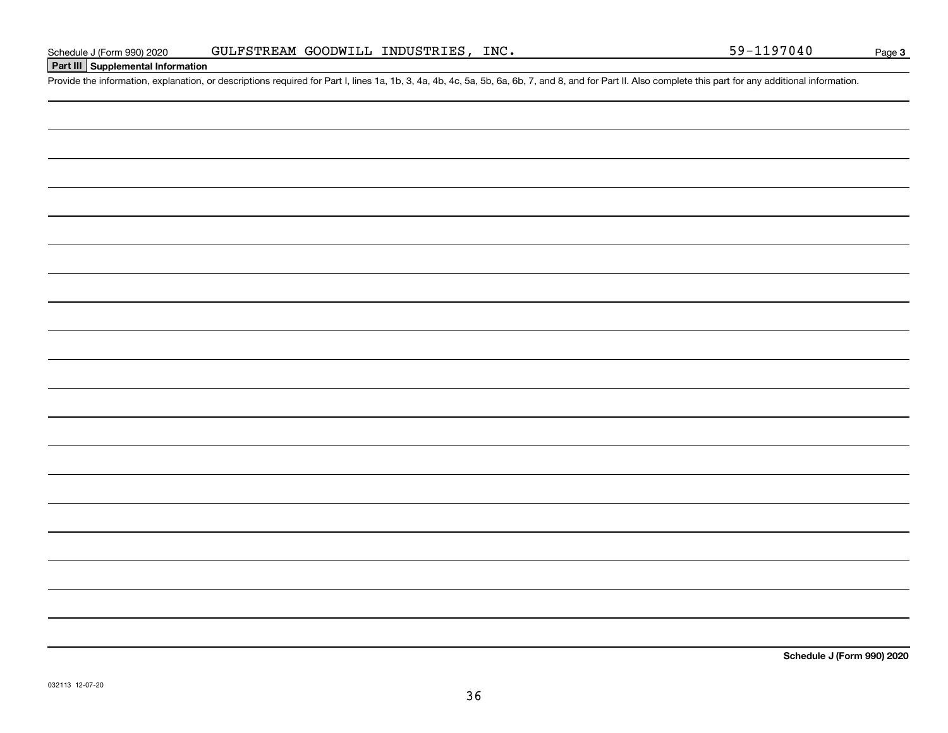Schedule J (Form 990) 2020 GULFSTREAM GOODWILL INDUSTRIES, INC.<br>Part III Supplemental Information<br>Provide the information, explanation, or descriptions required for Part I, lines 1a, 1b, 3, 4a, 4b, 4c, 5a, 5b, 6a, 6b, 7, a

GULFSTREAM GOODWILL INDUSTRIES, INC.

**Schedule J (Form 990) 2020**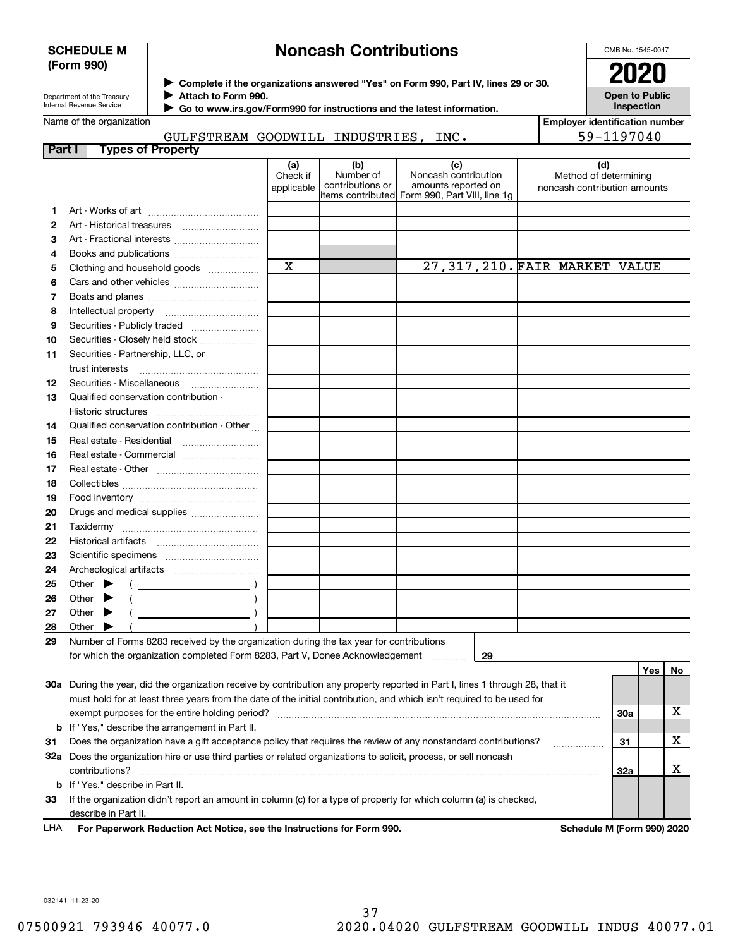#### **SCHEDULE M (Form 990)**

# **Noncash Contributions**

OMB No. 1545-0047

**Open to Public Inspection**

| Department of the Treasury |
|----------------------------|
| Internal Revenue Service   |

**Complete if the organizations answered "Yes" on Form 990, Part IV, lines 29 or 30.** <sup>J</sup>**2020**

**Attach to Form 990.** J

 **Go to www.irs.gov/Form990 for instructions and the latest information.** J

Name of the organization

**Employer identification number** 59-1197040

|  |                                 | GULFSTREAM GOODWILL INDUSTRIES, INC. |  |
|--|---------------------------------|--------------------------------------|--|
|  | <b>Part I</b> Types of Property |                                      |  |

|     |                                                                                                                                | (a)         | (b)              | (c)                                             | (d)                           |     |     |    |  |
|-----|--------------------------------------------------------------------------------------------------------------------------------|-------------|------------------|-------------------------------------------------|-------------------------------|-----|-----|----|--|
|     |                                                                                                                                | Check if    | Number of        | Noncash contribution                            | Method of determining         |     |     |    |  |
|     |                                                                                                                                | applicable  | contributions or | amounts reported on                             | noncash contribution amounts  |     |     |    |  |
|     |                                                                                                                                |             |                  | litems contributed Form 990, Part VIII, line 1g |                               |     |     |    |  |
| 1.  | Art - Historical treasures                                                                                                     |             |                  |                                                 |                               |     |     |    |  |
| 2   |                                                                                                                                |             |                  |                                                 |                               |     |     |    |  |
| 3   |                                                                                                                                |             |                  |                                                 |                               |     |     |    |  |
| 4   | Books and publications                                                                                                         | $\mathbf X$ |                  |                                                 | 27,317,210. FAIR MARKET VALUE |     |     |    |  |
| 5   | Clothing and household goods                                                                                                   |             |                  |                                                 |                               |     |     |    |  |
| 6   |                                                                                                                                |             |                  |                                                 |                               |     |     |    |  |
| 7   |                                                                                                                                |             |                  |                                                 |                               |     |     |    |  |
| 8   | Intellectual property                                                                                                          |             |                  |                                                 |                               |     |     |    |  |
| 9   | Securities - Publicly traded                                                                                                   |             |                  |                                                 |                               |     |     |    |  |
| 10  | Securities - Closely held stock                                                                                                |             |                  |                                                 |                               |     |     |    |  |
| 11  | Securities - Partnership, LLC, or                                                                                              |             |                  |                                                 |                               |     |     |    |  |
|     | trust interests                                                                                                                |             |                  |                                                 |                               |     |     |    |  |
| 12  | Securities - Miscellaneous                                                                                                     |             |                  |                                                 |                               |     |     |    |  |
| 13  | Qualified conservation contribution -                                                                                          |             |                  |                                                 |                               |     |     |    |  |
|     | Historic structures                                                                                                            |             |                  |                                                 |                               |     |     |    |  |
| 14  | Qualified conservation contribution - Other                                                                                    |             |                  |                                                 |                               |     |     |    |  |
| 15  | Real estate - Residential                                                                                                      |             |                  |                                                 |                               |     |     |    |  |
| 16  | Real estate - Commercial                                                                                                       |             |                  |                                                 |                               |     |     |    |  |
| 17  |                                                                                                                                |             |                  |                                                 |                               |     |     |    |  |
| 18  |                                                                                                                                |             |                  |                                                 |                               |     |     |    |  |
| 19  |                                                                                                                                |             |                  |                                                 |                               |     |     |    |  |
| 20  | Drugs and medical supplies                                                                                                     |             |                  |                                                 |                               |     |     |    |  |
| 21  |                                                                                                                                |             |                  |                                                 |                               |     |     |    |  |
| 22  | Historical artifacts                                                                                                           |             |                  |                                                 |                               |     |     |    |  |
| 23  |                                                                                                                                |             |                  |                                                 |                               |     |     |    |  |
| 24  |                                                                                                                                |             |                  |                                                 |                               |     |     |    |  |
| 25  | Other $\blacktriangleright$                                                                                                    |             |                  |                                                 |                               |     |     |    |  |
| 26  | Other $\blacktriangleright$                                                                                                    |             |                  |                                                 |                               |     |     |    |  |
| 27  | Other $\blacktriangleright$                                                                                                    |             |                  |                                                 |                               |     |     |    |  |
| 28  | Other $\blacktriangleright$                                                                                                    |             |                  |                                                 |                               |     |     |    |  |
| 29  | Number of Forms 8283 received by the organization during the tax year for contributions                                        |             |                  |                                                 |                               |     |     |    |  |
|     | for which the organization completed Form 8283, Part V, Donee Acknowledgement                                                  |             |                  | 29                                              |                               |     |     |    |  |
|     |                                                                                                                                |             |                  |                                                 |                               |     | Yes | No |  |
|     | 30a During the year, did the organization receive by contribution any property reported in Part I, lines 1 through 28, that it |             |                  |                                                 |                               |     |     |    |  |
|     | must hold for at least three years from the date of the initial contribution, and which isn't required to be used for          |             |                  |                                                 |                               |     |     |    |  |
|     | exempt purposes for the entire holding period?<br>30a                                                                          |             |                  |                                                 |                               |     |     |    |  |
| b   | If "Yes," describe the arrangement in Part II.                                                                                 |             |                  |                                                 |                               |     |     |    |  |
| 31  | Does the organization have a gift acceptance policy that requires the review of any nonstandard contributions?<br>31           |             |                  |                                                 |                               |     |     |    |  |
| 32a | Does the organization hire or use third parties or related organizations to solicit, process, or sell noncash                  |             |                  |                                                 |                               |     |     |    |  |
|     | contributions?                                                                                                                 |             |                  |                                                 |                               | 32a |     | x  |  |
| b   | If "Yes," describe in Part II.                                                                                                 |             |                  |                                                 |                               |     |     |    |  |
| 33  | If the organization didn't report an amount in column (c) for a type of property for which column (a) is checked,              |             |                  |                                                 |                               |     |     |    |  |
|     | describe in Part II.                                                                                                           |             |                  |                                                 |                               |     |     |    |  |

**For Paperwork Reduction Act Notice, see the Instructions for Form 990. Schedule M (Form 990) 2020** LHA

032141 11-23-20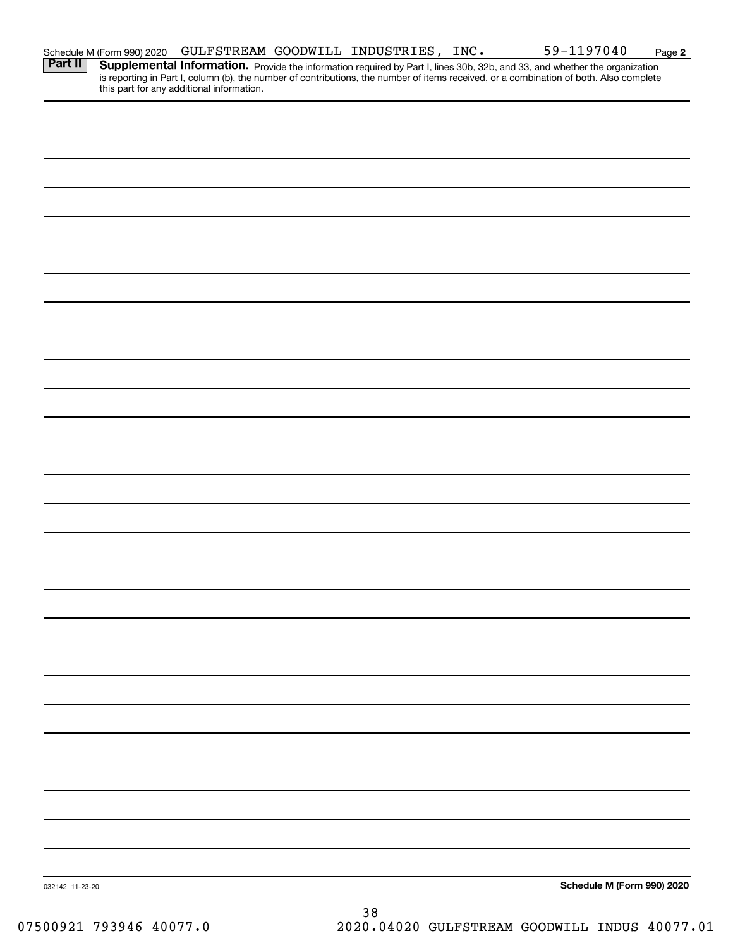| Schedule M (Form 990) 2020 |  | GULFSTREAM GOODWILL INDUSTRIES,           | INC. | 59-1197040 | Page 2                                                                                                                                                                                                                              |
|----------------------------|--|-------------------------------------------|------|------------|-------------------------------------------------------------------------------------------------------------------------------------------------------------------------------------------------------------------------------------|
|                            |  |                                           |      |            |                                                                                                                                                                                                                                     |
|                            |  |                                           |      |            |                                                                                                                                                                                                                                     |
|                            |  |                                           |      |            |                                                                                                                                                                                                                                     |
|                            |  |                                           |      |            |                                                                                                                                                                                                                                     |
|                            |  |                                           |      |            |                                                                                                                                                                                                                                     |
|                            |  |                                           |      |            |                                                                                                                                                                                                                                     |
|                            |  |                                           |      |            |                                                                                                                                                                                                                                     |
|                            |  |                                           |      |            |                                                                                                                                                                                                                                     |
|                            |  |                                           |      |            |                                                                                                                                                                                                                                     |
|                            |  |                                           |      |            |                                                                                                                                                                                                                                     |
|                            |  |                                           |      |            |                                                                                                                                                                                                                                     |
|                            |  |                                           |      |            |                                                                                                                                                                                                                                     |
|                            |  |                                           |      |            |                                                                                                                                                                                                                                     |
|                            |  |                                           |      |            |                                                                                                                                                                                                                                     |
|                            |  |                                           |      |            |                                                                                                                                                                                                                                     |
|                            |  |                                           |      |            |                                                                                                                                                                                                                                     |
|                            |  |                                           |      |            |                                                                                                                                                                                                                                     |
|                            |  |                                           |      |            |                                                                                                                                                                                                                                     |
|                            |  |                                           |      |            |                                                                                                                                                                                                                                     |
|                            |  |                                           |      |            |                                                                                                                                                                                                                                     |
|                            |  |                                           |      |            |                                                                                                                                                                                                                                     |
|                            |  |                                           |      |            |                                                                                                                                                                                                                                     |
|                            |  |                                           |      |            |                                                                                                                                                                                                                                     |
|                            |  |                                           |      |            |                                                                                                                                                                                                                                     |
|                            |  |                                           |      |            |                                                                                                                                                                                                                                     |
|                            |  |                                           |      |            |                                                                                                                                                                                                                                     |
|                            |  | this part for any additional information. |      |            | <b>Supplemental Information.</b> Provide the information required by Part I, lines 30b, 32b, and 33, and whether the organization is reporting in Part I, column (b), the number of contributions, the number of items received, or |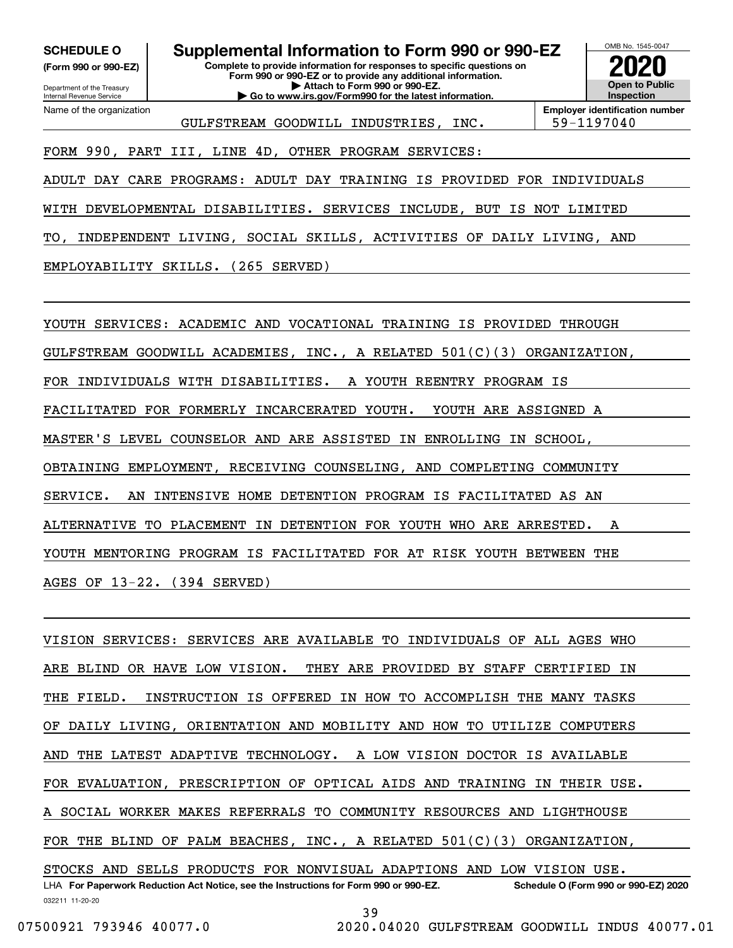**(Form 990 or 990-EZ)**

Department of the Treasury Internal Revenue Service Name of the organization

**Complete to provide information for responses to specific questions on Form 990 or 990-EZ or to provide any additional information. | Attach to Form 990 or 990-EZ. | Go to www.irs.gov/Form990 for the latest information. SCHEDULE O Supplemental Information to Form 990 or 990-EZ**



GULFSTREAM GOODWILL INDUSTRIES, INC. | 59-1197040

#### FORM 990, PART III, LINE 4D, OTHER PROGRAM SERVICES:

ADULT DAY CARE PROGRAMS: ADULT DAY TRAINING IS PROVIDED FOR INDIVIDUALS

WITH DEVELOPMENTAL DISABILITIES. SERVICES INCLUDE, BUT IS NOT LIMITED

TO, INDEPENDENT LIVING, SOCIAL SKILLS, ACTIVITIES OF DAILY LIVING, AND

EMPLOYABILITY SKILLS. (265 SERVED)

YOUTH SERVICES: ACADEMIC AND VOCATIONAL TRAINING IS PROVIDED THROUGH GULFSTREAM GOODWILL ACADEMIES, INC., A RELATED  $501(C)(3)$  ORGANIZATION FOR INDIVIDUALS WITH DISABILITIES. A YOUTH REENTRY PROGRAM IS FACILITATED FOR FORMERLY INCARCERATED YOUTH. YOUTH ARE ASSIGNED A MASTER'S LEVEL COUNSELOR AND ARE ASSISTED IN ENROLLING IN SCHOOL, OBTAINING EMPLOYMENT, RECEIVING COUNSELING, AND COMPLETING COMMUNITY SERVICE. AN INTENSIVE HOME DETENTION PROGRAM IS FACILITATED AS AN ALTERNATIVE TO PLACEMENT IN DETENTION FOR YOUTH WHO ARE ARRESTED. A YOUTH MENTORING PROGRAM IS FACILITATED FOR AT RISK YOUTH BETWEEN THE AGES OF 13-22. (394 SERVED)

032211 11-20-20 LHA For Paperwork Reduction Act Notice, see the Instructions for Form 990 or 990-EZ. Schedule O (Form 990 or 990-EZ) 2020 VISION SERVICES: SERVICES ARE AVAILABLE TO INDIVIDUALS OF ALL AGES WHO ARE BLIND OR HAVE LOW VISION. THEY ARE PROVIDED BY STAFF CERTIFIED IN THE FIELD. INSTRUCTION IS OFFERED IN HOW TO ACCOMPLISH THE MANY TASKS OF DAILY LIVING, ORIENTATION AND MOBILITY AND HOW TO UTILIZE COMPUTERS AND THE LATEST ADAPTIVE TECHNOLOGY. A LOW VISION DOCTOR IS AVAILABLE FOR EVALUATION, PRESCRIPTION OF OPTICAL AIDS AND TRAINING IN THEIR USE. A SOCIAL WORKER MAKES REFERRALS TO COMMUNITY RESOURCES AND LIGHTHOUSE FOR THE BLIND OF PALM BEACHES, INC., A RELATED 501(C)(3) ORGANIZATION, STOCKS AND SELLS PRODUCTS FOR NONVISUAL ADAPTIONS AND LOW VISION USE.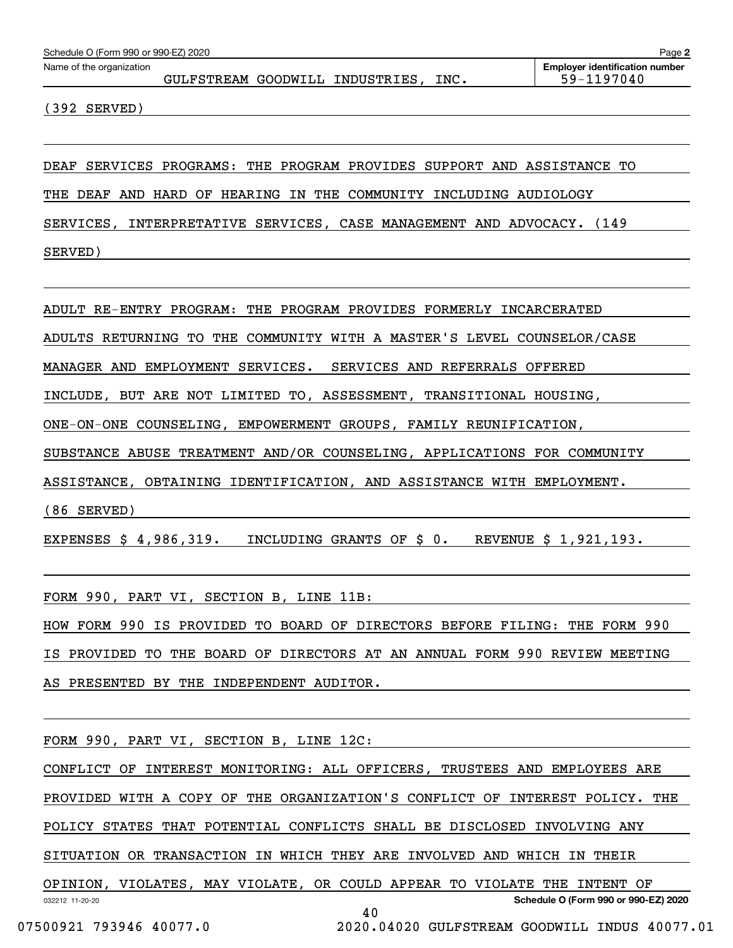| Schedule O (Form 990 or 990-EZ) 2020<br>Page 2 |  |  |                                 |      |                                       |  |  |  |  |
|------------------------------------------------|--|--|---------------------------------|------|---------------------------------------|--|--|--|--|
| Name of the organization                       |  |  |                                 |      | <b>Employer identification number</b> |  |  |  |  |
|                                                |  |  | GULFSTREAM GOODWILL INDUSTRIES, | INC. | 59-1197040                            |  |  |  |  |
|                                                |  |  |                                 |      |                                       |  |  |  |  |

(392 SERVED)

DEAF SERVICES PROGRAMS: THE PROGRAM PROVIDES SUPPORT AND ASSISTANCE TO

THE DEAF AND HARD OF HEARING IN THE COMMUNITY INCLUDING AUDIOLOGY

SERVICES, INTERPRETATIVE SERVICES, CASE MANAGEMENT AND ADVOCACY. (149 SERVED)

ADULT RE-ENTRY PROGRAM: THE PROGRAM PROVIDES FORMERLY INCARCERATED

ADULTS RETURNING TO THE COMMUNITY WITH A MASTER'S LEVEL COUNSELOR/CASE

MANAGER AND EMPLOYMENT SERVICES. SERVICES AND REFERRALS OFFERED

INCLUDE, BUT ARE NOT LIMITED TO, ASSESSMENT, TRANSITIONAL HOUSING,

ONE-ON-ONE COUNSELING, EMPOWERMENT GROUPS, FAMILY REUNIFICATION,

SUBSTANCE ABUSE TREATMENT AND/OR COUNSELING, APPLICATIONS FOR COMMUNITY

ASSISTANCE, OBTAINING IDENTIFICATION, AND ASSISTANCE WITH EMPLOYMENT.

(86 SERVED)

EXPENSES \$ 4,986,319. INCLUDING GRANTS OF \$ 0. REVENUE \$ 1,921,193.

FORM 990, PART VI, SECTION B, LINE 11B:

HOW FORM 990 IS PROVIDED TO BOARD OF DIRECTORS BEFORE FILING: THE FORM 990 IS PROVIDED TO THE BOARD OF DIRECTORS AT AN ANNUAL FORM 990 REVIEW MEETING AS PRESENTED BY THE INDEPENDENT AUDITOR.

FORM 990, PART VI, SECTION B, LINE 12C:

CONFLICT OF INTEREST MONITORING: ALL OFFICERS, TRUSTEES AND EMPLOYEES ARE

PROVIDED WITH A COPY OF THE ORGANIZATION'S CONFLICT OF INTEREST POLICY. THE

POLICY STATES THAT POTENTIAL CONFLICTS SHALL BE DISCLOSED INVOLVING ANY

SITUATION OR TRANSACTION IN WHICH THEY ARE INVOLVED AND WHICH IN THEIR

032212 11-20-20 **Schedule O (Form 990 or 990-EZ) 2020** OPINION, VIOLATES, MAY VIOLATE, OR COULD APPEAR TO VIOLATE THE INTENT OF 40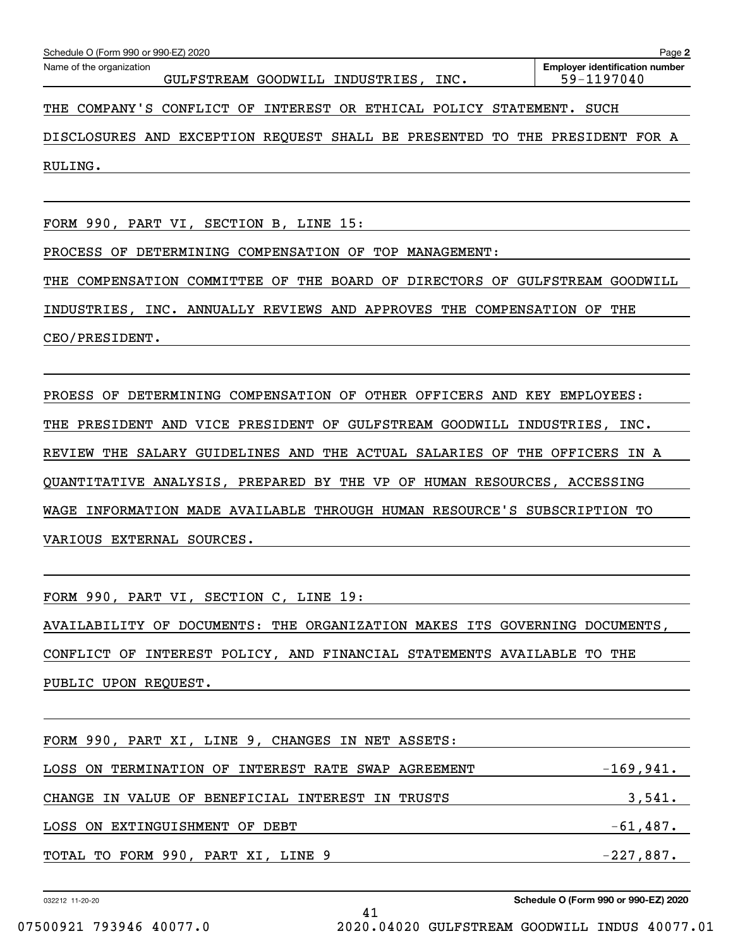| Schedule O (Form 990 or 990-EZ) 2020<br>Page 2                              |                                                     |  |  |  |  |  |  |  |  |
|-----------------------------------------------------------------------------|-----------------------------------------------------|--|--|--|--|--|--|--|--|
| Name of the organization<br>GULFSTREAM GOODWILL INDUSTRIES, INC.            | <b>Employer identification number</b><br>59-1197040 |  |  |  |  |  |  |  |  |
| THE COMPANY'S CONFLICT OF INTEREST OR ETHICAL POLICY STATEMENT.             | SUCH                                                |  |  |  |  |  |  |  |  |
| DISCLOSURES AND EXCEPTION REQUEST SHALL BE PRESENTED TO THE PRESIDENT FOR A |                                                     |  |  |  |  |  |  |  |  |
| RULING.                                                                     |                                                     |  |  |  |  |  |  |  |  |

FORM 990, PART VI, SECTION B, LINE 15:

PROCESS OF DETERMINING COMPENSATION OF TOP MANAGEMENT:

THE COMPENSATION COMMITTEE OF THE BOARD OF DIRECTORS OF GULFSTREAM GOODWILL

INDUSTRIES, INC. ANNUALLY REVIEWS AND APPROVES THE COMPENSATION OF THE

CEO/PRESIDENT.

PROESS OF DETERMINING COMPENSATION OF OTHER OFFICERS AND KEY EMPLOYEES: THE PRESIDENT AND VICE PRESIDENT OF GULFSTREAM GOODWILL INDUSTRIES, INC. REVIEW THE SALARY GUIDELINES AND THE ACTUAL SALARIES OF THE OFFICERS IN A QUANTITATIVE ANALYSIS, PREPARED BY THE VP OF HUMAN RESOURCES, ACCESSING WAGE INFORMATION MADE AVAILABLE THROUGH HUMAN RESOURCE'S SUBSCRIPTION TO VARIOUS EXTERNAL SOURCES.

FORM 990, PART VI, SECTION C, LINE 19:

AVAILABILITY OF DOCUMENTS: THE ORGANIZATION MAKES ITS GOVERNING DOCUMENTS, CONFLICT OF INTEREST POLICY, AND FINANCIAL STATEMENTS AVAILABLE TO THE PUBLIC UPON REQUEST.

| FORM 990, PART XI, LINE 9, CHANGES IN NET ASSETS:          |             |  |  |  |  |  |
|------------------------------------------------------------|-------------|--|--|--|--|--|
| LOSS ON TERMINATION OF INTEREST RATE SWAP AGREEMENT        | $-169,941.$ |  |  |  |  |  |
| 3,541.<br>CHANGE IN VALUE OF BENEFICIAL INTEREST IN TRUSTS |             |  |  |  |  |  |
| LOSS ON EXTINGUISHMENT OF DEBT                             | $-61,487.$  |  |  |  |  |  |
| TOTAL TO FORM 990, PART XI, LINE 9                         | $-227,887.$ |  |  |  |  |  |

41

032212 11-20-20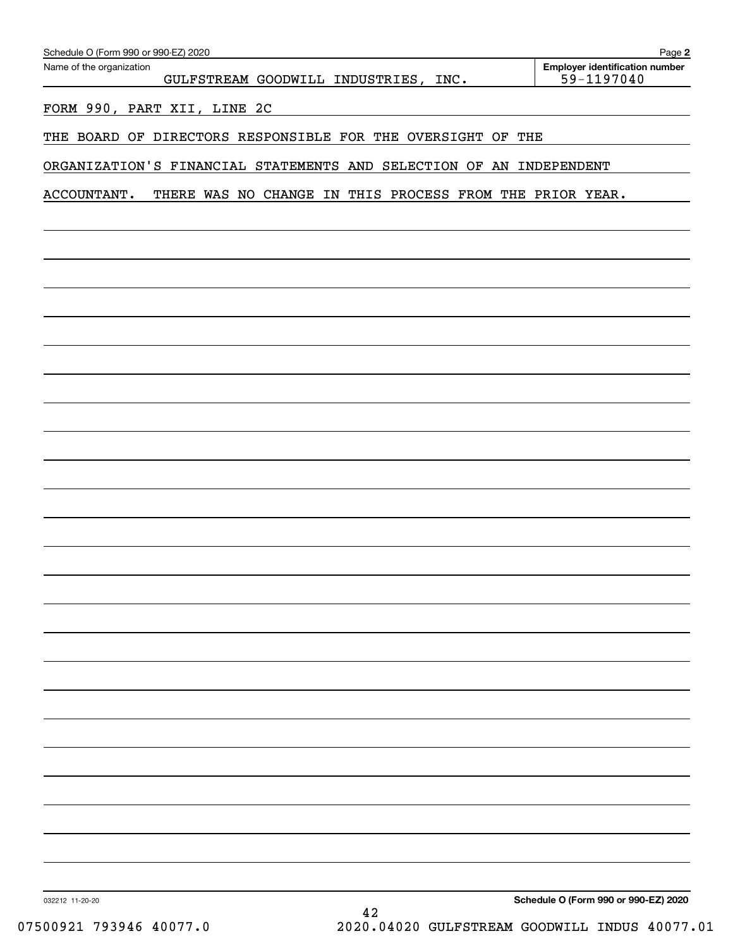| Name of the organization                                                | Employer identification number |
|-------------------------------------------------------------------------|--------------------------------|
| GULFSTREAM GOODWILL INDUSTRIES, INC.                                    | 59-1197040                     |
| FORM 990, PART XII, LINE 2C                                             |                                |
| THE BOARD OF DIRECTORS RESPONSIBLE FOR THE OVERSIGHT<br>OF              | THE                            |
| ORGANIZATION'S FINANCIAL STATEMENTS AND SELECTION OF AN INDEPENDENT     |                                |
| ACCOUNTANT.<br>THERE WAS NO CHANGE IN THIS PROCESS FROM THE PRIOR YEAR. |                                |
|                                                                         |                                |
|                                                                         |                                |
|                                                                         |                                |
|                                                                         |                                |
|                                                                         |                                |
|                                                                         |                                |
|                                                                         |                                |
|                                                                         |                                |
|                                                                         |                                |
|                                                                         |                                |
|                                                                         |                                |
|                                                                         |                                |
|                                                                         |                                |
|                                                                         |                                |
|                                                                         |                                |
|                                                                         |                                |
|                                                                         |                                |
|                                                                         |                                |
|                                                                         |                                |
|                                                                         |                                |
|                                                                         |                                |
|                                                                         |                                |
|                                                                         |                                |
|                                                                         |                                |
|                                                                         |                                |
|                                                                         |                                |
|                                                                         |                                |
|                                                                         |                                |
|                                                                         |                                |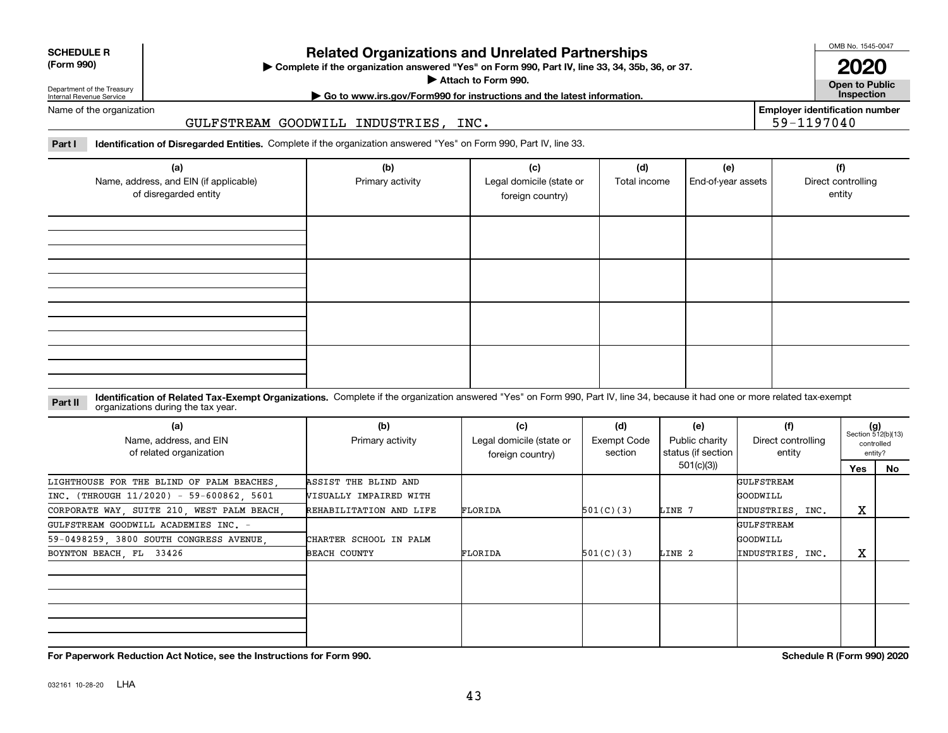**SCHEDULE R**

# **Related Organizations and Unrelated Partnerships**

**Complete if the organization answered "Yes" on Form 990, Part IV, line 33, 34, 35b, 36, or 37.** |

**Attach to Form 990.**  |

OMB No. 1545-0047

**Open to Public 2020**

**Employer identification number**

59-1197040

Department of the Treasury Internal Revenue Service

# **| Go to www.irs.gov/Form990 for instructions and the latest information. Inspection**

Name of the organization

#### GULFSTREAM GOODWILL INDUSTRIES, INC.

**Part I Identification of Disregarded Entities.**  Complete if the organization answered "Yes" on Form 990, Part IV, line 33.

| (a)<br>Name, address, and EIN (if applicable)<br>of disregarded entity | (b)<br>Primary activity | (c)<br>Legal domicile (state or<br>foreign country) | (d)<br>Total income | (e)<br>End-of-year assets | (f)<br>Direct controlling<br>entity |
|------------------------------------------------------------------------|-------------------------|-----------------------------------------------------|---------------------|---------------------------|-------------------------------------|
|                                                                        |                         |                                                     |                     |                           |                                     |
|                                                                        |                         |                                                     |                     |                           |                                     |
|                                                                        |                         |                                                     |                     |                           |                                     |
|                                                                        |                         |                                                     |                     |                           |                                     |

#### **Identification of Related Tax-Exempt Organizations.** Complete if the organization answered "Yes" on Form 990, Part IV, line 34, because it had one or more related tax-exempt **Part II** organizations during the tax year.

| (a)<br>Name, address, and EIN<br>of related organization | (b)<br>Primary activity       | (c)<br>Legal domicile (state or<br>foreign country) | (d)<br>Exempt Code<br>section | (e)<br>Public charity<br>status (if section | (f)<br>Direct controlling<br>entity |     | $(g)$<br>Section 512(b)(13)<br>controlled<br>entity? |
|----------------------------------------------------------|-------------------------------|-----------------------------------------------------|-------------------------------|---------------------------------------------|-------------------------------------|-----|------------------------------------------------------|
|                                                          |                               |                                                     |                               | 501(c)(3))                                  |                                     | Yes | No                                                   |
| LIGHTHOUSE FOR THE BLIND OF PALM BEACHES,                | ASSIST THE BLIND AND          |                                                     |                               |                                             | GULFSTREAM                          |     |                                                      |
| INC. (THROUGH 11/2020) - 59-600862, 5601                 | <b>WISUALLY IMPAIRED WITH</b> |                                                     |                               |                                             | <b>GOODWILL</b>                     |     |                                                      |
| CORPORATE WAY, SUITE 210, WEST PALM BEACH,               | REHABILITATION AND LIFE       | FLORIDA                                             | 501(C)(3)                     | LINE 7                                      | INDUSTRIES, INC.                    | х   |                                                      |
| GULFSTREAM GOODWILL ACADEMIES INC. -                     |                               |                                                     |                               |                                             | GULFSTREAM                          |     |                                                      |
| 59-0498259, 3800 SOUTH CONGRESS AVENUE,                  | CHARTER SCHOOL IN PALM        |                                                     |                               |                                             | <b>GOODWILL</b>                     |     |                                                      |
| BOYNTON BEACH, FL 33426                                  | <b>BEACH COUNTY</b>           | FLORIDA                                             | 501(C)(3)                     | LINE 2                                      | INDUSTRIES, INC.                    | х   |                                                      |
|                                                          |                               |                                                     |                               |                                             |                                     |     |                                                      |
|                                                          |                               |                                                     |                               |                                             |                                     |     |                                                      |
|                                                          |                               |                                                     |                               |                                             |                                     |     |                                                      |
|                                                          |                               |                                                     |                               |                                             |                                     |     |                                                      |
|                                                          |                               |                                                     |                               |                                             |                                     |     |                                                      |

**For Paperwork Reduction Act Notice, see the Instructions for Form 990. Schedule R (Form 990) 2020**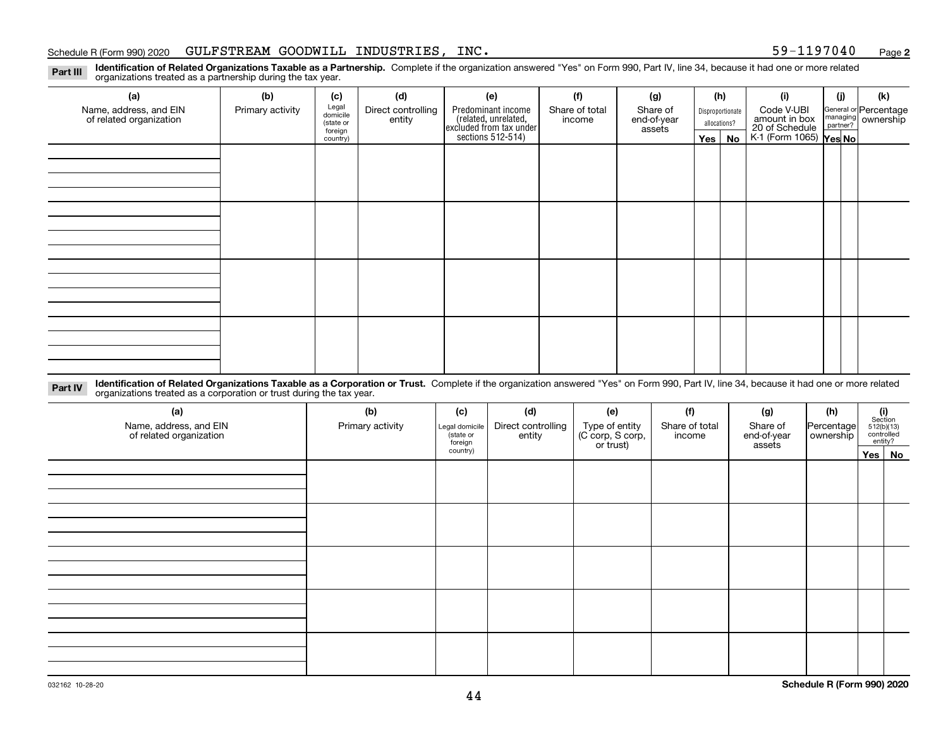#### Schedule R (Form 990) 2020  $\,$  GULFSTREAM GOODWILL INDUSTRIES , INC  $\,$   $\,$

**2**

**Identification of Related Organizations Taxable as a Partnership.** Complete if the organization answered "Yes" on Form 990, Part IV, line 34, because it had one or more related **Part III** organizations treated as a partnership during the tax year.

| (a)                                               | (b)              | (c)                  | (d)                          | (e)                                                                 | (f)                      | (g)                     |         | (h)              | (i)                                                              | (j) | (k)                                                     |  |
|---------------------------------------------------|------------------|----------------------|------------------------------|---------------------------------------------------------------------|--------------------------|-------------------------|---------|------------------|------------------------------------------------------------------|-----|---------------------------------------------------------|--|
| Name, address, and EIN<br>of related organization | Primary activity | Legal<br>domicile    | Direct controlling<br>entity | Predominant income                                                  | Share of total<br>income | Share of<br>end-of-year |         | Disproportionate | Code V-UBI                                                       |     | General or Percentage<br>managing ownership<br>partner? |  |
|                                                   |                  | (state or<br>foreign |                              |                                                                     |                          | assets                  |         | allocations?     |                                                                  |     |                                                         |  |
|                                                   |                  | country)             |                              | related, unrelated,<br>excluded from tax under<br>sections 512-514) |                          |                         | Yes $ $ | No               | amount in box<br>20 of Schedule<br>K-1 (Form 1065) <b>Yes No</b> |     |                                                         |  |
|                                                   |                  |                      |                              |                                                                     |                          |                         |         |                  |                                                                  |     |                                                         |  |
|                                                   |                  |                      |                              |                                                                     |                          |                         |         |                  |                                                                  |     |                                                         |  |
|                                                   |                  |                      |                              |                                                                     |                          |                         |         |                  |                                                                  |     |                                                         |  |
|                                                   |                  |                      |                              |                                                                     |                          |                         |         |                  |                                                                  |     |                                                         |  |
|                                                   |                  |                      |                              |                                                                     |                          |                         |         |                  |                                                                  |     |                                                         |  |
|                                                   |                  |                      |                              |                                                                     |                          |                         |         |                  |                                                                  |     |                                                         |  |
|                                                   |                  |                      |                              |                                                                     |                          |                         |         |                  |                                                                  |     |                                                         |  |
|                                                   |                  |                      |                              |                                                                     |                          |                         |         |                  |                                                                  |     |                                                         |  |
|                                                   |                  |                      |                              |                                                                     |                          |                         |         |                  |                                                                  |     |                                                         |  |
|                                                   |                  |                      |                              |                                                                     |                          |                         |         |                  |                                                                  |     |                                                         |  |
|                                                   |                  |                      |                              |                                                                     |                          |                         |         |                  |                                                                  |     |                                                         |  |
|                                                   |                  |                      |                              |                                                                     |                          |                         |         |                  |                                                                  |     |                                                         |  |
|                                                   |                  |                      |                              |                                                                     |                          |                         |         |                  |                                                                  |     |                                                         |  |
|                                                   |                  |                      |                              |                                                                     |                          |                         |         |                  |                                                                  |     |                                                         |  |
|                                                   |                  |                      |                              |                                                                     |                          |                         |         |                  |                                                                  |     |                                                         |  |
|                                                   |                  |                      |                              |                                                                     |                          |                         |         |                  |                                                                  |     |                                                         |  |
|                                                   |                  |                      |                              |                                                                     |                          |                         |         |                  |                                                                  |     |                                                         |  |

**Identification of Related Organizations Taxable as a Corporation or Trust.** Complete if the organization answered "Yes" on Form 990, Part IV, line 34, because it had one or more related **Part IV** organizations treated as a corporation or trust during the tax year.

| (a)<br>Name, address, and EIN<br>of related organization | (b)<br>Primary activity | (c)<br>Legal domicile<br>(state or<br>foreign | (d)<br>Direct controlling<br>entity | (f)<br>(e)<br>Type of entity<br>(C corp, S corp,<br>or trust)<br>Share of total<br>income |  | (g)<br>Share of<br>end-of-year<br>assets | (h)<br>Percentage<br>ownership | $\begin{array}{c} \textbf{(i)}\\ \text{Section}\\ 512 \text{(b)} \text{(13)}\\ \text{controlled}\\ \text{entity?} \end{array}$ |        |
|----------------------------------------------------------|-------------------------|-----------------------------------------------|-------------------------------------|-------------------------------------------------------------------------------------------|--|------------------------------------------|--------------------------------|--------------------------------------------------------------------------------------------------------------------------------|--------|
|                                                          |                         | country)                                      |                                     |                                                                                           |  |                                          |                                |                                                                                                                                | Yes No |
|                                                          |                         |                                               |                                     |                                                                                           |  |                                          |                                |                                                                                                                                |        |
|                                                          |                         |                                               |                                     |                                                                                           |  |                                          |                                |                                                                                                                                |        |
|                                                          |                         |                                               |                                     |                                                                                           |  |                                          |                                |                                                                                                                                |        |
|                                                          |                         |                                               |                                     |                                                                                           |  |                                          |                                |                                                                                                                                |        |
|                                                          |                         |                                               |                                     |                                                                                           |  |                                          |                                |                                                                                                                                |        |
|                                                          |                         |                                               |                                     |                                                                                           |  |                                          |                                |                                                                                                                                |        |
|                                                          |                         |                                               |                                     |                                                                                           |  |                                          |                                |                                                                                                                                |        |
|                                                          |                         |                                               |                                     |                                                                                           |  |                                          |                                |                                                                                                                                |        |
|                                                          |                         |                                               |                                     |                                                                                           |  |                                          |                                |                                                                                                                                |        |
|                                                          |                         |                                               |                                     |                                                                                           |  |                                          |                                |                                                                                                                                |        |
|                                                          |                         |                                               |                                     |                                                                                           |  |                                          |                                |                                                                                                                                |        |
|                                                          |                         |                                               |                                     |                                                                                           |  |                                          |                                |                                                                                                                                |        |
|                                                          |                         |                                               |                                     |                                                                                           |  |                                          |                                |                                                                                                                                |        |
|                                                          |                         |                                               |                                     |                                                                                           |  |                                          |                                |                                                                                                                                |        |
|                                                          |                         |                                               |                                     |                                                                                           |  |                                          |                                |                                                                                                                                |        |
|                                                          |                         |                                               |                                     |                                                                                           |  |                                          |                                |                                                                                                                                |        |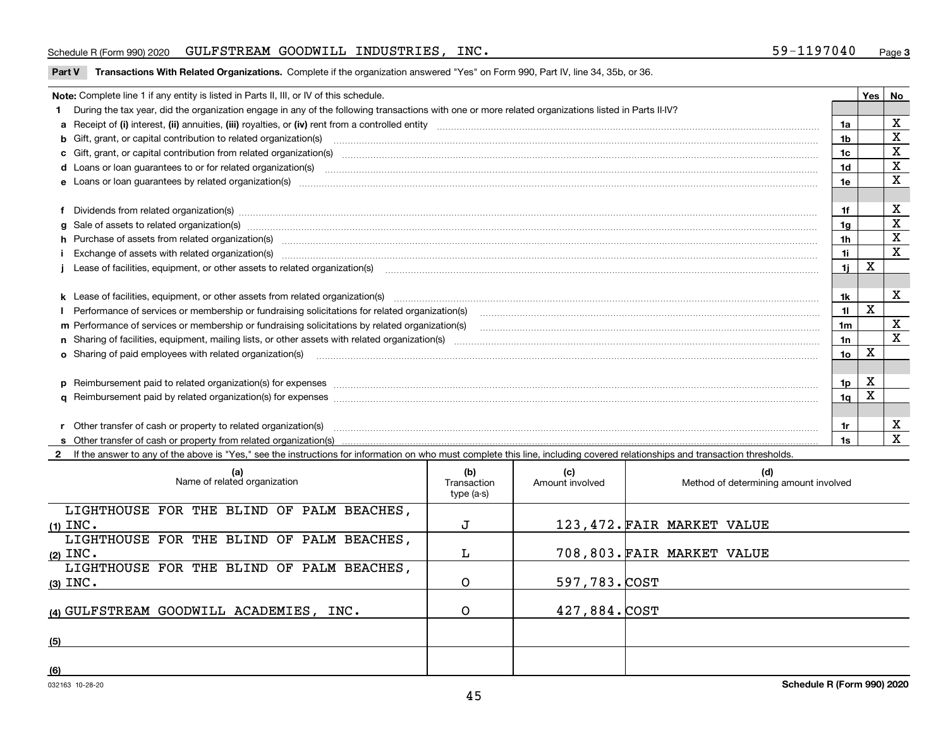#### Schedule R (Form 990) 2020  $\,$  GULFSTREAM GOODWILL INDUSTRIES , INC  $\,$   $\,$

**Part V** T**ransactions With Related Organizations.** Complete if the organization answered "Yes" on Form 990, Part IV, line 34, 35b, or 36.

| Note: Complete line 1 if any entity is listed in Parts II, III, or IV of this schedule. |                                                                                                                                                                                                                                |     |   |             |  |
|-----------------------------------------------------------------------------------------|--------------------------------------------------------------------------------------------------------------------------------------------------------------------------------------------------------------------------------|-----|---|-------------|--|
|                                                                                         | During the tax year, did the organization engage in any of the following transactions with one or more related organizations listed in Parts II-IV?                                                                            |     |   |             |  |
|                                                                                         |                                                                                                                                                                                                                                | 1a  |   | $\mathbf X$ |  |
|                                                                                         | <b>b</b> Gift, grant, or capital contribution to related organization(s)                                                                                                                                                       | 1b  |   | $\mathbf X$ |  |
|                                                                                         | c Gift, grant, or capital contribution from related organization(s)                                                                                                                                                            | 1c  |   | $\mathbf X$ |  |
|                                                                                         | <b>d</b> Loans or loan guarantees to or for related organization(s)                                                                                                                                                            | 1d  |   | $\mathbf X$ |  |
|                                                                                         | <b>e</b> Loans or loan quarantees by related organization(s)                                                                                                                                                                   | 1e  |   | $\mathbf X$ |  |
|                                                                                         |                                                                                                                                                                                                                                |     |   |             |  |
|                                                                                         |                                                                                                                                                                                                                                |     |   | х           |  |
|                                                                                         | g Sale of assets to related organization(s) www.assettion.com/www.assettion.com/www.assettion.com/www.assettion.com/www.assettion.com/www.assettion.com/www.assettion.com/www.assettion.com/www.assettion.com/www.assettion.co | 1g  |   | X           |  |
|                                                                                         | h Purchase of assets from related organization(s) manufactured and content to the content of the content of the content of the content of the content of the content of the content of the content of the content of the conte |     |   | Χ           |  |
|                                                                                         |                                                                                                                                                                                                                                | 11  |   | X           |  |
|                                                                                         | Lease of facilities, equipment, or other assets to related organization(s) manufaction content to the content of the content of the content of the content of the content of the content of the content of the content of the  | 1i. | X |             |  |
|                                                                                         |                                                                                                                                                                                                                                |     |   |             |  |
|                                                                                         | k Lease of facilities, equipment, or other assets from related organization(s) manufaction content and content to the assets from related organization(s) manufaction content and content and content and content and content  | 1k  |   | х           |  |
|                                                                                         | Performance of services or membership or fundraising solicitations for related organization(s)                                                                                                                                 | 11  | х |             |  |
|                                                                                         | m Performance of services or membership or fundraising solicitations by related organization(s)                                                                                                                                | 1m  |   | x           |  |
|                                                                                         |                                                                                                                                                                                                                                | 1n  |   | X           |  |
|                                                                                         | <b>o</b> Sharing of paid employees with related organization(s)                                                                                                                                                                | 1о  | X |             |  |
|                                                                                         |                                                                                                                                                                                                                                |     |   |             |  |
|                                                                                         |                                                                                                                                                                                                                                | 1p. | х |             |  |
|                                                                                         |                                                                                                                                                                                                                                | 1q  | X |             |  |
|                                                                                         |                                                                                                                                                                                                                                |     |   |             |  |
|                                                                                         | r Other transfer of cash or property to related organization(s)                                                                                                                                                                | 1r  |   | х           |  |
|                                                                                         |                                                                                                                                                                                                                                | 1s  |   | X           |  |

**2**If the answer to any of the above is "Yes," see the instructions for information on who must complete this line, including covered relationships and transaction thresholds.

| (a)<br>Name of related organization       | (b)<br>Transaction<br>type (a-s) | (c)<br>Amount involved | (d)<br>Method of determining amount involved |
|-------------------------------------------|----------------------------------|------------------------|----------------------------------------------|
| LIGHTHOUSE FOR THE BLIND OF PALM BEACHES, |                                  |                        |                                              |
| $(1)$ INC.                                |                                  |                        | 123, 472. FAIR MARKET VALUE                  |
| LIGHTHOUSE FOR THE BLIND OF PALM BEACHES, |                                  |                        |                                              |
| (2) INC.                                  |                                  |                        | 708,803. FAIR MARKET VALUE                   |
| LIGHTHOUSE FOR THE BLIND OF PALM BEACHES, |                                  |                        |                                              |
| $(3)$ INC.                                | O                                | 597,783. COST          |                                              |
| (4) GULFSTREAM GOODWILL ACADEMIES, INC.   | ∩                                | 427,884.COST           |                                              |
| (5)                                       |                                  |                        |                                              |
| (6)                                       |                                  |                        |                                              |

 $\overline{a}$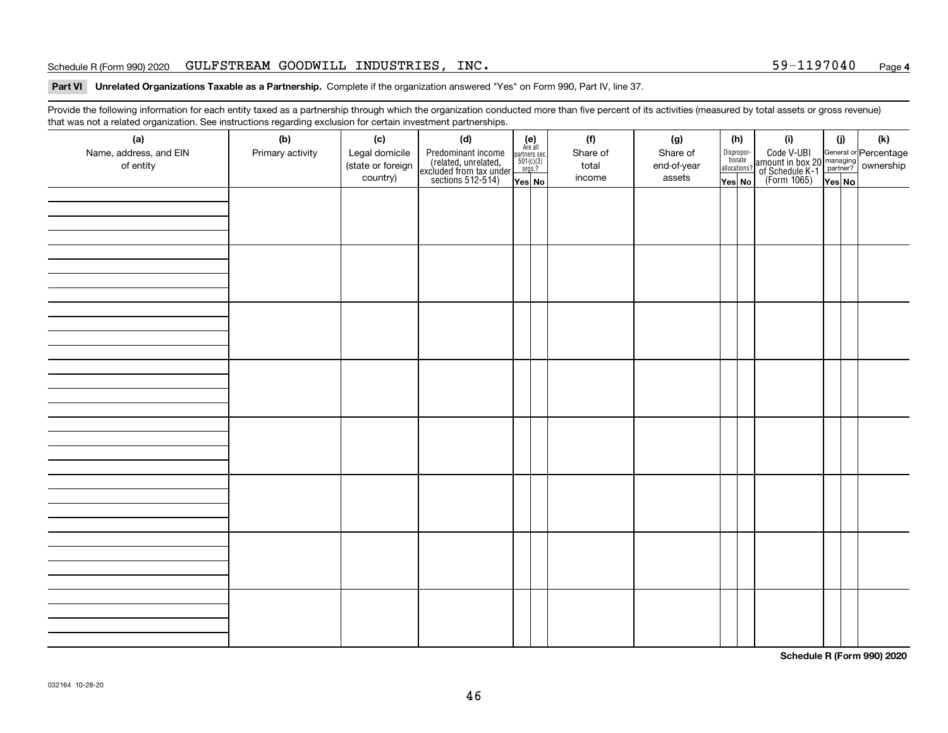#### Schedule R (Form 990) 2020  $\,$  GULFSTREAM GOODWILL INDUSTRIES , INC  $\,$  . The set of the set of the set of the set of the set of the set of the set of the set of the set of the set of the set of the set of the set of th

#### **Part VI Unrelated Organizations Taxable as a Partnership. Complete if the organization answered "Yes" on Form 990, Part IV, line 37.**

Provide the following information for each entity taxed as a partnership through which the organization conducted more than five percent of its activities (measured by total assets or gross revenue) that was not a related organization. See instructions regarding exclusion for certain investment partnerships.

| (a)<br>Name, address, and EIN<br>of entity | ັ<br>(b)<br>Primary activity | (c)<br>Legal domicile<br>(state or foreign | (d)<br>Predominant income<br>(related, unrelated,<br>excluded from tax under<br>sections 512-514) | $\begin{array}{c}\n\text{partners} \sec.\n\\ \n501(c)(3)\n\\ \n0rgs.?\n\end{array}$ | $(e)$<br>Are all | (f)<br>Share of<br>total | (g)<br>Share of<br>end-of-year | (h)<br>Dispropor-<br>tionate<br>allocations? | (i)<br>Code V-UBI<br>amount in box 20 managing<br>of Schedule K-1<br>(Form 1065)<br>$\overline{Yes}$ No | (i)    | (k) |
|--------------------------------------------|------------------------------|--------------------------------------------|---------------------------------------------------------------------------------------------------|-------------------------------------------------------------------------------------|------------------|--------------------------|--------------------------------|----------------------------------------------|---------------------------------------------------------------------------------------------------------|--------|-----|
|                                            |                              | country)                                   |                                                                                                   | Yes No                                                                              |                  | income                   | assets                         | Yes No                                       |                                                                                                         | Yes No |     |
|                                            |                              |                                            |                                                                                                   |                                                                                     |                  |                          |                                |                                              |                                                                                                         |        |     |
|                                            |                              |                                            |                                                                                                   |                                                                                     |                  |                          |                                |                                              |                                                                                                         |        |     |
|                                            |                              |                                            |                                                                                                   |                                                                                     |                  |                          |                                |                                              |                                                                                                         |        |     |
|                                            |                              |                                            |                                                                                                   |                                                                                     |                  |                          |                                |                                              |                                                                                                         |        |     |
|                                            |                              |                                            |                                                                                                   |                                                                                     |                  |                          |                                |                                              |                                                                                                         |        |     |
|                                            |                              |                                            |                                                                                                   |                                                                                     |                  |                          |                                |                                              |                                                                                                         |        |     |
|                                            |                              |                                            |                                                                                                   |                                                                                     |                  |                          |                                |                                              |                                                                                                         |        |     |
|                                            |                              |                                            |                                                                                                   |                                                                                     |                  |                          |                                |                                              |                                                                                                         |        |     |
|                                            |                              |                                            |                                                                                                   |                                                                                     |                  |                          |                                |                                              |                                                                                                         |        |     |
|                                            |                              |                                            |                                                                                                   |                                                                                     |                  |                          |                                |                                              |                                                                                                         |        |     |
|                                            |                              |                                            |                                                                                                   |                                                                                     |                  |                          |                                |                                              |                                                                                                         |        |     |
|                                            |                              |                                            |                                                                                                   |                                                                                     |                  |                          |                                |                                              |                                                                                                         |        |     |
|                                            |                              |                                            |                                                                                                   |                                                                                     |                  |                          |                                |                                              |                                                                                                         |        |     |
|                                            |                              |                                            |                                                                                                   |                                                                                     |                  |                          |                                |                                              |                                                                                                         |        |     |
|                                            |                              |                                            |                                                                                                   |                                                                                     |                  |                          |                                |                                              |                                                                                                         |        |     |
|                                            |                              |                                            |                                                                                                   |                                                                                     |                  |                          |                                |                                              |                                                                                                         |        |     |
|                                            |                              |                                            |                                                                                                   |                                                                                     |                  |                          |                                |                                              |                                                                                                         |        |     |
|                                            |                              |                                            |                                                                                                   |                                                                                     |                  |                          |                                |                                              |                                                                                                         |        |     |
|                                            |                              |                                            |                                                                                                   |                                                                                     |                  |                          |                                |                                              |                                                                                                         |        |     |
|                                            |                              |                                            |                                                                                                   |                                                                                     |                  |                          |                                |                                              |                                                                                                         |        |     |
|                                            |                              |                                            |                                                                                                   |                                                                                     |                  |                          |                                |                                              |                                                                                                         |        |     |
|                                            |                              |                                            |                                                                                                   |                                                                                     |                  |                          |                                |                                              |                                                                                                         |        |     |

**Schedule R (Form 990) 2020**